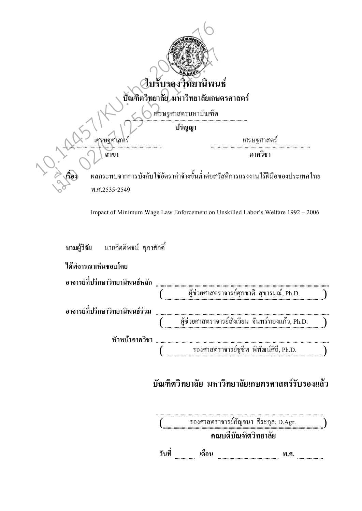

Impact of Minimum Wage Law Enforcement on Unskilled Labor's Welfare  $1992 - 2006$ 

| นามผู้วิจัย นายกิตติพจน์ สุภาศักดิ์ |                                                    |  |
|-------------------------------------|----------------------------------------------------|--|
| ใด้พิจารณาเห็นชอบโดย                |                                                    |  |
| อาจารย์ที่ปรึกษาวิทยานิพนธ์หลัก     |                                                    |  |
|                                     | (พี่ช่วยศาสตราจารย์ศุภชาติ สุขารมณ์, Ph.D.         |  |
| ้อาจารย์ที่ปรึกษาวิทยานิพนธ์ร่วม    |                                                    |  |
|                                     | (พื้ช่วยศาสตราจารย์สังเวียน จันทร์ทองแก้ว, Ph.D. ) |  |
| หัวหน้าภาควิชา                      |                                                    |  |
|                                     | รองศาสตราจารย์ชูชีพ พิพัฒน์ศิถี, Ph.D.             |  |

# ิบัณฑิตวิทยาลัย มหาวิทยาลัยเกษตรศาสตร์รับรองแล้ว

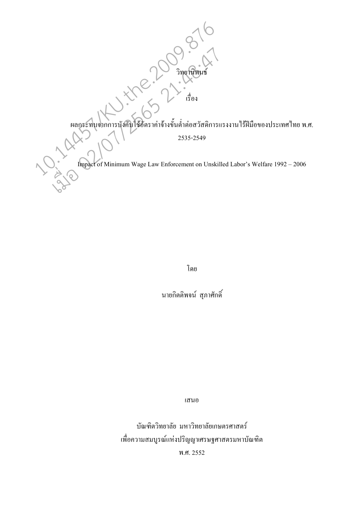ผลกระทบจากการบังคับใช้อัตราค่าจ้างขั้นต่ำต่อสวัสดิการแรงงานไร้ฝีมือของประเทศไทย พ.ศ.

Contras de la Contras de la Contras

2535-2549

Impact of Minimum Wage Law Enforcement on Unskilled Labor's Welfare 1992 - 2006

โดย

นายกิตติพจน์ สุภาศักดิ์

เสนอ

บัณฑิตวิทยาลัย มหาวิทยาลัยเกษตรศาสตร์ เพื่อความสมบูรณ์แห่งปริญญาเศรษฐศาสตรมหาบัณฑิต พ.ศ. 2552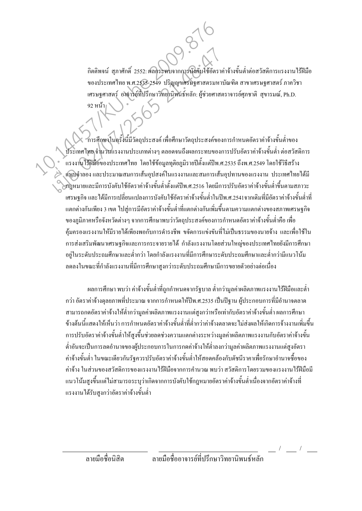้กิตติพจน์ สุภาศักดิ์ 2552: ผลิกระทบจากการบังคับใช้อัตราค่าจ้างขั้นต่ำต่อสวัสดิการแรงงานไร้ฝีมือ ของประเทศไทย พ.ศ.2535-2549 ปริญญาเศรษฐศาสตรมหาบัณฑิต สาขาเศรษฐศาสตร์ ภาควิชา เศรษฐศาสตร์ อาจารย์ที่ปรึกษาวิทยานิพนธ์หลัก: ผู้ช่วยศาสตราจารย์ศุภชาติ สุขารมณ์, Ph.D. ่ 92 หน้า

้การศึกษาในครั้งนี้มีวัตถุประสงค์ เพื่อศึกษาวัตถุประสงค์ของการกำหนดอัตราค่าจ้างขั้นต่ำของ ประเทศไทย จำนวนแรงงานประเภทต่างๆ ตลอดจนถึงผลกระทบของการปรับอัตราค่าจ้างขั้นต่ำ ต่อสวัสดิการ ้ แรงงานใร้ฝีมือของประเทศไทย โดยใช้ข้อมลทติยภมิรายปีตั้งแต่ปีพ.ศ.2535 ถึงพ.ศ.2549 โดยใช้วิธีสร้าง ู้แบบจำลอง และประมาณสมการเส้นอุปสงค์ในแรงงานและสมการเส้นอุปทานของแรงงาน ประเทศไทยได้มี .<br>กฎหมายและมีการบังคับใช้อัตราค่าจ้างขั้นต่ำตั้งแต่ปีพ.ศ.2516 โดยมีการปรับอัตราค่าจ้างขั้นต่ำขึ้นตามสภาวะ ้เศรษฐกิจ และได้มีการเปลี่ยนแปลงการบังคับใช้อัตราค่าจ้างขั้นต่ำในปีพ.ศ.2541จากเดิมที่มีอัตราค่าจ้างขั้นต่ำที่ ี แตกต่างกันเพียง 3 เขต ไปสู่การมีอัตราค่าจ้างขั้นต่ำที่แตกต่างกันเพิ่มขึ้นตามความแตกต่างของสภาพเศรษฐกิจ ี ของภูมิภาคหรือจังหวัดต่างๆ จากการศึกษาพบว่าวัตถุประสงค์ของการกำหนดอัตราค่าจ้างขั้นต่ำคือ เพื่อ ้คุ้มครองแรงงานให้มีรายได้เพียงพอกับการดำรงชีพ ขจัดการแข่งขันที่ไม่เป็นธรรมของนายจ้าง และเพื่อใช้ใน ิการส่งเสริมพัฒนาเศรษฐกิจและการกระจายรายได้ กำลังแรงงานโดยส่วนใหญ่ของประเทศไทยยังมีการศึกษา ้อย่ในระดับประถมศึกษาและต่ำกว่า โดยกำลังแรงงานที่มีการศึกษาระดับประถมศึกษาและต่ำกว่ามีแนวโน้ม ิลคลงในขณะที่กำลังแรงงานที่มีการศึกษาสงกว่าระดับประถมศึกษามีการขยายตัวอย่างต่อเนื่อง

ี ผลการศึกษา พบว่า ค่าจ้างขั้นต่ำที่ถกกำหนดจากรัฐบาล ต่ำกว่ามลค่าผลิตภาพแรงงาน ไร้ฝีมือและต่ำ ึกว่า อัตราค่าจ้างดุลยภาพที่ประมาณ จากการกำหนดให้ปีพ.ศ.2535 เป็นปีฐาน ผู้ประกอบการที่มีอำนาจตลาด ี่ สามารถกดอัตราค่าจ้างให้ต่ำกว่ามูลค่าผลิตภาพแรงงานแต่สูงกว่าหรือเท่ากับอัตราค่าจ้างขั้นต่ำ ผลการศึกษา ้ข้างต้นนี้แสดงให้เห็นว่า การกำหนดกัตราค่าถ้างขั้นต่ำที่ต่ำกว่าค่าถ้างตลาดจะไม่ส่งผลให้เกิดการถ้างงานเพิ่มขึ้น ี การปรับอัตราค่าจ้างขั้นต่ำให้สงขึ้นช่วยลดช่วงความแตกต่างระหว่างมลค่าผลิตภาพแรงงานกับอัตราค่าจ้างขั้น ต่ำอันจะเป็นการลดอำนาจของผู้ประกอบการในการกดค่าจ้างให้ต่ำลงกว่ามูลค่าผลิตภาพแรงงานแต่สูงอัตรา ้ค่าจ้างขั้นต่ำ ในขณะเดียวกันรัฐควรปรับอัตราค่าจ้างขั้นต่ำให้สอดคล้องกับดัชนีราคาเพื่อรักษาอำนาจซื้อของ ้ค่าจ้าง ในส่วนของสวัสดิการของแรงงานไร้ฝีมือจากการคำนวณ พบว่า สวัสดิการโดยรวมของแรงงานไร้ฝีมือมี แนวโน้มสูงขึ้นแต่ไม่สามารถระบุว่าเกิดจากการบังคับใช้กฎหมายอัตราค่าจ้างขั้นต่ำเนื่องจากอัตราค่าจ้างที่ แรงงานได้รับสูงกว่าอัตราค่าจ้างขั้นต่ำ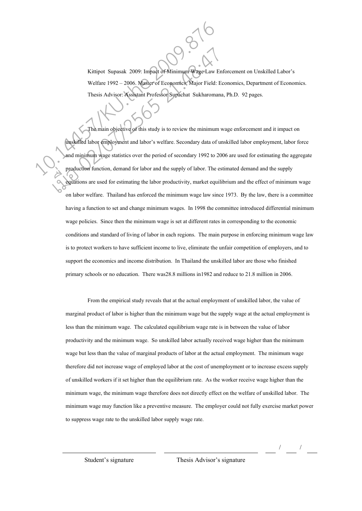Kittipot Supasak 2009: Impact of Minimum Wage Law Enforcement on Unskilled Labor's Welfare 1992 - 2006. Master of Economics, Major Field: Economics, Department of Economics. Thesis Advisor: Assistant Professor Supachat Sukharomana, Ph.D. 92 pages.

 The main objective of this study is to review the minimum wage enforcement and it impact on unskilled labor employment and labor's welfare. Secondary data of unskilled labor employment, labor force and minimum wage statistics over the period of secondary 1992 to 2006 are used for estimating the aggregate production function, demand for labor and the supply of labor. The estimated demand and the supply equations are used for estimating the labor productivity, market equilibrium and the effect of minimum wage on labor welfare. Thailand has enforced the minimum wage law since 1973. By the law, there is a committee having a function to set and change minimum wages. In 1998 the committee introduced differential minimum wage policies. Since then the minimum wage is set at different rates in corresponding to the economic conditions and standard of living of labor in each regions. The main purpose in enforcing minimum wage law is to protect workers to have sufficient income to live, eliminate the unfair competition of employers, and to support the economics and income distribution. In Thailand the unskilled labor are those who finished primary schools or no education. There was28.8 millions in1982 and reduce to 21.8 million in 2006. Kittipot Supasak 2009: Impact of Minimum Wage-Law En<br>
Welfare 1992 – 2006. Master of Economics, Major Field: En<br>
Thesis Advisor: Assistant Professor Supachat Sukharomana<br>
The main objective of this study is to review the m Kittipot Supasak 2009: Impact of Minimum Wage Law En<br>
Welfare 1992 – 2006. Master of Economics, Major Field: E<br>
Thesis Advisor: Assistant Professor Supachat Sukharomana<br>
The main objective of this study is to review the mi

> From the empirical study reveals that at the actual employment of unskilled labor, the value of marginal product of labor is higher than the minimum wage but the supply wage at the actual employment is less than the minimum wage. The calculated equilibrium wage rate is in between the value of labor productivity and the minimum wage. So unskilled labor actually received wage higher than the minimum wage but less than the value of marginal products of labor at the actual employment. The minimum wage therefore did not increase wage of employed labor at the cost of unemployment or to increase excess supply of unskilled workers if it set higher than the equilibrium rate. As the worker receive wage higher than the minimum wage, the minimum wage therefore does not directly effect on the welfare of unskilled labor. The minimum wage may function like a preventive measure. The employer could not fully exercise market power to suppress wage rate to the unskilled labor supply wage rate.

> > / /

Student's signature Thesis Advisor's signature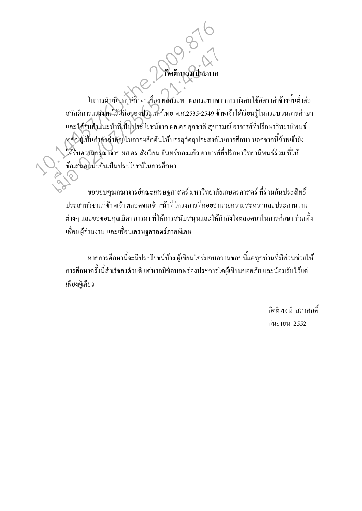ในการคำเนินการศึกษา เรื่อง ผลกระทบผลกระทบจากการบังคับใช้อัตราค่าจ้างขั้นต่ำต่อ ิสวัสดิการแรงงานไร้ฝีมือของประเทศไทย พ.ศ.2535-2549 ข้าพเจ้าได้เรียนรู้ในกระบวนการศึกษา และได้รับคำแนะนำที่เป็นประโยชน์จาก ผศ.ดร.ศุภชาติ สุขารมณ์ อาจารย์ที่ปรึกษาวิทยานิพนธ์ หลักผู้เป็นกำลังสำคัญ ในการผลักดันให้บรรลุวัตถุประสงค์ในการศึกษา นอกจากนี้ข้าพเจ้ายัง ใค้รับความกรุณาจาก ผศ.ดร.สังเวียน จันทร์ทองแก้ว อาจารย์ที่ปรึกษาวิทยานิพนธ์ร่วม ที่ให้ ข้อเสนอแนะอันเป็นประโยชน์ในการศึกษา

กิตติกรรมา

ึ ขอขอบคุณคณาจารย์คณะเศรษฐศาสตร์ มหาวิทยาลัยเกษตรศาสตร์ ที่ร่วมกันประสิทธิ์ ประสาทวิชาแก่ข้าพเจ้า ตลอดจนเจ้าหน้าที่โครงการที่คอยอำนวยความสะดวกและประสานงาน ี่ ต่างๆ และขอขอบคุณบิดา มารดา ที่ให้การสนับสนุนและให้กำลังใจตลอดมาในการศึกษา ร่วมทั้ง เพื่อนผู้ร่วมงาน และเพื่อนเศรษฐศาสตร์ภาคพิเศษ

หากการศึกษานี้จะมีประโยชน์บ้าง ผู้เขียนใคร่มอบความชอบนี้แค่ทุกท่านที่มีส่วนช่วยให้ ้การศึกษาครั้งนี้สำเร็จลงด้วยดี แต่หากมีข้อบกพร่องประการใดผู้เขียนขออภัย และน้อมรับไว้แต่ เพียงผู้เดียว

> กิตติพจน์ สภาศักดิ์ กันยายน 2552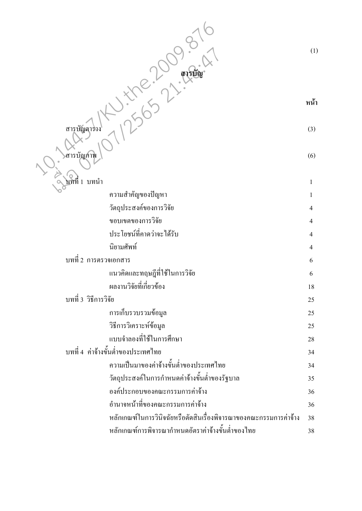| สารบถ                                                             | (1)          |
|-------------------------------------------------------------------|--------------|
|                                                                   | หน้า         |
| สารุบัญตาร่าง                                                     | (3)          |
| สารบัญภาพ                                                         | (6)          |
|                                                                   |              |
| ับที่ที่ 1 บทนำ                                                   | $\mathbf{1}$ |
| ความสำคัญของปัญหา                                                 | 1            |
| วัตถุประสงค์ของการวิจัย                                           | 4            |
| ขอบเขตของการวิจัย<br>ประโยชน์ที่คาดว่าจะได้รับ                    | 4            |
| นิยามศัพท์                                                        | 4            |
| บทที่ 2 การตรวจเอกสาร                                             | 4            |
| แนวคิดและทฤษฎีที่ใช้ในการวิจัย                                    | 6            |
| ผลงานวิจัยที่เกี่ยวข้อง                                           | 6            |
| บทที่ 3 วิธีการวิจัย                                              | 18           |
|                                                                   | 25           |
| การเก็บรวบรวมข้อมูล                                               | 25           |
| วิธีการวิเคราะห์ข้อมูล<br>แบบจำลองที่ใช้ในการศึกษา                | 25           |
| บทที่ 4 ค่าจ้างขั้นต่ำของประเทศไทย                                | 28           |
| ความเป็นมาของค่าจ้างขั้นต่ำของประเทศไทย                           | 34           |
| วัตถุประสงค์ในการกำหนดค่าจ้างขั้นต่ำของรัฐบาล                     | 34<br>35     |
| องค์ประกอบของคณะกรรมการค่าจ้าง                                    | 36           |
| อำนาจหน้าที่ของคณะกรรมการค่าจ้าง                                  | 36           |
| หลักเกณฑ์ในการวินิจฉัยหรือตัดสินเรื่องพิจารณาของคณะกรรมการค่าจ้าง | 38           |
| หลักเกณฑ์การพิจารณากำหนดอัตราค่าจ้างขั้นต่ำของไทย                 | 38           |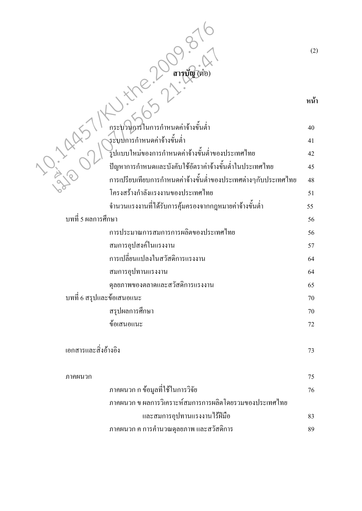| ×. |  |
|----|--|
|    |  |

| ิสารบัญ (ต่อ                                                   | (2) |
|----------------------------------------------------------------|-----|
|                                                                | หน้ |
| ึกระบวนการในการกำหนดค่าจ้างขั้นต่ำ                             | 40  |
| ระบบการกำหนดค่าจ้างขั้นต่ำ                                     | 41  |
| รูปแบบใหม่ของการกำหนดค่าจ้างขั้นต่ำของประเทศไทย                | 42  |
| ปัญหาการกำหนดและบังคับใช้อัตราค่าจ้างขั้นต่ำในประเทศไทย        | 45  |
| การเปรียบเทียบการกำหนดค่าจ้างขั้นต่ำของประเทศต่างๆกับประเทศไทย | 48  |
| โครงสร้างกำลังแรงงานของประเทศไทย                               | 51  |
| จำนวนแรงงานที่ได้รับการคุ้มครองจากกฎหมายค่าจ้างขั้นต่ำ         | 55  |
| บทที่ 5 ผลการศึกษา                                             | 56  |
| การประมาณการสมการการผลิตของประเทศไทย                           | 56  |
| สมการอุปสงค์ในแรงงาน                                           | 57  |
| การเปลี่ยนแปลงในสวัสดิการแรงงาน                                | 64  |
| สมการอุปทานแรงงาน                                              | 64  |
| ดุลยภาพของตลาดและสวัสดิการแรงงาน                               | 65  |
| บทที่ 6 สรุปและข้อเสนอแนะ                                      | 70  |
| สรุปผลการศึกษา                                                 | 70  |
| ข้อเสนอแนะ                                                     | 72  |
| เอกสารและสิ่งอ้างอิง                                           | 73  |
| ภาคผนวก                                                        | 75  |
| ภาคผนวก ก ข้อมูลที่ใช้ในการวิจัย                               | 76  |
| ึภาคผนวก ข ผลการวิเคราะห์สมการการผลิตโดยรวมของประเทศไทย        |     |
| และสมการอุปทานแรงงานไร้ฝีมือ                                   | 83  |
| ภาคผนวก ค การคำนวณดุลยภาพ และสวัสดิการ                         | 89  |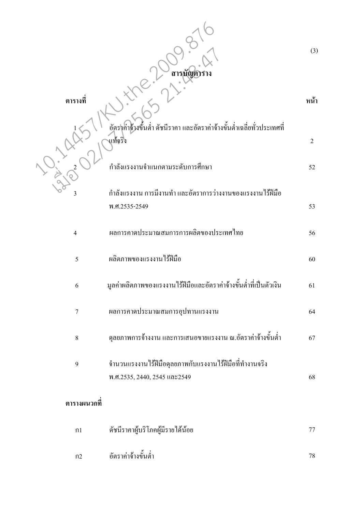|                | สารบัญต                                                                                 | (3)                  |
|----------------|-----------------------------------------------------------------------------------------|----------------------|
| ตารางที        | อัตราค่าก้างขึ้นต่ำ ดัชนีราคา และอัตราค่าจ้างขั้นต่ำเฉลี่ยทั่วประเทศที่                 | หน้า                 |
|                | ้แท้จริง<br>กำลังแรงงานจำแนกตามระดับการศึกษา                                            | $\overline{2}$<br>52 |
| 3              | ้กำลังแรงงาน การมีงานทำ และอัตราการว่างงานของแรงงานไร้ฝีมือ<br>พ.ศ.2535-2549            | 53                   |
| $\overline{4}$ | ผลการคาคประมาณสมการการผลิตของประเทศไทย                                                  | 56                   |
| 5              | ผลิตภาพของแรงงานไร้ฝีมือ                                                                | 60                   |
| 6              | มูลค่าผลิตภาพของแรงงานไร้ฝีมือและอัตราค่าจ้างขั้นต่ำที่เป็นตัวเงิน                      | 61                   |
| $\overline{7}$ | ผลการคาดประมาณสมการอุปทานแรงงาน                                                         | 64                   |
| 8              | ์ คุลยภาพการจ้างงาน และการเสนอขายแรงงาน ณ.อัตราค่าจ้างขั้นต่ำ                           | 67                   |
| 9              | จำนวนแรงงานใร้ฝีมือคุลยภาพกับแรงงานใร้ฝีมือที่ทำงานจริง<br>พ.ศ.2535, 2440, 2545 และ2549 | 68                   |
| ตารางผนวกที    |                                                                                         |                      |
| n1             | ดัชนีราคาผู้บริโภคผู้มีรายได้น้อย                                                       | 77                   |
| n2             | อัตราค่าจ้างขั้นต่ำ                                                                     | 78                   |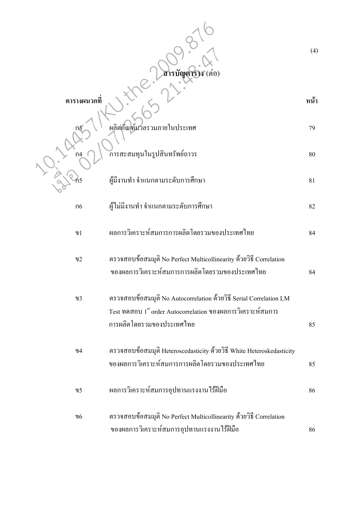|                 | สารบัญตาราง (ต่อ)                                                                                                                                              | (4)  |
|-----------------|----------------------------------------------------------------------------------------------------------------------------------------------------------------|------|
| ตารางผนวกที     |                                                                                                                                                                | หน้า |
|                 | ผลิตกัณฑ์มวลรวมภายในประเทศ                                                                                                                                     | 79   |
| ก $4$           | ัการสะสมทุนในรูปสินทรัพย์ถาวร                                                                                                                                  | 80   |
| ิกิ5            | ผู้มีงานทำ จำแนกตามระดับการศึกษา                                                                                                                               | 81   |
| $\overline{06}$ | ผู้ใม่มีงานทำ จำแนกตามระดับการศึกษา                                                                                                                            | 82   |
| $\n  1\n$       | ผลการวิเคราะห์สมการการผลิตโดยรวมของประเทศไทย                                                                                                                   | 84   |
| $\n  12\n$      | ตรวจสอบข้อสมมุติ No Perfect Multicollinearity ค้วยวิธี Correlation<br>ของผลการวิเคราะห์สมการการผลิตโดยรวมของประเทศไทย                                          | 84   |
| $\n  13\n$      | ตรวจสอบข้อสมมุติ No Autocorrelation ค้วยวิธี Serial Correlation LM<br>Test ทคสอบ 1st order Autocorrelation ของผลการวิเคราะห์สมการ<br>การผลิตโดยรวมของประเทศไทย | 85   |
| 94              | ตรวจสอบข้อสมมุติ Heteroscedasticity ด้วยวิธี White Heteroskedasticity<br>ของผลการวิเคราะห์สมการการผลิตโดยรวมของประเทศไทย                                       | 85   |
| $\mathcal{U}$ 5 | ผลการวิเคราะห์สมการอุปทานแรงงานไร้ฝีมือ                                                                                                                        | 86   |
| 96              | ตรวจสอบข้อสมมุติ No Perfect Multicollinearity ค้วยวิธี Correlation<br>ของผลการวิเคราะห์สมการอุปทานแรงงานไร้ฝีมือ                                               | 86   |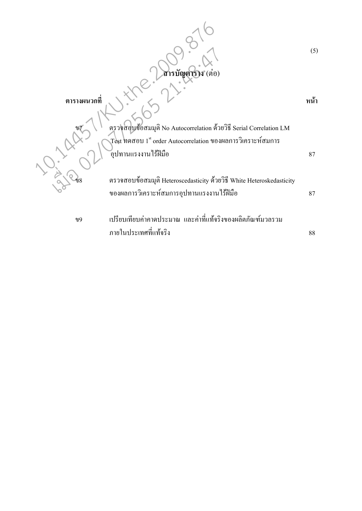|             | สารบัญตาราง (ต่อ)                                                                                                                                  | (5)      |
|-------------|----------------------------------------------------------------------------------------------------------------------------------------------------|----------|
| ตารางผนวกที | ตรวจสอบข้อสมมุติ No Autocorrelation ด้วยวิธี Serial Correlation LM<br>$\rm \,Test$ ทดสอบ $\rm 1^{st}$ order Autocorrelation ของผลการวิเคราะห์สมการ | หน้า     |
| ข8          | ้อุปทานแรงงานใร้ฝีมือ<br>ตรวจสอบข้อสมมุติ Heteroscedasticity ด้วยวิธี White Heteroskedasticity<br>ของผลการวิเคราะห์สมการอุปทานแรงงานใร้ฝีมือ       | 87<br>87 |
| 99          | ้เปรียบเทียบค่าคาดประมาณ และค่าที่แท้จริงของผลิตภัณฑ์มวลรวม<br>ภายในประเทศที่แท้จริง                                                               | $88\,$   |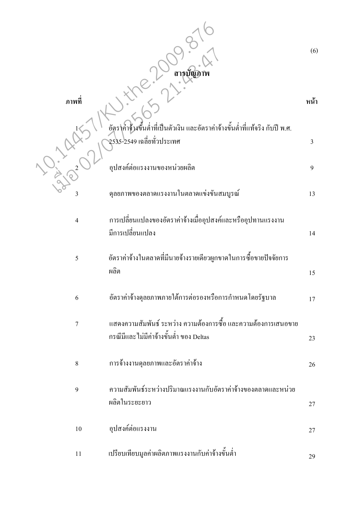|                | ิสา <b>รบัญ</b> ร                                                                                           | (6)  |
|----------------|-------------------------------------------------------------------------------------------------------------|------|
| ภาพที          |                                                                                                             | หน้า |
|                | อัตราค่าจ้างขึ้นต่ำที่เป็นตัวเงิน และอัตราค่าจ้างขั้นต่ำที่แท้จริง กับปี พ.ศ.<br>2535-2549 เฉลี่ยทั่วประเทศ | 3    |
|                | อุปสงค์ต่อแรงงานของหน่วยผลิต                                                                                | 9    |
| 3              | ้คุลยภาพของตลาดแรงงานในตลาดแข่งขันสมบูรณ์                                                                   | 13   |
| $\overline{4}$ | การเปลี่ยนแปลงของอัตราค่าจ้างเมื่ออุปสงค์และหรืออุปทานแรงงาน<br>มีการเปลี่ยนแปลง                            | 14   |
| 5              | อัตราค่าจ้างในตลาดที่มีนายจ้างรายเดียวผูกขาดในการซื้อขายปัจจัยการ<br>ผลิต                                   | 15   |
| 6              | อัตราค่าจ้างดุลยภาพภายใต้การต่อรองหรือการกำหนดโดยรัฐบาล                                                     | 17   |
| $\overline{7}$ | แสดงความสัมพันธ์ ระหว่าง ความต้องการซื้อ และความต้องการเสนอขาย<br>กรณีมีและ ไม่มีค่าจ้างขั้นต่ำ ของ Deltas  | 23   |
| $\,8\,$        | การจ้างงานคุลยภาพและอัตราค่าจ้าง                                                                            | 26   |
| 9              | ความสัมพันธ์ระหว่างปริมาณแรงงานกับอัตราค่าจ้างของตลาดและหน่วย<br>ผลิตในระยะยาว                              | 27   |
| $10\,$         | อุปสงค์ต่อแรงงาน                                                                                            | 27   |
| 11             | เปรียบเทียบมูลค่าผลิตภาพแรงงานกับค่าจ้างขั้นต่ำ                                                             | 29   |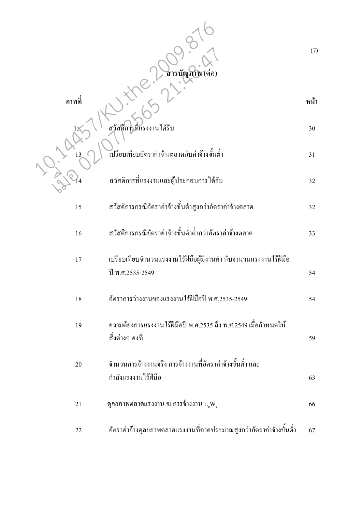|        | สารบัญภาพ (ต่อ)                                                                      | (7)      |
|--------|--------------------------------------------------------------------------------------|----------|
| ิภาพที |                                                                                      | หน้า     |
| 13     | สวัสดิการที่แรงงานได้รับ<br>้เปรียบเทียบอัตราค่าจ้างตลาดกับค่าจ้างขั้นต่ำ            | 30<br>31 |
|        | สวัสดิการที่แรงงานและผู้ประกอบการได้รับ                                              | 32       |
| 15     | สวัสดิการกรณีอัตราค่าจ้างขั้นต่ำสูงกว่าอัตราค่าจ้างตลาด                              | 32       |
| 16     | สวัสดิการกรณีอัตราค่าจ้างขั้นต่ำต่ำกว่าอัตราค่าจ้างตลาด                              | 33       |
| 17     | ้เปรียบเทียบจำนวนแรงงานใร้ฝีมือผู้มีงานทำ กับจำนวนแรงงานใร้ฝีมือ<br>ปี พ.ศ.2535-2549 | 54       |
| 18     | อัตราการว่างงานของแรงงานใร้ฝีมือปี พ.ศ.2535-2549                                     | 54       |
| 19     | ้ความต้องการแรงงานไร้ฝีมือปี พ.ศ.2535 ถึง พ.ศ.2549 เมื่อกำหนดให้<br>้สิ่งต่างๆ คงที่ | 59       |
| 20     | จำนวนการจ้างงานจริง การจ้างงานที่อัตราค่าจ้างขั้นต่ำ และ<br>กำลังแรงงานไร้ฝีมือ      | 63       |
| 21     | ์ คุลยภาพตลาดแรงงาน ณ.การจ้างงาน $\text{L}_{\text{e}}\text{W}_{\text{e}}$            | 66       |
| 22     | อัตราค่าจ้างดุลยภาพตลาดแรงงานที่คาดประมาณสูงกว่าอัตราค่าจ้างขั้นต่ำ                  | 67       |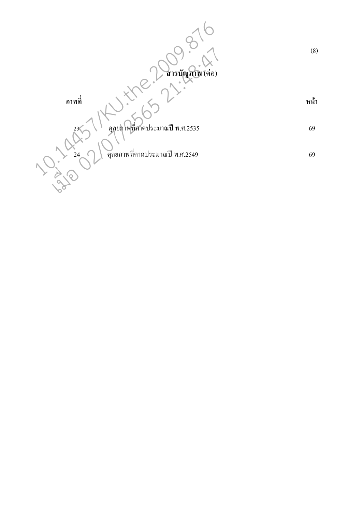(8) **สารบัญภาพ** (ต่อ)  **-**หน้า  $23$  ๆลยภาพที่ศาคประมาณปี พ.ศ.2535  $24$   $\bigcap$  ดุลยภาพที่คาคประมาณปี พ.ศ.2549 69 69 10.14457/KU.the.2009.876 เมื่อ 02/07/2565 21:48:47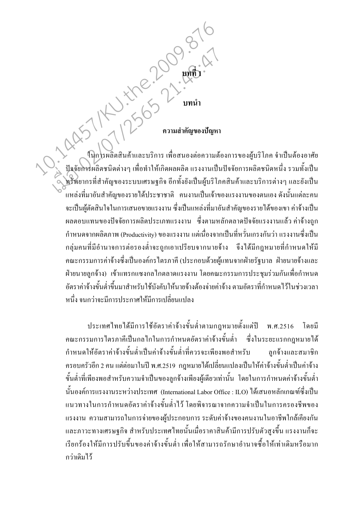11/2507-1-100.000-16 ในการผลิตสินค้าและบริการ เพื่อสนองต่อความต้องการของผู้บริโภค จำเป็นต้องอาศัย ปัจจัยการผลิตชนิดต่างๆ เพื่อทำให้เกิดผลผลิต แรงงานเป็นปัจจัยการผลิตชนิดหนึ่ง รวมทั้งเป็น ,<br>พยากรที่สำคัญของระบบเศรษฐกิจ อีกทั้งยังเป็นผู้บริโภคสินค้าและบริการต่างๆ และยังเป็น ้แหล่งที่มาอันสำคัญของรายใด้ประชาชาติ คนงานเป็นเจ้าของแรงงานของตนเอง ดังนั้นแต่ละคน ้จะเป็นผู้ตัดสินใจในการเสนอขายแรงงาน ซึ่งเป็นแหล่งที่มาอันสำคัญของรายได้ของเขา ค่าจ้างเป็น ี ผลตอบแทนของปัจจัยการผลิตประเภทแรงงาน ซึ่งตามหลักตลาดปัจจัยแรงงานแล้ว ค่าจ้างถูก ้กำหนดจากผลิตภาพ (Productivity) ของแรงงาน แต่เนื่องจากเป็นที่หวั่นเกรงกันว่า แรงงานซึ่งเป็น ึกลุ่มคนที่มีอำนาจการต่อรองต่ำจะถูกเอาเปรียบจากนายจ้าง จึงใด้มีกฎหมายที่กำหนดให้มี ึ คณะกรรมการค่าจ้างซึ่งเป็นองค์กรไตรภาคี (ประกอบด้วยผู้แทนจากฝ่ายรัฐบาล ฝ่ายนายจ้างและ ้ฝ่ายนายลูกจ้าง) เข้าแทรกแซงกลใกตลาดแรงงาน โดยคณะกรรมการประชุมร่วมกันเพื่อกำหนด ้อัตราค่าจ้างขั้นต่ำขึ้นมาสำหรับใช้บังคับให้นายจ้างต้องจ่ายค่าจ้าง ตามอัตราที่กำหนดไว้ในช่วงเวลา หนึ่ง จนกว่าจะมีการประกาศให้มีการเปลี่ยนแปลง

ประเทศไทยใด้มีการใช้อัตราค่าจ้างขั้นต่ำตามกฎหมายตั้งแต่ปี พ.ศ.2516 โดยมี คณะกรรมการไตรภาคีเป็นกลไกในการกำหนดอัตราค่าจ้างขั้นต่ำ ซึ่งในระยะแรกกฎหมายได้ กำหนดให้อัตราค่าจ้างขั้นต่ำเป็นค่าจ้างขั้นต่ำที่ควรจะเพียงพอสำหรับ ลกจ้างและสมาชิก ้ครอบครัวอีก 2 คน แต่ต่อมาในปี พ.ศ.2519 กฎหมายได้เปลี่ยนแปลงเป็นให้ค่าจ้างขั้นต่ำเป็นค่าจ้าง ้ขั้นต่ำที่เพียงพอสำหรับความจำเป็นของลูกจ้างเพียงผู้เดียวเท่านั้น โดยในการกำหนดค่าจ้างขั้นต่ำ นั้นองค์การแรงงานระหว่างประเทศ (International Labor Office : ILO) ได้เสนอหลักเกณฑ์ซึ่งเป็น แนวทางในการกำหนดอัตราค่าจ้างขั้นต่ำไว้ โดยพิจารณาจากความจำเป็นในการครองชีพของ แรงงาน ความสามารถในการจ่ายของผู้ประกอบการ ระดับค่าจ้างของคนงานในอาชีพใกล้เคียงกัน และภาวะทางเศรษฐกิจ สำหรับประเทศไทยนั้นเมื่อราคาสินค้ามีการปรับตัวสูงขึ้น แรงงานก็จะ เรียกร้องให้มีการปรับขึ้นของค่าจ้างขั้นต่ำ เพื่อให้สามารถรักษาอำนาจซื้อให้เท่าเดิมหรือมาก กว่าเดิมไว้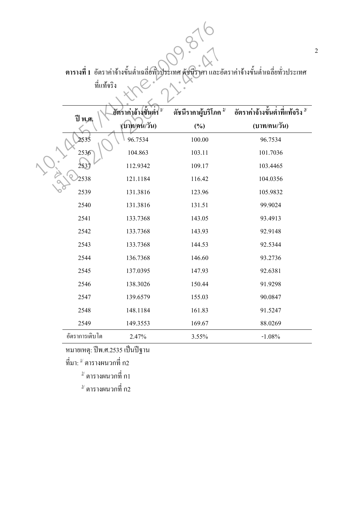ตารางที่ 1 อัตราค่าจ้างขั้นต่ำเฉลี่ยทั่วประเทศ คัชนีราคา และอัตราค่าจ้างขั้นต่ำเฉลี่ยทั่วประเทศ

| உ<br>$\triangle$<br>ทแทจรง |
|----------------------------|
|                            |

|                |                                      |                                  | ี่ ตารางที่ 1  อัตราค่าจ้างขั้นตำเฉลี่ยท๊วประเทศ คัชนีราคา และอัตราค่าจ้างขั้นต่ำเฉลี่ยทั่วประเทศ |
|----------------|--------------------------------------|----------------------------------|---------------------------------------------------------------------------------------------------|
|                | ที่แท้จริง                           |                                  |                                                                                                   |
| ปี พ.ศ.        | อัตราค่าจ้างขั้นต่ำ<br>$\mathbf{1}/$ | ดัชนีราคาผู้บริโภค <sup>2/</sup> | ้อัตราค่าจ้างขั้นต่ำที่แท้จริง $^{\mathsf{3}'}$                                                   |
|                | (บาท/คน/วัน)                         | $(\%)$                           | (บาท/คน/วัน)                                                                                      |
| 2535           | 96.7534                              | 100.00                           | 96.7534                                                                                           |
| 2536           | 104.863                              | 103.11                           | 101.7036                                                                                          |
| 2537           | 112.9342                             | 109.17                           | 103.4465                                                                                          |
| 2538           | 121.1184                             | 116.42                           | 104.0356                                                                                          |
| 2539           | 131.3816                             | 123.96                           | 105.9832                                                                                          |
| 2540           | 131.3816                             | 131.51                           | 99.9024                                                                                           |
| 2541           | 133.7368                             | 143.05                           | 93.4913                                                                                           |
| 2542           | 133.7368                             | 143.93                           | 92.9148                                                                                           |
| 2543           | 133.7368                             | 144.53                           | 92.5344                                                                                           |
| 2544           | 136.7368                             | 146.60                           | 93.2736                                                                                           |
| 2545           | 137.0395                             | 147.93                           | 92.6381                                                                                           |
| 2546           | 138.3026                             | 150.44                           | 91.9298                                                                                           |
| 2547           | 139.6579                             | 155.03                           | 90.0847                                                                                           |
| 2548           | 148.1184                             | 161.83                           | 91.5247                                                                                           |
| 2549           | 149.3553                             | 169.67                           | 88.0269                                                                                           |
| อัตราการเติบโต | 2.47%                                | 3.55%                            | $-1.08%$                                                                                          |

หมายเหตุ: ปีพ.ศ.2535 เป็นปีฐาน

 $\vec{\mathfrak{\eta}}$ มา:  $^{\mathfrak{\mathfrak{U}}}$  ตารางผนวกที่ ก2

 $^{\scriptscriptstyle 2\prime}$  ตารางผนวกที่ ก1

 $^{\frac{3}{\prime}}$ ตารางผนวกที่ ก2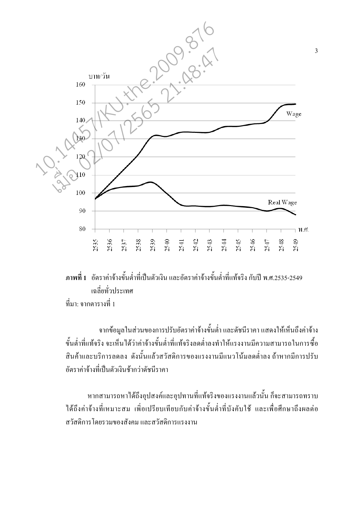

## ี ภาพที่ 1 อัตราค่าจ้างขั้นต่ำที่เป็นตัวเงิน และอัตราค่าจ้างขั้นต่ำที่แท้จริง กับปี พ.ศ.2535-2549 เฉลี่ยทั่วประเทศ ที่มา: จากตารางที่ 1

จากข้อมูลในส่วนของการปรับอัตราค่าจ้างขั้นต่ำ และดัชนีราคา แสดงให้เห็นถึงค่าจ้าง ้ขั้นต่ำที่แท้จริง จะเห็นได้ว่าค่าจ้างขั้นต่ำที่แท้จริงลดต่ำลงทำให้แรงงานมีความสามารถในการซื้อ ี่สินค้าและบริการลดลง ดังนั้นแล้วสวัสดิการของแรงงานมีแนวโน้มลดต่ำลง ถ้าหากมีการปรับ ้อัตราค่าจ้างที่เป็นตัวเงินช้ากว่าดัชนีราคา

หากสามารถหาได้ถึงอุปสงค์และอุปทานที่แท้จริงของแรงงานแล้วนั้น ก็จะสามารถทราบ ใค้ถึงค่าจ้างที่เหมาะสม เพื่อเปรียบเทียบกับค่าจ้างขั้นต่ำที่บังคับใช้ และเพื่อศึกษาถึงผลต่อ ิสวัสดิการโดยรวมของสังคม และสวัสดิการแรงงาน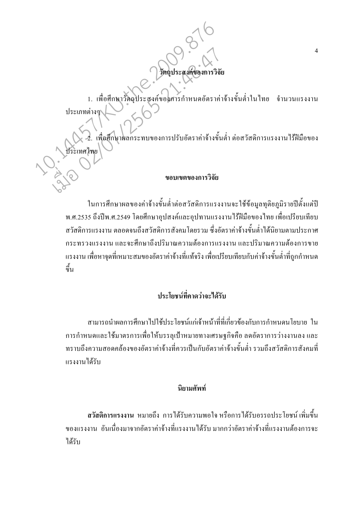$\overline{4}$ 

# 1. เพื่อศึกษาวัตถุประสงค์ของศารกำหนดอัตราค่าจ้างขั้นต่ำในไทย ึ่งำนวนแรงงาน <u> ประเภทต่าง</u> เพื่อศึกษาผลกระทบของการปรับอัตราค่าจ้างขั้นต่ำ ต่อสวัสดิการแรงงาน ใร้ฝีมือของ ขอบเขตของการวิจัย

ในการศึกษาผลของค่าจ้างขั้นต่ำต่อสวัสดิการแรงงานจะใช้ข้อมูลทุติยภูมิรายปีตั้งแต่ปี ี พ.ศ.2535 ถึงปีพ.ศ.2549 โดยศึกษาอุปสงค์และอุปทานแรงงานไร้ฝีมือของไทย เพื่อเปรียบเทียบ สวัสดิการแรงงาบ ตกอดจบกึ่งสวัสดิการสังคมโดยรวบ ซึ่งอัตราค่าจ้างขั้นต่ำได้บิยาบตามประกาศ ้กระทรวงแรงงาน และจะศึกษาถึงปริมาณความต้องการแรงงาน และปริมาณความต้องการขาย ้ แรงงาน เพื่อหาจุดที่เหมาะสมของอัตราค่าจ้างที่แท้จริง เพื่อเปรียบเทียบกับค่าจ้างขั้นต่ำที่ถูกกำหนด ์<br>ขึ้น

# ประโยชน์ที่คาดว่าจะได้รับ

ี่ สามารถนำผลการศึกษาไปใช้ประโยชน์แก่เจ้าหน้าที่ที่เกี่ยวข้องกับการกำหนดนโยบาย ใน ึการกำหนดและใช้มาตรการเพื่อให้บรรลเป้าหมายทางเศรษฐกิจคือ ลดอัตราการว่างงานลง และ ิทราบถึงความสอดคล้องของอัตราค่าจ้างที่ควรเป็นกับอัตราค่าจ้างขั้นต่ำ รวมถึงสวัสดิการสังคมที่ แรงงานได้รับ

## นิยามศัพท์

ิสวัสดิการแรงงาน หมายถึง การได้รับความพอใจหรือการได้รับอรรถประโยชน์เพิ่มขึ้น ี ของแรงงาน อันเนื่องมาจากอัตราค่าจ้างที่แรงงานได้รับ มากกว่าอัตราค่าจ้างที่แรงงานต้องการจะ ได้รับ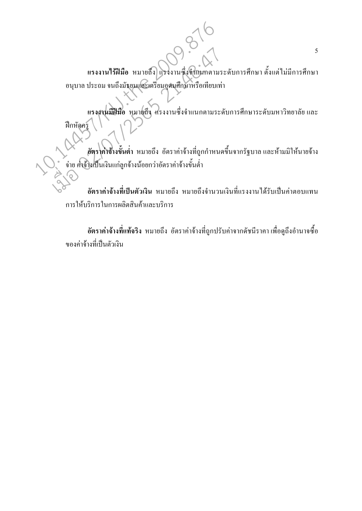แรงงานใร้ฝีมือ หมายถึง แรงงานซึ่งจั๊าแนกตามระดับการศึกษา ตั้งแต่ไม่มีการศึกษา อนุบาล ประถม จนถึงมัธยมและเตรียมอุคมศึกษาหรือเทียบเท่า

แรงงานมีฝีมือ หมายถึง แรงงานซึ่งจำแนกตามระดับการศึกษาระดับมหาวิทยาลัย และ ์ ฝึกหัดคร

อัตราค่าจ้างขั้นต่ำ หมายถึง อัตราค่าจ้างที่ถูกกำหนดขึ้นจากรัฐบาลและห้ามมิให้นายจ้าง ์ จ่าย ค่าจ้างเป็นเงินแก่ลูกจ้างน้อยกว่าอัตราค่าจ้างขั้นต่ำ

อัตราค่าจ้างที่เป็นตัวเงิน หมายถึง หมายถึงจำนวนเงินที่แรงงานได้รับเป็นค่าตอบแทน การให้บริการในการผลิตสินค้าและบริการ

้ อัตราค่าจ้างที่แท้จริง หมายถึง อัตราค่าจ้างที่ถูกปรับค่าจากดัชนีราคา เพื่อดูถึงอำนาจซื้อ ีของค่าจ้างที่เป็นตัวเงิน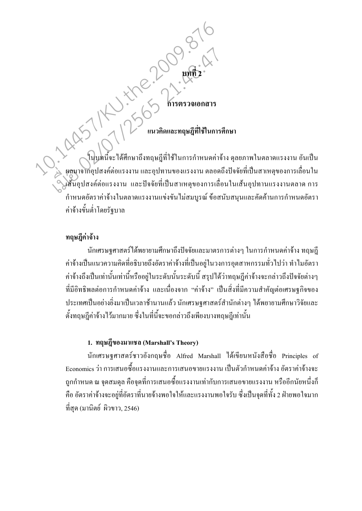# 

ในบทนี้จะได้ศึกษาถึงทฤษฎีที่ใช้ในการกำหนดค่าจ้าง คุลยภาพในตลาดแรงงาน อันเป็น ุ ผลมาจากอุปสงค์ต่อแรงงาน และอุปทานของแรงงาน ตลอดถึงปัจจัยที่เป็นสาเหตุของการเลื่อนใน เส้นอุปสงค์ต่อแรงงาน และปัจจัยที่เป็นสาเหตุของการเลื่อนในเส้นอุปทานแรงงานตลาด การ ้กำหนดอัตราค่าจ้างในตลาดแรงงานแข่งขันไม่สมบูรณ์ ข้อสนับสนุนและคัดค้านการกำหนดอัตรา ้ค่ำจ้างขั้นต่ำโดยรัฐบาล

### ทฤษฎีค่าจ้าง

้นักเศรษฐศาสตร์ใด้พยายามศึกษาถึงปัจจัยและมาตรการต่างๆ ในการกำหนดค่าจ้าง ทฤษฎี ้ค่าจ้างเป็นแนวความคิดที่อธิบายถึงอัตราค่าจ้างที่เป็นอยู่ในวงการอุตสาหกรรมทั่วไปว่า ทำไมอัตรา ้ค่าจ้างถึงเป็นเท่านั้นเท่านี้หรืออยู่ในระดับนั้นระดับนี้ สรุปได้ว่าทฤษฎีค่าจ้างจะกล่าวถึงปัจจัยต่างๆ ที่มีอิทธิพลต่อการกำหนดค่าจ้าง และเนื่องจาก "ค่าจ้าง" เป็นสิ่งที่มีความสำคัญต่อเศรษฐกิจของ ประเทศเป็นอย่างยิ่งมาเป็นเวลาช้านานแล้ว นักเศรษฐศาสตร์สำนักต่างๆ ได้พยายามศึกษาวิจัยและ ้ตั้งทฤษฎีค่าจ้างไว้มากมาย ซึ่งในที่นี้จะขอกล่าวถึงเพียงบางทฤษฎีเท่านั้น

### 1. ทฤษฎีของมาแชล (Marshall's Theory)

นักเศรษฐศาสตร์ชาวอังกฤษชื่อ Alfred Marshall ใค้เขียนหนังสือชื่อ Principles of Economics ว่า การเสนอซื้อแรงงานและการเสนอขายแรงงาน เป็นตัวกำหนดค่าจ้าง อัตราค่าจ้างจะ ิถกกำหนด ณ จดสมดล คือจดที่การเสนอซื้อแรงงานเท่ากับการเสนอขายแรงงาน หรืออีกนัยหนึ่งก็ ้คือ อัตราค่าจ้างจะอยู่ที่อัตราที่นายจ้างพอใจให้และแรงงานพอใจรับ ซึ่งเป็นจุดที่ทั้ง 2 ฝ่ายพอใจมาก ุ ที่สุด (มานิตย์ ผิวขาว, 2546)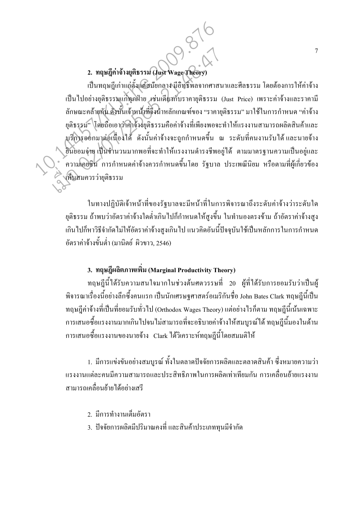2. ทฤษฎีค่าจ้างยุติธรรม (Just Wage Theory

้เป็นทฤษฎีเก่าแก่ตั้งเดืสมัยกลางมีอิทธิพลจากศาสนาและศีลธรรม โดยต้องการให้ค่าจ้าง เป็นไปอย่างยุติธรรมแก่ทุกฝ่าย เช่นเดียวกับรากายุติธรรม (Just Price) เพราะค่าจ้างและราคามี ิลักษณะคล้ายกัน ดังนั้นเจ้าหน้าที่จึงนำหลักเกณฑ์ของ "ราคายติธรรม" มาใช้ในการกำหนด "ค่าจ้าง ยุติธรรม" โดยถือเอาว่าค่าจ้างยุติธรรมคือค่าจ้างที่เพียงพอจะทำให้แรงงานสามารถผลิตสินค้าและ ุบริการออกมาต่อเนื่องใด้ ดังนั้นค่าจ้างจะถูกกำหนดขึ้น ณ ระดับที่คนงานรับใด้และนายจ้าง ้ ฮินยอมจ่าย เป็นจำนวนมากพอที่จะทำให้แรงงานคำรงชีพอยู่ได้ ตามมาตรฐานความเป็นอยู่และ ้ ความเอยชิน การกำหนดค่าจ้างควรกำหนดขึ้นโดย รัฐบาล ประเพณีนิยม หรือตามที่ผู้เกี่ยวข้อง <u>>ี เห็นสม</u>ควรว่ายุติธรรม

ในทางปฏิบัติเจ้าหน้าที่ของรัฐบาลจะมีหน้าที่ในการพิจารณาถึงระคับค่าจ้างว่าระคับใค ยุติธรรม ถ้าพบว่าอัตราค่าจ้างใดต่ำเกินไปก็กำหนดให้สูงขึ้น ในทำนองตรงข้าม ถ้าอัตราค่าจ้างสูง ้เกินไปก็หาวิธีจำกัดไม่ให้อัตราค่าจ้างสูงเกินไป แนวคิดอันนี้ปัจจุบันใช้เป็นหลักการในการกำหนด อัตราค่าจ้างขั้นต่ำ (มานิตย์ ผิวขาว, 2546)

3. ทฤษฎีผลิตภาพเพิ่ม (Marginal Productivity Theory)

ทฤษฎีนี้ได้รับความสนใจมากในช่วงต้นศตวรรษที่ 20 ผู้ที่ได้รับการยอมรับว่าเป็นผู้ ้ พิจารณาเรื่องนี้อย่างลึกซึ้งคนแรก เป็นนักเศรษฐศาสตร์อเมริกันชื่อ John Bates Clark ทฤษฎีนี้เป็น ทฤษฎีค่าจ้างที่เป็นที่ยอมรับทั่วไป (Orthodox Wages Theory) แต่อย่างไรก็ตาม ทฤษฎีนี้เน้นเฉพาะ ้การเสนอซื้อแรงงานมากเกินไปจนไม่สามารถที่จะอธิบายค่าจ้างให้สมบูรณ์ได้ ทฤษฎีนี้มองในด้าน ี การเสนอซื้อแรงงานของนายจ้าง Clark ใค้วิเคราะห์ทฤษฏีนี้โดยสมมติให้

1. มีการแข่งขันอย่างสมบูรณ์ ทั้งในตลาดปัจจัยการผลิตและตลาดสินค้า ซึ่งหมายความว่า ้แรงงานแต่ละคนมีความสามารถและประสิทธิภาพในการผลิตเท่าเทียมกัน การเคลื่อนย้ายแรงงาน ิสามารถเคลื่อนย้ายได้อย่างเสรี

2 มีการทำงานเต็มคัตรา

3. ปัจจัยการผลิตมีปริมาณคงที่ และสินค้าประเภททุนมีจำกัด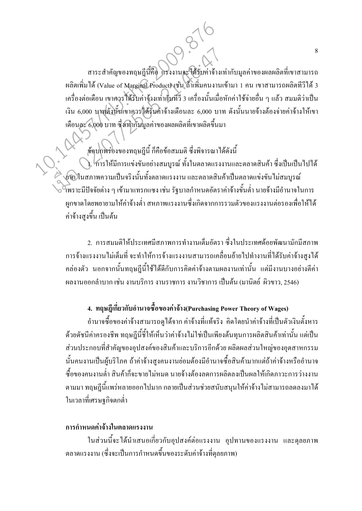สาระสำคัญของทฤษฎีนี้คือ โรงงานจะใส้รับค่าจ้างเท่ากับมูลค่าของผลผลิตที่เขาสามารถ ผลิตเพิ่มได้ (Value of Marginal Product) เช่น ถ้ำเพิ่มคนงานเข้ามา 1 คน เขาสามารถผลิตทีวีได้ 3 เครื่องต่อเดือน เขาควรใส้รับค่าจ้างเท่ากับทีวี 3 เครื่องนั้นเมื่อหักค่าใช้จ่ายอื่น ๆ แล้ว สมมติว่าเป็น ้เงิน 6,000 บาทดั้งนั้นเขาควรใด้รับค่าจ้างเดือนละ 6,000 บาท ดังนั้นนายจ้างต้องจ่ายค่าจ้างให้เขา เคือนละ 6,000 บาท ซึ่งเท่ากับมูลค่าของผลผลิตที่เขาผลิตขึ้นมา

## ข้อบกพร่องของทฤษฎีนี้ ก็คือข้อสมมติ ซึ่งพิจารณาได้ดังนี้

). โการให้มีการแข่งขันอย่างสมบูรณ์ ทั้งในตลาดแรงงานและตลาดสินค้า ซึ่งเป็นเป็นไปได้ ย์ทิ ในสภาพความเป็นจริงนั้นทั้งตลาดแรงงาน และตลาดสินค้าเป็นตลาดแข่งขัน ไม่สมบูรณ์ ี โพราะมีปัจจัยต่าง ๆ เข้ามาแทรกแซง เช่น รัฐบาลกำหนดอัตราค่าจ้างขั้นต่ำ นายจ้างมีอำนาจในการ ้ผูกขาดโดยพยายามให้ค่าจ้างต่ำ สหภาพแรงงานซึ่งเกิดจากการรวมตัวของแรงงานต่อรองเพื่อให้ได้ ค่าจ้างสงขึ้น เป็นต้น

่ 2. การสมมติให้ประเทศมีสภาพการทำงานเต็มอัตรา ซึ่งในประเทศด้อยพัฒนามักมีสภาพ ึการจ้างแรงงานไม่เต็มที่ จะทำให้การจ้างแรงงานสามารถเคลื่อนย้ายไปทำงานที่ได้รับค่าจ้างสงได้ ึ คล่องตัว นอกจากนั้นทฤษฎีนี้ใช้ได้ดีกับการคิดค่าจ้างตามผลงานเท่านั้น แต่มีงานบางอย่างตีค่า ี่ ผลงานออกลำบาก เช่น งานบริการ งานราชการ งานวิชาการ เป็นต้น (มานิตย์ ผิวขาว, 2546)

## 4. ทฤษฎีเกี่ยวกับอำนาจซื้อของค่าจ้าง(Purchasing Power Theory of Wages)

้อำนาจซื้อของค่าจ้างสามารถดูได้จาก ค่าจ้างที่แท้จริง คิดโดยนำค่าจ้างที่เป็นตัวเงินตั้งหาร ้ด้วยดัชนีค่าครองชีพ ทฤษฎีนี้ชี้ให้เห็นว่าค่าจ้างไม่ใช่เป็นเพียงต้นทุนการผลิตสินค้าเท่านั้น แต่เป็น ้ ส่วนประกอบที่สำคัญของอุปสงค์ของสินค้าและบริการอีกด้วย ผลิตผลส่วนใหญ่ของอุตสาหกรรม ้นั้นคนงานเป็นผ้บริโภค ถ้าค่าจ้างสงคนงานย่อมต้องมีอำนาจซื้อสินค้ามากแต่ถ้าค่าจ้างหรืออำนาจ ์ซื้อของคนงานต่ำ สินค้าก็จะขายไม่หมด นายจ้างต้องลดการผลิตลงเป็นผลให้เกิดภาวะการว่างงาน ี ตามมา ทฤษฎีนี้แพร่หลายออกไปมาก กลายเป็นส่วนช่วยสนับสนุนให้ค่าจ้างไม่สามารถลดลงมาได้ ในเวลาที่เศรษฐกิจตกต่ำ

### ึการกำหนดค่าถ้างในตลาดแรงงาน

ในส่วนนี้จะได้นำเสนอเกี่ยวกับอุปสงค์ต่อแรงงาน อุปทานของแรงงาน และคุลยภาพ ็ตลาดแรงงาน (ซึ่งจะเป็นการกำหนดขึ้นของระดับค่าจ้างที่ดุลยภาพ)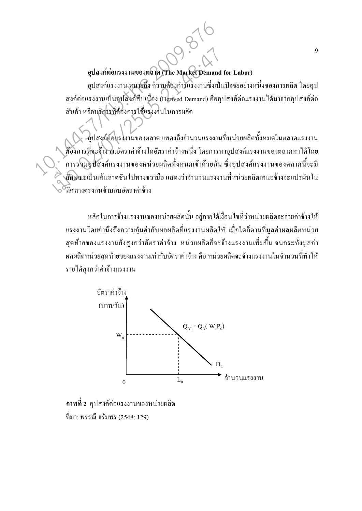### อุปสงค์ต่อแรงงานของตลาด (The Market Demand for Labor)

อุปสงค์แรงงาน หมายถึง ความต้องการแรงงานซึ่งเป็นปัจจัยอย่างหนึ่งของการผลิต โดยอุป สงค์ต่อแรงงานเป็นจูปสิ่งค์สืบเนื่อง (Derived Demand) คืออุปสงค์ต่อแรงงาน ได้มาจากอุปสงค์ต่อ ้สินค้า หรือบริการที่ต้องการใช้แรงงานในการผลิต

√ -อุปสงค์ต่อแรงงานของตลาด แสดงถึงจำนวนแรงงานที่หน่วยผลิตทั้งหมดในตลาดแรงงาน ด้องการที่จะจ้าง ณ.อัตราค่าจ้างใดอัตราค่าจ้างหนึ่ง โดยการหาอุปสงค์แรงงานของตลาดหาได้โดย ้ การรวมอุปสงค์แรงงานของหน่วยผลิตทั้งหมดเข้าด้วยกัน ซึ่งอุปสงค์แรงงานของตลาดนี้จะมี ล์้กษณะเป็นเส้นลาคชัน ไปทางขวามือ แสคงว่าจำนวนแรงงานที่หน่วยผลิตเสนอจ้างจะแปรผันใน .<br>ทิศทางตรงกับข้ามกับกัตราค่าจ้าง

หลักในการจ้างแรงงานของหน่วยผลิตนั้น อยู่ภายใต้เงื่อนไขที่ว่าหน่วยผลิตจะจ่ายค่าจ้างให้ ้ แรงงานโดยคำนึงถึงความคุ้มค่ากับผลผลิตที่แรงงานผลิตให้ เมื่อใดก็ตามที่มูลค่าผลผลิตหน่วย ี่ สุดท้ายของแรงงานยังสูงกว่าอัตราค่าจ้าง หน่วยผลิตก็จะจ้างแรงงานเพิ่มขึ้น จนกระทั่งมูลค่า ้ผลผลิตหน่วยสุดท้ายของแรงงานเท่ากับอัตราค่าจ้าง คือ หน่วยผลิตจะจ้างแรงงานในจำนวนที่ทำให้ รายได้สงกว่าค่าจ้างแรงงาน



ี ภาพที่ 2 อุปสงค์ต่อแรงงานของหน่วยผลิต ีที่มา: พรรณี จรัมพร (2548: 129)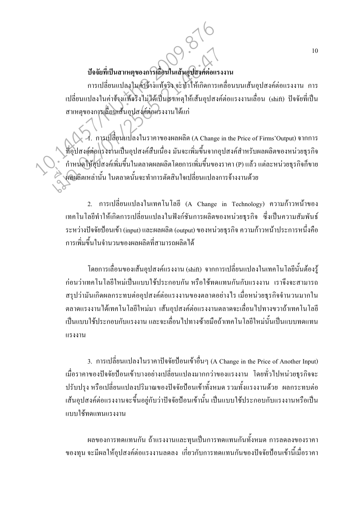### บ้อจัยที่เป็นสาเหตุของการเลื่อนในเส้นอุปสงค์ต่อแรงงาน

ึการเปลี่ยนแปลงในค่าถ้างแท้จริง จะทำให้เกิดการเคลื่อนบนเส้นอุปสงค์ต่อแรงงาน การ เปลี่ยนแปลงในค่าจ้างแท้จริงไม่ได้เป็นสาเหตุให้เส้นอุปสงค์ต่อแรงงานเลื่อน (shift) ปัจจัยที่เป็น สาเหตุของการเลื่อนเส้นอุปสงค์ต่อแรงงาน ได้แก่

 $\mathcal{A}_{\cdot}$ การเปลี่ยนแปลงในราคาของผลผลิต (A Change in the Price of Firms'Output) จากการ ที่อุปสงค์ต่อแรงงานเป็นอุปสงค์สืบเนื่อง มันจะเพิ่มขึ้นจากอุปสงค์สำหรับผลผลิตของหน่วยธุรกิจ ์ กำหนดให้อุปสงค์เพิ่มขึ้นในตลาดผลผลิตโดยการเพิ่มขึ้นของราคา (P) แล้ว แต่ละหน่วยธุรกิจก็ขาย ผลิผลิตเหล่านั้น ในตลาดนั้นจะทำการตัดสินใจเปลี่ยนแปลงการจ้างงานด้วย

2. การเปลี่ยนแปลงในเทคโนโลยี (A Change in Technology) ความก้าวหน้าของ ้ เทคโนโลยีทำให้เกิดการเปลี่ยนแปลงในฟังก์ชันการผลิตของหน่วยธุรกิจ ซึ่งเป็นความสัมพันธ์ ี่ ระหว่างปัจจัยป้อนเข้า (input) และผลผลิต (output) ของหน่วยธรกิจ ความก้าวหน้าประการหนึ่งคือ ิการเพิ่มขึ้นในจำนวนของผลผลิตที่สามารถผลิตได้

์ โดยการเลื่อนของเส้นอปสงค์แรงงาน (shift) จากการเปลี่ยนแปลงในเทคโนโลยีนั้นต้องร้ ึก่อนว่าเทคโนโลยีใหม่เป็นแบบใช้ประกอบกัน หรือใช้ทดแทนกันกับแรงงาน เราจึงจะสามารถ ี สรปว่ามันเกิดผลกระทบต่ออปสงค์ต่อแรงงานของตลาดอย่างไร เมื่อหน่วยธรกิจจำนวนมากใน ิตลาดแรงงานได้เทคโนโลยีใหม่มา เส้นอปสงค์ต่อแรงงานตลาดจะเลื่อนไปทางขวาถ้าเทคโนโลยี ้เป็นแบบใช้ประกอบกับแรงงาน และจะเลื่อนไปทางซ้ายมือถ้าเทคโนโลยีใหม่นั้นเป็นแบบทดแทน  $1153311$ 

3. การเปลี่ยนแปลงในราคาปัจจัยป้อนเข้าอื่นๆ (A Change in the Price of Another Input) เมื่อราคาของปัจจัยป้อนเข้าบางอย่างเปลี่ยนแปลงมากกว่าของแรงงาน โดยทั่วไปหน่วยธุรกิจจะ ปรับปรุง หรือเปลี่ยนแปลงปริมาณของปัจจัยป้อนเข้าทั้งหมด รวมทั้งแรงงานด้วย ผลกระทบต่อ เส้นอุปสงค์ต่อแรงงานจะขึ้นอยู่กับว่าปัจจัยป้อนเข้านั้น เป็นแบบใช้ประกอบกับแรงงานหรือเป็น แบบใช้ทดแทบแรงงาบ

ี ผลของการทดแทนกัน ถ้าแรงงานและทุนเป็นการทดแทนกันทั้งหมด การลดลงของราคา ี ของทุน จะมีผลให้อุปสงค์ต่อแรงงานลดลง เกี่ยวกับการทดแทนกันของปัจจัยป้อนเข้านี้เมื่อราคา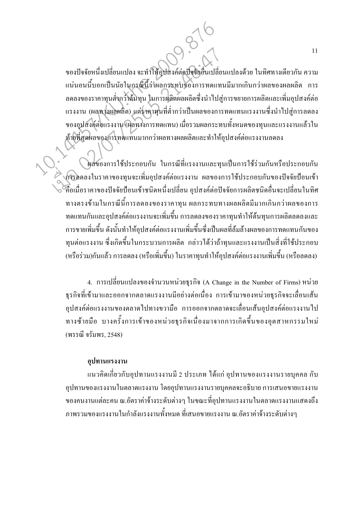ของปัจจัยหนึ่งเปลี่ยนแปลง จะทำให้อุปสงค์ต่อปัจจัยอื่นเปลี่ยนแปลงด้วย ในทิศทางเดียวกัน ความ ี แน่นอนนี้บอกเป็นนัยในกรณ์นี้ว่าผลกระทบของการทดแทนมีมากเกินกว่าผลของผลผลิต การ ิลคลงของราคาทุนต่ำกว๊าต้นทุน ในการผลิตผลผลิตซึ่งนำไปสู่การขยายการผลิตและเพิ่มอุปสงค์ต่อ ี แรงงาน (ผลทางผลผลิต) แต่ราคาทุนที่ต่ำกว่าเป็นผลของการทดแทนแรงงานซึ่งนำไปสู่การลดลง ของอุปสงค์ต่อแรงงาน (ผลทวงการทดแทน) เมื่อรวมผลกระทบทั้งหมดของทุนและแรงงานแล้วใน ท้ายที่สุดผลของการทดแทนมากกว่าผลทางผลผลิตและทำให้อปสงค์ต่อแรงงานลดลง

หลับองการใช้ประกอบกัน ในกรณีที่แรงงานและทุนเป็นการใช้ร่วมกันหรือประกอบกัน ึกวรลดลงในราคาของทุนจะเพิ่มอุปสงค์ต่อแรงงาน ผลของการใช้ประกอบกันของปัจจัยป้อนเข้า ้ คือเมื่อราคาของปัจจัยป้อนเข้าชนิดหนึ่งเปลี่ยน อปสงค์ต่อปัจจัยการผลิตชนิดอื่นจะเปลี่ยนในทิศ ี ทางตรงข้ามในกรณีนี้การลดลงของราคาทน ผลกระทบทางผลผลิตมีมากเกินกว่าผลของการ ทดแทนกันและอุปสงค์ต่อแรงงานจะเพิ่มขึ้น การลดลงของราคาทุนทำให้ต้นทุนการผลิตลดลงและ ึการขายเพิ่มขึ้น ดังนั้นทำให้อุปสงค์ต่อแรงงานเพิ่มขึ้นซึ่งเป็นผลที่ล้มล้างผลของการทดแทนกันของ ทุนต่อแรงงาน ซึ่งเกิดขึ้นในกระบวนการผลิต กล่าวได้ว่าถ้าทุนและแรงงานเป็นสิ่งที่ใช้ประกอบ (หรือร่วม)กันแล้ว การลดลง (หรือเพิ่มขึ้น) ในราคาทุนทำให้อุปสงค์ต่อแรงงานเพิ่มขึ้น (หรือลดลง)

4. การเปลี่ยนแปลงของจำนวนหน่วยธุรกิจ (A Change in the Number of Firms) หน่วย ธุรกิจที่เข้ามาและออกจากตลาดแรงงานมือย่างต่อเนื่อง การเข้ามาของหน่วยธุรกิจจะเลื่อนเส้น อุปสงค์ต่อแรงงานของตลาดไปทางขวามือ การออกจากตลาดจะเลื่อนเส้นอุปสงค์ต่อแรงงานไป ทางซ้ายมือ บางครั้งการเข้าของหน่วยธุรกิจเนื่องมาจากการเกิดขึ้นของอุตสาหกรรมใหม่ (พรรณี จรัมพร, 2548)

### อุปทานแรงงาน

ี แนวคิดเกี่ยวกับอุปทานแรงงานมี 2 ประเภท ใด้แก่ อุปทานของแรงงานรายบุคคล กับ ์ อุปทานของแรงงานในตลาดแรงงาน โดยอุปทานแรงงานรายบุคคลจะอธิบาย การเสนอขายแรงงาน ีของคนงานแต่ละคน ณ.อัตราค่าจ้างระดับต่างๆ ในขณะที่อุปทานแรงงานในตลาดแรงงานแสดงถึง ึภาพรวมของแรงงานในกำลังแรงงานทั้งหมด ที่เสนอขายแรงงาน ณ.อัตราค่าจ้างระดับต่างๆ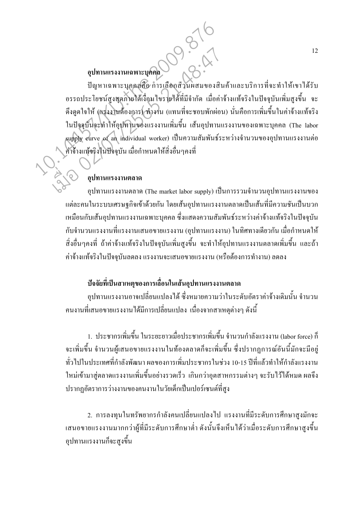# 009.21 อุปทานแรงงานเฉพาะบุคคล

ปัญหาเฉพาะบุคคลลือ การเลือกส่วนผสมของสินค้าและบริการที่จะทำให้เขาได้รับ อรรถประโยชน์สูงสุดภายใต้เงื่อนไขรายได้ที่มีจำกัด เมื่อค่าจ้างแท้จริงในปัจจุบันเพิ่มสูงขึ้น จะ ้ดึงดูคใจให้ (แรงงานค้องการ) ทำงาน (แทนที่จะชอบพักผ่อน) นั่นคือการเพิ่มขึ้นในค่าจ้างแท้จริง ในปัจจุบันจะทำให้อุปทานของแรงงานเพิ่มขึ้น เส้นอุปทานแรงงานของเฉพาะบุคคล (The labor supply curve of an individual worker) เป็นความสัมพันธ์ระหว่างจำนวนของอุปทานแรงงานต่อ ค่าจ้างแท้จริงในปัจจุบัน เมื่อกำหนดให้สิ่งอื่นๆคงที่

### อปทานแรงงานตลาด

อปทานแรงงานตลาด (The market labor supply) เป็นการรวมจำนวนอปทานแรงงานของ ้แต่ละคนในระบบเศรษฐกิจเข้าด้วยกัน โดยเส้นอุปทานแรงงานตลาดเป็นเส้นที่มีความชันเป็นบวก ้เหมือนกับเส้นอุปทานแรงงานเฉพาะบุคคล ซึ่งแสดงความสัมพันธ์ระหว่างค่าจ้างแท้จริงในปัจจุบัน ้กับจำนวนแรงงานที่แรงงานเสนอขายแรงงาน (อุปทานแรงงาน) ในทิศทางเดียวกัน เมื่อกำหนดให้ ้สิ่งอื่นๆคงที่ ถ้าค่าจ้างแท้จริงในปัจจบันเพิ่มสงขึ้น จะทำให้อปทานแรงงานตลาดเพิ่มขึ้น และถ้า ้ค่าจ้างแท้จริงในปัจจบันลดลง แรงงานจะเสนอขายแรงงาน (หรือต้องการทำงาน) ลดลง

### บ้อจัยที่เป็นสาเหตุของการเลื่อนในเส้นอุปทานแรงงานตลาด

้อุปทานแรงงานอาจเปลี่ยนแปลงใด้ ซึ่งหมายความว่าในระดับอัตราค่าจ้างเดิมนั้น จำนวน ึ คนงานที่เสนอขายแรงงานใด้มีการเปลี่ยนแปลง เนื่องจากสาเหตุต่างๆ ดังนี้

1. ประชากรเพิ่มขึ้น ในระยะยาวเมื่อประชากรเพิ่มขึ้น จำนวนกำลังแรงงาน (labor force) ก็ ้จะเพิ่มขึ้น จำนวนผู้เสนอขายแรงงานในท้องตลาดก็จะเพิ่มขึ้น ซึ่งปรากฏการณ์อันนี้มักจะมีอยู่ ้ทั่วไปในประเทศที่กำลังพัฒนา ผลของการเพิ่มประชากรในช่วง 10-15 ปีที่แล้วทำให้กำลังแรงงาน ใหม่เข้ามาส่ตลาดแรงงานเพิ่มขึ้นอย่างรวดเร็ว เกินกว่าอตสาหกรรมต่างๆ จะรับไว้ได้หมด ผลจึง ้ ปรากฏอัตราการว่างงานของคนงานในวัยเด็กเป็นเปอร์เซนต์ที่สูง

2. การลงทุนในทรัพยากรกำลังคนเปลี่ยนแปลงไป แรงงานที่มีระดับการศึกษาสูงมักจะ ้ เสนอขายแรงงานมากกว่าผู้ที่มีระดับการศึกษาต่ำ ดังนั้นจึงเห็นได้ว่าเมื่อระดับการศึกษาสูงขึ้น อุปทานแรงงานก็จะสูงขึ้น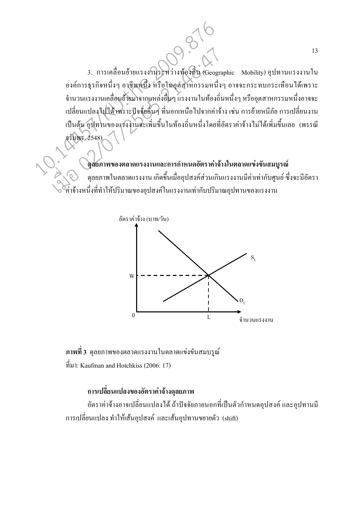3. การเคลื่อนย้ายแรงงานระหว่างท้องกิน (Geographic Mobility) อุปทานแรงงานใน ้องค์การธุรกิจหนึ่งๆ อาชีพหนึ่ง หรือในอุตสาหกรรมหนึ่งๆ อาจจะกระทบกระเทือนได้เพราะ ้จำนวนแรงงานเคลื่อนย้ายมาจากแหล่งอื่นๆ แรงงานในท้องถิ่นหนึ่งๆ หรืออุตสาหกรรมหนึ่งอาจจะ เปลี่ยนแปลงไปได้ เพราะปัจจัยอื่นๆ ที่นอกเหนือไปจากค่าจ้าง เช่น การย้ายหนีภัย การเปลี่ยนงาน เป็นต้น อุปทานของแรงงานจะเพิ่มขึ้นในท้องถิ่นหนึ่งโดยที่อัตราค่าจ้างไม่ได้เพิ่มขึ้นเลย (พรรณี จรัมพร. 2548)

### ิดุสยภาพของตลาดแรงงานและการกำหนดอัตราค่าจ้างในตลาดแข่งขันสมบูรณ์

้ดุลยภาพในตลาดแรงงาน เกิดขึ้นเมื่ออุปสงค์ส่วนเกินแรงงานมีค่าเท่ากับศูนย์ ซึ่งจะมีอัตรา ค่ำจ้างหนึ่งที่ทำให้ปริมาณของอปสงค์ในแรงงานเท่ากับปริมาณอปทานของแรงงาน



ี ภาพที่ 3 คุลยภาพของตลาดแรงงานในตลาดแข่งขันสมบรูณ์  $\hat{\vec{n}}$ มา: Kaufman and Hotchkiss (2006: 17)

### ึการเปลี่ยนแปลงของอัตราค่าจ้างดุลยภาพ

อัตราค่าจ้างอาจเปลี่ยนแปลงใด้ ถ้าปัจจัยภายนอกที่เป็นตัวกำหนดอุปสงค์ และอุปทานมี การเปลี่ยนแปลง ทำให้เส้นอุปสงค์ และเส้นอุปทานขยายตัว (shift)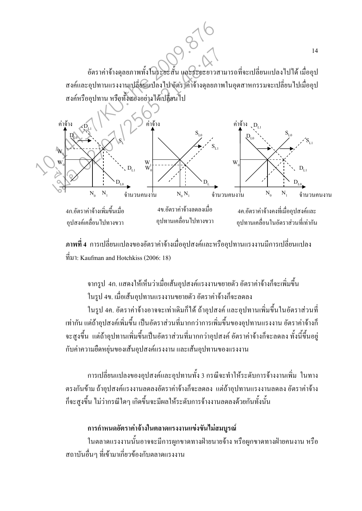

ี ภาพที่ 4 การเปลี่ยนแปลงของอัตราค่าจ้างเมื่ออุปสงค์และหรืออุปทานแรงงานมีการเปลี่ยนแปลง  $\hat{\vec{n}}$ มา: Kaufman and Hotchkiss (2006: 18)

ี จากรูป 4ก. แสดงให้เห็นว่าเมื่อเส้นอุปสงค์แรงงานขยายตัว อัตราค่าจ้างก็จะเพิ่มขึ้น ในรป 4ข. เมื่อเส้นอปทานแรงงานขยายตัว อัตราค่าจ้างก็จะลดลง

ในรูป 4ค. อัตราค่าจ้างอาจจะเท่าเดิมก็ได้ ถ้าอุปสงค์ และอุปทานเพิ่มขึ้นในอัตราส่วนที่ ้เท่ากัน แต่ถ้าอุปสงค์เพิ่มขึ้น เป็นอัตราส่วนที่มากกว่าการเพิ่มขึ้นของอุปทานแรงงาน อัตราค่าจ้างก็ ้ จะสงขึ้น แต่ถ้าอปทานเพิ่มขึ้นเป็นอัตราส่วนที่มากกว่าอปสงค์ อัตราค่าจ้างก็จะลดลง ทั้งนี้ขึ้นอย่ ้กับค่าความยืดหย่นของเส้นอปสงค์แรงงาน และเส้นอปทานของแรงงาน

ี การเปลี่ยนแปลงของอปสงค์และอปทานทั้ง 3 กรณีจะทำให้ระดับการจ้างงานเพิ่ม ในทาง ้ตรงกันข้าม ถ้าอุปสงค์แรงงานลดลงอัตราค่าจ้างก็จะลดลง แต่ถ้าอุปทานแรงงานลดลง อัตราค่าจ้าง ้ก็จะสูงขึ้น ไม่ว่ากรณีใดๆ เกิดขึ้นจะมีผลให้ระดับการจ้างงานลดลงด้วยกันทั้งนั้น

### การกำหนดอัตราค่าจ้างในตลาดแรงงานแข่งขันไม่สมบูรณ์

ในตลาดแรงงานนั้นอาจจะมีการผูกขาดทางฝ่ายนายจ้าง หรือผูกขาดทางฝ่ายคนงาน หรือ ิสถาบันอื่นๆ ที่เข้ามาเกี่ยวข้องกับตลาดแรงงาน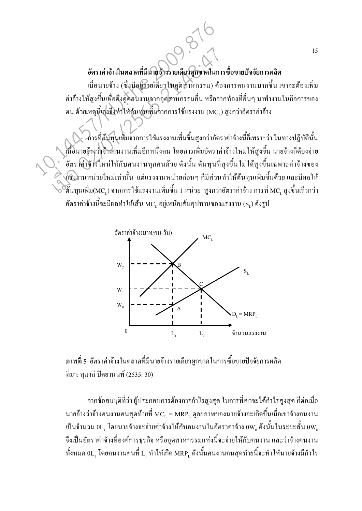### อัตราค่าจ้างในตลาดที่มีนายจ้างรายเดียวผูกขาดในการซื้อขายปัจจัยการผลิต

้เมื่อนายจ้าง (ซึ่งมีอยู่รายเคียวในอุตสาหกรรม) ต้องการคนงานมากขึ้น เขาจะต้องเพิ่ม ้ค่าจ้างให้สูงขึ้นเพื่อดึงดูดอนงานจากอุตสาหกรรมอื่น หรือจากท้องที่อื่นๆ มาทำงานในกิจการของ ตน ด้วยเหตุนี้เองจึงทำให้ต้นทุนเพิ่มจากการใช้แรงงาน (MC,) สูงกว่าอัตราค่าจ้าง

-การที่ต้นทุนเพิ่มจากการใช้แรงงานเพิ่มขึ้นสูงกว่าอัตราค่าจ้างนี้ก็เพราะว่า ในทางปฏิบัตินั้น เมื่อนายจ้างว่าจ้างคนงานเพิ่มอีกหนึ่งคน โดยการเพิ่มอัตราค่าจ้างใหม่ให้สูงขึ้น นายจ้างก็ต้องจ่าย ้อัตราค่าจ้างใหม่ให้กับคนงานทุกคนด้วย ดังนั้น ต้นทุนที่สูงขึ้นไม่ได้สูงขึ้นเฉพาะค่าจ้างของ งเริงงานหน่วยใหม่เท่านั้น แต่แรงงานหน่วยก่อนๆ ก็มีส่วนทำให้ต้นทุนเพิ่มขึ้นด้วย และมีผลให้ ์ต้นทุนเพิ่ม(MC, ) จากการใช้แรงงานเพิ่มขึ้น 1 หน่วย สูงกว่าอัตราค่าจ้าง การที่ MC, สูงขึ้นเร็วกว่า อัตราค่าจ้างนี้จะมีผลทำให้เส้น MC, อยู่เหนือเส้นอุปทานของแรงงาน (S, ) ดังรูป



ี ภาพที่ 5 อัตราค่าจ้างในตลาดที่มีนายจ้างรายเดียวผูกขาดในการซื้อขายปัจจัยการผลิต ที่มา: สุมาลี ปิตยานนท์ (2535: 30)

้จากข้อสมมุติที่ว่า ผู้ประกอบการต้องการกำไรสูงสุด ในการที่เขาจะได้กำไรสูงสุด ก็ต่อเมื่อ นายจ้างว่าจ้างคนงานคนสุดท้ายที่  $\mathrm{MC}_{\text{\tiny L}} = \mathrm{MRP}_{\text{\tiny L}}$ ดุลยภาพของนายจ้างจะเกิดขึ้นเมื่อเขาจ้างคนงาน เป็นจำนวน  $0$ L, โดยนายจ้างจะจ่ายค่าจ้างให้กับคนงานในอัตราค่าจ้าง  $0$ W $_{_0}$ ดังนั้นในระยะสั้น  $0$ W $_{_0}$ จึงเป็นอัตราค่าจ้างที่องค์การธุรกิจ หรืออุตสาหกรรมแห่งนี้จะจ่ายให้กับคนงาน และว่าจ้างคนงาน ทั้งหมด  $0$ L, โดยคนงานคนที่ L, ทำให้เกิด MRP, ดังนั้นคนงานคนสุดท้ายนี้จะทำให้นายจ้างมีกำไร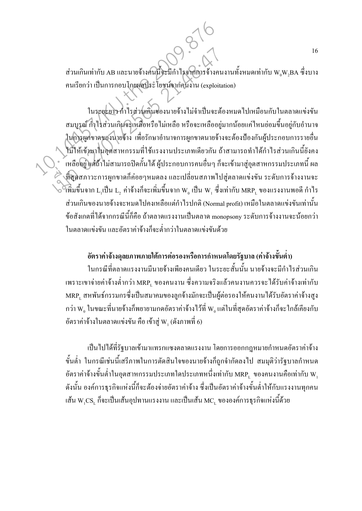ี่ ส่วนเกินเท่ากับ AB และนายจ้างคนนี้จะมีกำไรจากการจ้างคนงานทั้งหมดเท่ากับ W<sub>o</sub>W<sub>o</sub>BA ซึ่งบาง คนเรียกว่า เป็นการกอบโกยผลประโยชน์จากคนงาน (exploitation)

ในระยะยาว กำไรส่วนเกินของนายจ้างไม่จำเป็นจะต้องหมดไปเหมือนกับในตลาดแข่งขัน ิสมบูรณ์ กำไรส่วนเกินจะเหลือหรือไม่เหลือ หรือจะเหลืออยู่มากน้อยแก่ไหนย่อมขึ้นอยู่กับอำนาจ ในการผูกขาดของนายจ้าง เพื่อรักษาอำนาจการผูกขาดนายจ้างจะต้องป้องกันผู้ประกอบการรายอื่น ใม่ให้เข้ามาในอุตสาหกรรมที่ใช้แรงงานประเภทเดียวกัน ถ้าสามารถทำได้กำไรส่วนเกินนี้ยังคง ้ เหลืออยู่ แต่ถ้าไม่สามารถปิดกั้น ได้ ผู้ประกอบการคนอื่นๆ ก็จะเข้ามาสู่อุตสาหกรรมประเภทนี้ ผล ึ่งที่สุดสภาวะการผูกขาดก็ค่อยๆหมดลง และเปลี่ยนสภาพใปสู่ตลาดแข่งขัน ระดับการจ้างงานจะ  $\begin{bmatrix} \sim \\ \sim \\ \sim \end{bmatrix}$ เขียวก  $\text{L}_1$ เป็น  $\text{L}_2$  ค่าจ้างก็จะเพิ่มขึ้นจาก  $\text{W}_{{}_0}$  เป็น  $\text{W}_{{}_1}$  ซึ่งเท่ากับ  $\text{MRP}_{\text{L}}$  ของแรงงานพอดี กำไร ส่วนเกินของนายถ้างจะหมดไปคงเหลือแต่กำไรปกติ (Normal profit) เหมือในตลาดแข่งขันเท่านั้น ข้อสังเกตที่ได้จากกรณีนี้ก็คือ ถ้าตลาดแรงงานเป็นตลาด monopsony ระดับการจ้างงานจะน้อยกว่า ในตลาดแข่งขัน และอัตราค่าจ้างก็จะต่ำกว่าในตลาดแข่งขันด้วย

### ้อัตราค่าจ้างดลยภาพภายใต้การต่อรองหรือการกำหนดโดยรัฐบาล (ค่าจ้างขั้นต่ำ)

ในกรณีที่ตลาดแรงงานมีนายจ้างเพียงคนเดียว ในระยะสั้นนั้น นายจ้างจะมีกำไรส่วนเกิน ้ เพราะเขาจ่ายค่าจ้างต่ำกว่า MRP, ของคนงาน ซึ่งความจริงแล้วคนงานควรจะได้รับค่าจ้างเท่ากับ MRP, สหพันธ์กรรมกรซึ่งเป็นสมาคมของลูกจ้างมักจะเป็นผู้ต่อรองให้คนงานได้รับอัตราค่าจ้างสูง กว่า  $\mathbf{W}_{{}_0}$  ในขณะที่นายจ้างก็พยายามกคอัตราค่าจ้างไว้ที่  $\mathbf{W}_{{}_0}$ แต่ในที่สุดอัตราค่าจ้างก็จะใกล้เคียงกับ ี อัตราค่าจ้างในตลาดแข่งขัน คือ เข้าสู่ W, (ดังภาพที่ 6)

้เป็นไปได้ที่รัฐบาลเข้ามาแทรกแซงตลาดแรงงาน โดยการออกกฎหมายกำหนดอัตราค่าจ้าง ์ ขั้นต่ำ ในกรณีเช่นนี้เสรีภาพในการตัดสินใจของนายจ้างก็ถูกจำกัดลงไป สมมุติว่ารัฐบาลกำหนด อัตราค่าจ้างขั้นต่ำในอุตสาหกรรมประเภทใดประเภทหนึ่งเท่ากับ  $\text{MRP}_{\text{\tiny L}}$  ของคนงานคือเท่ากับ  $\text{W}_{\text{\tiny I}}$ ้ดังนั้น องค์การธุรกิจแห่งนี้ก็จะต้องจ่ายอัตราค่าจ้าง ซึ่งเป็นอัตราค่าจ้างขั้นต่ำให้กับแรงงานทุกคน เส้น  $\rm w_{\it i} \rm CS_{\it i}$  ก็จะเป็นเส้นอุปทานแรงงาน และเป็นเส้น MC $_{\rm r}$  ขององค์การธุรกิจแห่งนี้ด้วย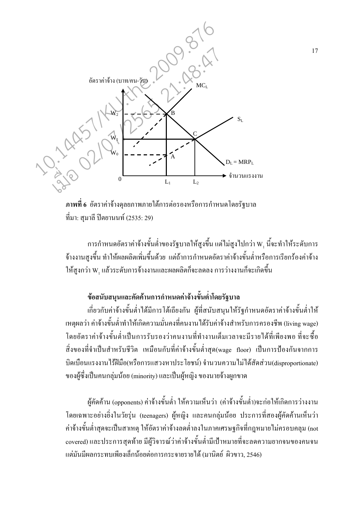

ี ภาพที่ 6 อัตราค่าจ้างดุลยภาพภายใต้การต่อรองหรือการกำหนดโดยรัฐบาล ที่มา: สมาลี ปิตยานนท์ (2535: 29)

การกำหนดอัตราค่าจ้างขั้นต่ำของรัฐบาลให้สูงขึ้น แต่ไม่สูงไปกว่า W<sub>1</sub> นี้จะทำให้ระดับการ ้จ้างงานสูงขึ้น ทำให้ผลผลิตเพิ่มขึ้นด้วย แต่ถ้าการกำหนดอัตราค่าจ้างขั้นต่ำหรือการเรียกร้องค่าจ้าง ให้สูงกว่า W, แล้วระดับการจ้างงานและผลผลิตก็จะลดลง การว่างงานก็จะเกิดขึ้น

### ข้อสนับสนุนและคัดค้านการกำหนดค่าจ้างขั้นต่ำโดยรัฐบาล

เกี่ยวกับค่าจ้างขั้นต่ำได้มีการโต้เถียงกัน ผู้ที่สนับสนุนให้รัฐกำหนดอัตราค่าจ้างขั้นต่ำให้ เหตุผลว่า ค่าจ้างขั้นต่ำทำให้เกิดความมั่นคงที่คนงานได้รับค่าจ้างสำหรับการครองชีพ (living wage) โดยอัตราค่าจ้างขั้นต่ำเป็นการรับรองว่าคนงานที่ทำงานเต็มเวลาจะมีรายได้ที่เพียงพอ ที่จะซื้อ ่ สิ่งของที่จำเป็นสำหรับชีวิต เหมือนกับที่ค่าจ้างขั้นต่ำสด(wage floor) เป็นการป้องกันจากการ บิดเบื้อนแรงงานไร้ฝีมือ(หรือการแสวงหาประโยชน์) จำนวนความไม่ได้สัดส่วน(disproportionate) ี ของผู้ซึ่งเป็นคนกลุ่มน้อย (minority) และเป็นผู้หญิง ของนายจ้างผูกขาด

ผ้คัดค้าน (opponents) ค่าจ้างขั้นต่ำ ให้ความเห็นว่า (ค่าจ้างขั้นต่ำ)จะก่อให้เกิดการว่างงาน โดยเฉพาะอย่างยิ่งในวัยรุ่น (teenagers) ผู้หญิง และคนกลุ่มน้อย ประการที่สองผู้คัดค้านเห็นว่า ้ค่าจ้างขั้นต่ำสุดจะเป็นสาเหตุ ให้อัตราค่าจ้างลดต่ำลงในภาคเศรษฐกิจที่กฎหมายไม่ครอบคลุม (not covered) และประการสุดท้าย มีผู้วิจารณ์ว่าค่าจ้างขั้นต่ำมีเป้าหมายที่จะลดความยากจนของคนจน แต่มันมีผลกระทบเพียงเล็กน้อยต่อการกระจายรายใด้ (มานิตย์ ผิวขาว, 2546)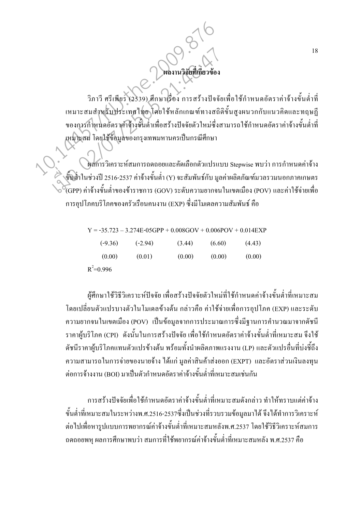วิภาวี ศรีเพียร (2539) ศึกษาเรื่อง การสร้างปัจจัยเพื่อใช้กำหนดอัตราค่าจ้างขั้นต่ำที่ เหมาะสมสำหรับประเทศไทย โดยใช้หลักเกณฑ์ทางสถิติขั้นสูงผนวกกับแนวคิดและทฤษฎี ของการกำหนดอัตราค่าจ้างขั้นต่ำเพื่อสร้างปัจจัยตัวใหม่ซึ่งสามารถใช้กำหนดอัตราค่าจ้างขั้นต่ำที่ เหมาะสม โดยใช้ข้อมูลของกรุงเทพมหานครเป็นกรณีศึกษา

ผลการวิเคราะห์สมการถดถอยและคัดเลือกตัวแปรแบบ Stepwise พบว่า การกำหนดค่าจ้าง ขั้นต่ำในช่วงปี 2516-2537 ค่าจ้างขั้นต่ำ (Y) จะสัมพันธ์กับ มูลค่าผลิตภัณฑ์มวลรวมนอกภาคเกษตร .<br>(GPP) ค่าจ้างขั้นต่ำของข้าราชการ (GOV) ระดับความยากจนในเขตเมือง (POV) และค่าใช้จ่ายเพื่อ การอุปโภคบริโภคของครัวเรือนคนงาน (EXP) ซึ่งมีโมเดลความสัมพันธ์ คือ

| $Y = -35.723 - 3.274E - 05GPP + 0.008GOV + 0.006POV + 0.014EXF$ |           |        |        |        |
|-----------------------------------------------------------------|-----------|--------|--------|--------|
| $(-9.36)$                                                       | $(-2.94)$ | (3.44) | (6.60) | (4.43) |
| (0.00)                                                          | (0.01)    | (0.00) | (0.00) | (0.00) |
| $R^2 = 0.996$                                                   |           |        |        |        |

ผ้ศึกษาใช้วิธีวิเคราะห์ปัจจัย เพื่อสร้างปัจจัยตัวใหม่ที่ใช้กำหนดค่าจ้างขั้นต่ำที่เหมาะสม โดยเปลี่ยนตัวแปรบางตัวในโมเดลข้างต้น กล่าวคือ ค่าใช้จ่ายเพื่อการอุปโภค (EXP) และระดับ ี ความยากจนในเขตเมือง (POV) เป็นข้อมูลจากการประมาณการซึ่งมีฐานการคำนวณมาจากคัชนี ราคาผู้บริโภค (CPI) คังนั้นในการสร้างปัจจัย เพื่อใช้กำหนดอัตราค่าจ้างขั้นต่ำที่เหมาะสม จึงใช้ ดัชนีราคาผู้บริโภคแทนตัวแปรข้างด้น พร้อมทั้งนำผลิตภาพแรงงาน (LP) และตัวแปรอื่นที่บ่งชี้ถึง ี ความสามารถในการจ่ายของนายจ้าง ได้แก่ มลค่าสินค้าส่งออก (EXPT) และอัตราส่วนเงินลงทน ต่อการถ้างงาน (BOI) มาเป็นตัวกำหนดอัตราค่าถ้างขั้นต่ำที่เหมาะสมเช่นกัน

ึการสร้างปัจจัยเพื่อใช้กำหนดอัตราค่าจ้างขั้นต่ำที่เหมาะสมดังกล่าว ทำให้ทราบแต่ค่าจ้าง ์ ขั้นต่ำที่เหมาะสมในระหว่างพ.ศ.2516-2537ซึ่งเป็นช่วงที่รวบรวมข้อมูลมาได้ จึงได้ทำการวิเคราะห์ ต่อไปเพื่อหารูปแบบการพยากรณ์ค่าจ้างขั้นต่ำที่เหมาะสมหลังพ.ศ.2537 โดยใช้วิธีวิเคราะห์สมการ ึถดถอยพหฺ ผลการศึกษาพบว่า สมการที่ใช้พยากรณ์ค่าจ้างขั้นต่ำที่เหมาะสมหลัง พ.ศ.2537 คือ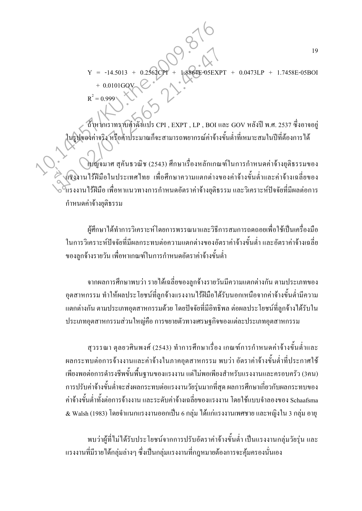$-05EXPT +$  $Y = -14.5013 + 0.2562$ CPI<sup>+</sup>  $0.0473LP + 1.7458E - 05BOI$  $R^2 = 0.999$ 

ถ้าหากเราทราบค่าตัวแปร CPI , EXPT , LP , BOI และ GOV หลังปี พ.ศ. 2537 ซึ่งอาจอยู่ ในรูปของค่าจริง หรือค่าประมาณก็จะสามารถพยากรณ์ค่าจ้างขั้นต่ำที่เหมาะสมในปีที่ต้องการได้

เบญจมาศ สุคันธวณิช (2543) ศึกษาเรื่องหลักเกณฑ์ในการกำหนดค่าจ้างยุติธรรมของ แรงงานไร้ฝีมือในประเทศไทย เพื่อศึกษาความแตกต่างของค่าจ้างขั้นต่ำและค่าจ้างเฉลี่ยของ โเรงงานใร้ฝีมือ เพื่อหาแนวทางการกำหนดอัตราค่าจ้างยุติธรรม และวิเคราะห์ปัจจัยที่มีผลต่อการ กำหนดค่าจ้างยุติธรรม

ผู้ศึกษาได้ทำการวิเคราะห์โดยการพรรณนาและวิธีการสมการถดถอยเพื่อใช้เป็นเครื่องมือ ในการวิเคราะห์ปัจจัยที่มีผลกระทบต่อความแตกต่างของอัตราค่าจ้างขั้นต่ำ และอัตราค่าจ้างเฉลี่ย ี ของลกจ้างรายวัน เพื่อหาเกณฑ์ในการกำหนดอัตราค่าจ้างขั้นต่ำ

ิจากผลการศึกษาพบว่า รายได้เฉลี่ยของลูกจ้างรายวันมีความแตกต่างกัน ตามประเภทของ ้อุตสาหกรรม ทำให้ผลประโยชน์ที่ลูกจ้างแรงงานใร้ฝีมือใค้รับนอกเหนือจากค่าจ้างขั้นต่ำมีความ แตกต่างกัน ตามประเภทอุตสาหกรรมด้วย โดยปัจจัยที่มีอิทธิพล ต่อผลประโยชน์ที่ลูกจ้างได้รับใน ประเภทอุตสาหกรรมส่วนใหญ่คือ การขยายตัวทางเศรษฐกิจของแต่ละประเภทอุตสาหกรรม

ี่ สวรรณา ตลยวศินพงศ์ (2543) ทำการศึกษาเรื่อง เกณฑ์การกำหนดค่าจ้างขั้นต่ำและ ี่ผลกระทบต่อการจ้างงานและค่าจ้างในภาคอตสาหกรรม พบว่า อัตราค่าจ้างขั้นต่ำที่ประกาศใช้ ้ เพียงพอต่อการคำรงชีพขั้นพื้นฐานของแรงงาน แต่ไม่พอเพียงสำหรับแรงงานและครอบครัว (3คน) ึการปรับค่าจ้างขั้นต่ำจะส่งผลกระทบต่อแรงงานวัยรุ่นมากที่สุด ผลการศึกษาเกี่ยวกับผลกระทบของ ้ค่าจ้างขั้นต่ำทั้งต่อการจ้างงาน และระดับค่าจ้างเฉลี่ยของแรงงาน โดยใช้แบบจำลองของ Schaafsma & Walsh (1983) โดยจำแนกแรงงานออกเป็น 6 กลุ่ม ได้แก่แรงงานเพศชาย และหญิงใน 3 กลุ่ม อายุ

พบว่าผู้ที่ไม่ได้รับประโยชน์จากการปรับอัตราค่าจ้างขั้นต่ำ เป็นแรงงานกลุ่มวัยรุ่น และ ้ แรงงานที่มีรายได้กลุ่มล่างๆ ซึ่งเป็นกลุ่มแรงงานที่กฎหมายต้องการจะคุ้มครองนั่นเอง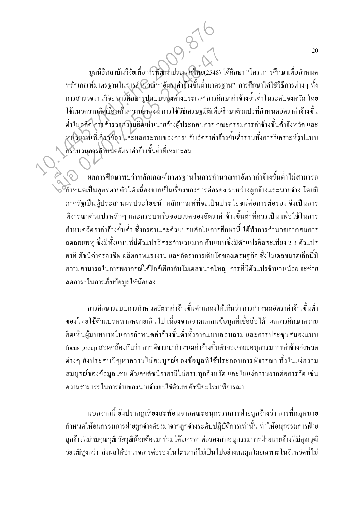มูลนิธิสถาบันวิจัยเพื่อการพัฒนาประเทศไทย(2548) ได้ศึกษา "โครงการศึกษาเพื่อกำหนด หลักเกณฑ์มาตรฐานในการค์านวณหาอัตราค่าจ้างขั้นต่ำมาตรฐาน" การศึกษาได้ใช้วิธีการต่างๆ ทั้ง ึการสำรวจงานวิจัย การศึกษารูปแบบของต่างประเทศ การศึกษาค่าจ้างขั้นต่ำในระดับจังหวัด โดย ใช้แนวความคิดเรื่องเส้นความยากจน การใช้วิธีเศรษฐมิติเพื่อศึกษาตัวแปรที่กำหนดอัตราค่าจ้างขั้น ้ต่ำในอดีต การสำรวจความคิดเห็นนายจ้างผู้ประกอบการ คณะกรรมการค่าจ้างขั้นต่ำจังหวัด และ หน่วยงานที่เกี่ยวช้อง และผลกระทบของการปรับอัตราค่าจ้างขั้นต่ำรวมทั้งการวิเคราะห์รูปแบบ กระบวนการกำหนดอัตราค่าจ้างขั้นต่ำที่เหมาะสม

หลการศึกษาพบว่าหลักเกณฑ์มาตรฐานในการคำนวณหาอัตราค่าจ้างขั้นต่ำไม่สามารถ ี้กำหนดเป็นสูตรตายตัวได้ เนื่องจากเป็นเรื่องของการต่อรอง ระหว่างลูกจ้างและนายจ้าง โดยมี ภาครัฐเป็นผู้ประสานผลประโยชน์ หลักเกณฑ์ที่จะเป็นประโยชน์ต่อการต่อรอง จึงเป็นการ พิจารณาตัวแปรหลักๆ และกรอบหรือขอบเขตของอัตราค่าจ้างขั้นต่ำที่ควรเป็น เพื่อใช้ในการ ้กำหนดอัตราค่าจ้างขั้นต่ำ ซึ่งกรอบและตัวแปรหลักในการศึกษานี้ ได้ทำการคำนวณจากสมการ ถดถอยพหฺ ซึ่งมีทั้งแบบที่มีตัวแปรอิสระจำนวนมาก กับแบบซึ่งมีตัวแปรอิสระเพียง 2-3 ตัวแปร ้อาทิ คัชนี้ค่าครองชีพ ผลิตภาพแรงงาน และอัตราการเติบโตของเศรษฐกิจ ซึ่งโมเคลขนาดเล็กนี้มี ้ความสามารถในการพยากรณ์ได้ใกล้เคียงกับโมเดลขนาดใหญ่ การที่มีตัวแปรจำนวนน้อย จะช่วย ลดภาระในการเก็บข้อมูลให้น้อยลง

ึการศึกษาระบบการกำหนดอัตราค่าจ้างขั้นต่ำแสดงให้เห็นว่า การกำหนดอัตราค่าจ้างขั้นต่ำ ของไทยใช้ตัวแปรหลากหลายเกินไป เนื่องจากขาดแคลนข้อมูลที่เชื่อถือได้ ผลการศึกษาความ ้คิดเห็นผู้มีบทบาทในการกำหนดค่าจ้างขั้นต่ำทั้งจากแบบสอบถาม และการประชุมสมองแบบ focus group สอดคล้องกันว่า การพิจารณากำหนดค่าจ้างขั้นต่ำของคณะอนุกรรมการค่าจ้างจังหวัด ้ต่างๆ ยังประสบปัญหาความไม่สมบูรณ์ของข้อมูลที่ใช้ประกอบการพิจารณา ทั้งในแง่ความ ี สมบูรณ์ของข้อมูล เช่น ตัวเลขดัชนีราคามีไม่ครบทุกจังหวัด และในแง่ความยากต่อการวัด เช่น ้ความสามารถในการจ่ายของนายจ้างจะใช้ตัวเลขดัชนีอะไรมาพิจารณา

้นอกจากนี้ ยังปรากฏเสียงสะท้อนจากคณะอนุกรรมการฝ่ายลูกจ้างว่า การที่กฎหมาย ้กำหนดให้อนุกรรมการฝ่ายลูกจ้างต้องมาจากลูกจ้างระดับปฏิบัติการเท่านั้น ทำให้อนุกรรมการฝ่าย ิลูกจ้างที่มักมีคุณวุฒิ วัยวุฒิน้อยต้องมาร่วมโต๊ะเจรจา ต่อรองกับอนุกรรมการฝ่ายนายจ้างที่มีคุณวุฒิ ้วัยวุฒิสูงกว่า ส่งผลให้อำนาจการต่อรองในไตรภาคีไม่เป็นไปอย่างสมดุลโดยเฉพาะในจังหวัดที่ไม่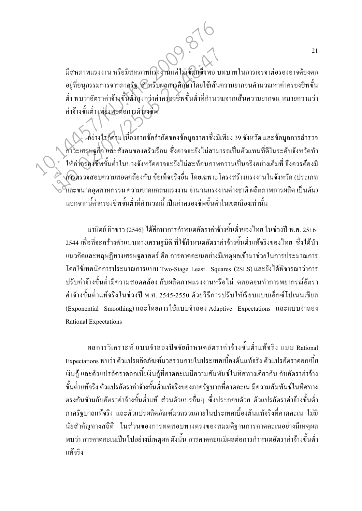้มีสหภาพแรงงาน หรือมีสหภาพแรงงานแต่ไม่เข็มแข็งพอ บทบาทในการเจรจาต่อรองอาจต้องตก ้อยู่ที่อนุกรรมการจากภาครัฐ สำหรับผลการศึกษาโดยใช้เส้นความยากจนคำนวณหาค่าครองชีพขั้น ้ต่ำ พบว่าอัตราค่าจ้างขั้นต่ำสูงกว่าค่าครองชีพขั้นต่ำที่คำนวณจากเส้นความยากจน หมายความว่า ้ค่าจ้างขั้นต่ำ เพียงพอต่อการคำรงชีพ

อย่างไรก็ตาม เนื่องจากข้อจำกัดของข้อมูลรากาซึ่งมีเพียง 39 จังหวัด และข้อมูลการสำรวจ .<br>ภาวะเศรษฐกิจ และสังคมของครัวเรือน ซึ่งอาจจะยังไม่สามารถเป็นตัวแทนที่ดีในระดับจังหวัดทำ ให้ค่าครองชีพขั้นต่ำในบางจังหวัดอาจจะยังไม่สะท้อนภาพความเป็นจริงอย่างเต็มที่ จึงควรต้องมี .<br>การดรวจสอบความสอดคล้องกับ ข้อเท็จจริงอื่น โดยเฉพาะโครงสร้างแรงงานในจังหวัด (ประเภท ์<br>โเละขนาดอุตสาหกรรม ความขาดแคลนแรงงาน จำนวนแรงงานต่างชาติ ผลิตภาพการผลิต เป็นต้น) ้นอกจากนี้ค่าครองชีพขั้นต่ำที่คำนวณนี้ เป็นค่าครองชีพขั้นต่ำในเขตเมืองเท่านั้น

มานิตย์ ผิวขาว (2546) ได้ศึกษาการกำหนดอัตราค่าจ้างขั้นต่ำของไทย ในช่วงปี พ.ศ. 2516-่ 2544 เพื่อที่จะสร้างตัวแบบทางเศรษฐมิติ ที่ใช้กำหนดอัตราค่าจ้างขั้นต่ำแท้จริงของไทย ซึ่งได้นำ ี แนวคิดและทฤษฎีทางเศรษฐศาสตร์ คือ การคาดคะเนอย่างมีเหตุผลเข้ามาช่วยในการประมาณการ โดยใช้เทคนิคการประมาณการแบบ Two-Stage Least Squares (2SLS) และยังได้พิจารณาว่าการ ี ปรับค่าจ้างขั้นต่ำมีความสอดคล้อง กับผลิตภาพแรงงานหรือไม่ ตลอดจนทำการพยากรณ์อัตรา ้ค่าจ้างขั้นต่ำแท้จริงในช่วงปี พ.ศ. 2545-2550 ด้วยวิธีการปรับให้เรียบแบบเอ็กซ์โปเนนเชียล (Exponential Smoothing) และโดยการใช้แบบจำลอง Adaptive Expectations และแบบจำลอง **Rational Expectations** 

ผลการวิเคราะห์ แบบจำลองปัจจัยกำหนดอัตราค่าจ้างขั้นต่ำแท้จริง แบบ Rational Expectations พบว่า ตัวแปรผลิตภัณฑ์มวลรวมภายในประเทศเบื้องต้นแท้จริง ตัวแปรอัตราคอกเบี้ย ้เงินกู้ และตัวแปรอัตราคอกเบี้ยเงินกู้ที่คาดคะเนมีความสัมพันธ์ในทิศทางเคียวกัน กับอัตราค่าจ้าง ้ขั้นต่ำแท้จริง ตัวแปรอัตราค่าจ้างขั้นต่ำแท้จริงของภาครัฐบาลที่คาดคะเน มีความสัมพันธ์ในทิศทาง ้ตรงกันข้ามกับอัตราค่าจ้างขั้นต่ำแท้ ส่วนตัวแปรอื่นๆ ซึ่งประกอบด้วย ตัวแปรอัตราค่าจ้างขั้นต่ำ ภาครัฐบาลแท้จริง และตัวแปรผลิตภัณฑ์มวลรวมภายในประเทศเบื้องต้นแท้จริงที่คาดคะเน ไม่มี นัยสำคัญทางสถิติ ในส่วนของการทดสอบทางตรงของสมมติฐานการคาดคะเนอย่างมีเหตุผล ี พบว่า การคาดคะเนเป็นไปอย่างมีเหตุผล ดังนั้น การคาดคะเนมีผลต่อการกำหนดอัตราค่าจ้างขั้นต่ำ แท้จริง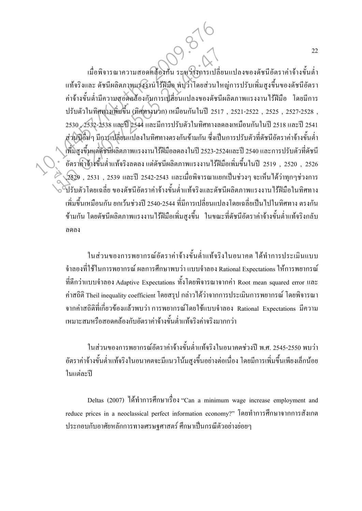เมื่อพิจารณาความสอดคล้องกัน ระหว่างการเปลี่ยนแปลงของดัชนีอัตราค่าจ้างขั้นต่ำ แท้จริงและ คัชนีผลิตภาพแรงงาน ไร้ฝีมือ พบว่าโคยส่วนใหญ่การปรับเพิ่มสูงขึ้นของคัชนีอัตรา ค่าจ้างขั้นต่ำมีความสอดคล้องกับการเปลี่ยนแปลงของดัชนีผลิตภาพแรงงานใร้ฝีมือ โดยมีการ ปรับตัวในทิศทางเพิ่มขึ้น (ทิศทางบวก) เหมือนกันในปี 2517 , 2521-2522 , 2525 , 2527-2528 , 2530 , 2532-2538 และปี 2544 และมีการปรับตัวในทิศทางลคลงเหมือนกันในปี 2518 และปี 2541 ส่วนปีอื่นๆ มีการเปลี่ยนแปลงในทิศทางตรงกันข้ามกัน ซึ่งเป็นการปรับตัวที่ดัชนีอัตราค่าจ้างขั้นต่ำ เพิ่มสูงขึ้นแต่ดัชนีผลิตภาพแรงงานไร้ฝีมือลดลงในปี 2523-2524และปี 2540 และการปรับตัวที่ดัชนี ์ อัตราค่าจ้างขึ้นต่ำแท้จริงลดลง แต่ดัชนีผลิตภาพแรงงานไร้ฝีมือเพิ่มขึ้นในปี 2519 , 2520 , 2526 ,2529 , 2531 , 2539 และปี 2542-2543 และเมื่อพิจารณาแยกเป็นช่วงๆ จะเห็นได้ว่าทุกๆช่วงการ ปรับตัวโคยเฉลี่ย ของคัชนีอัตราค่าจ้างขั้นต่ำแท้จริงและคัชนีผลิตภาพแรงงาน ใร้ฝีมือในทิศทาง เพิ่มขึ้นเหมือนกัน ยกเว้นช่วงปี 2540-2544 ที่มีการเปลี่ยนแปลงโดยเฉลี่ยเป็นไปในทิศทาง ตรงกัน ี ข้ามกัน โดยดัชนีผลิตภาพแรงงานไร้ฝีมือเพิ่มสงขึ้น ในขณะที่ดัชนีอัตราค่าจ้างขั้นต่ำแท้จริงกลับ ถดลง 1<br>เมื่อพิจารณาความสอดคล้องกัน ระหวิ่งงารเปลี่ย<br>แท้จริงและ คัชนีผลิตภาพแรงงานใร้ฝีมือ พบว่าโดยส่วนให<br>ดำจ้างขั้นต่ำมีความสอดคล้องกับการเปลี่ยนแปลงของดัชนี<br>ปรับตัวในทิศทางเพิ่มขึ้น (มิศทางนาก) เหมือนกันในปี 2517<br>2530. 2532-2 เมื่อพิจารณาความสอดคล้องกัน ระหวิ่งการเปลี่ยนท้อริงและ ดัชนีผลิตภาพแรงงานไร้ฝีมือ พบว่าโดยส่วนให<br>กำจ้างขั้นต่ำมีความสอดคล้องกับการเปลี่ยนแปลงของดัชนี<br>ปรับตัวในทิศทามพิษขึ้น (ทิศทางบวก) เหมือนกันในปี 251<br>2530 , 2532-2538 แ

> ในส่วนของการพยากรณ์อัตราค่าจ้างขั้นต่ำแท้จริงในอนาคต ใค้ทำการประเมินแบบ จำลองที่ใช้ในการพยากรณ์ ผลการศึกษาพบว่า แบบจำลอง Rational Expectations ให้การพยากรณ์ ที่ดีกว่าแบบจำลอง Adaptive Expectations ทั้งโดยพิจารณาจากค่า Root mean squared error และ ค่าสถิติ Theil inequality coefficient โดยสรุป กล่าวได้ว่าจากการประเมินการพยากรณ์ โดยพิจารณา จากค่าสถิติที่เกี่ยวข้องแล้วพบว่า การพยากรณ์โดยใช้แบบจำลอง Rational Expectations มีความ เหมาะสมหรือสอดคล้องกับอัตราค่าจ้างขั้นต่ำแท้จริงค่าจริงมากกว่า

> ในส่วนของการพยากรณ์อัตราค่าจ้างขั้นต่ำแท้จริงในอนาคตช่วงปี พ.ศ. 2545-2550 พบว่า อัตราค่าจ้างขั้นต่ำแท้จริงในอนาคตจะมีแนวโน้มสูงขึ้นอย่างต่อเนื่อง โดยมีการเพิ่มขึ้นเพียงเล็กน้อย ในแต่ละปี

> Deltas (2007) ได้ทำการศึกษาเรื่อง "Can a minimum wage increase employment and reduce prices in a neoclassical perfect information economy?" โดยทำการศึกษาจากการสังเกต ประกอบกับอาศัยหลักการทางเศรษฐศาสตร์ ศึกษาเป็นกรณีตัวอย่างย่อยๆ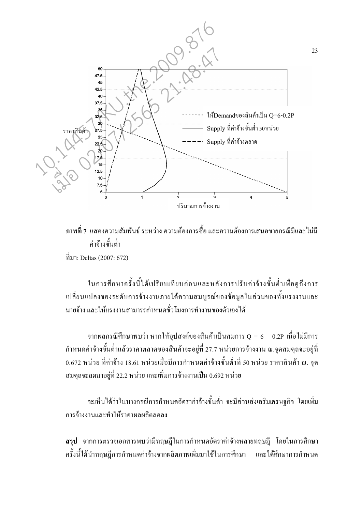

<mark>.ภาพที่ 7</mark> แสดงความสัมพันธ์ ระหว่าง ความต้องการซื้อ และความต้องการเสนอขายกรณีมีและไม่มี .<br>ค่าจ้างขับต่ำ ที่มา: Deltas (2007: 672)

ในการศึกษาครั้งนี้ได้เปรียบเทียบก่อนและหลังการปรับค่าจ้างขั้นต่ำเพื่อดูถึงการ เปลี่ยนแปลงของระดับการจ้างงานภายใต้ความสมบูรณ์ของข้อมูลในส่วนของทั้งแรงงานและ ี นายถ้าง และให้แรงงานสามารถกำหนดชั่วโมงการทำงานของตัวเองได้

ิจากผลกรณีศึกษาพบว่า หากให้อุปสงค์ของสินค้าเป็นสมการ  $Q = 6 - 0.2P$  เมื่อไม่มีการ ้กำหนดค่าจ้างขั้นต่ำแล้วราคาตลาดของสินค้าจะอยู่ที่ 27.7 หน่วยการจ้างงาน ณ.จุดสมดุลจะอยู่ที่ 0.672 หน่วย ที่ค่าจ้าง 18.61 หน่วยเมื่อมีการกำหนดค่าจ้างขั้นต่ำที่ 50 หน่วย ราคาสินค้า ณ. จุด ี สมดุลจะลดมาอยู่ที่ 22.2 หน่วย และเพิ่มการจ้างงานเป็น 0.692 หน่วย

้จะเห็นได้ว่าในบางกรณีการกำหนดอัตราค่าจ้างขั้นต่ำ จะมีส่วนส่งเสริมเศรษฐกิจ โดยเพิ่ม ึการจ้างงานและทำให้ราคาผลผลิตลดลง

ี **สรุป** จากการตรวจเอกสารพบว่ามีทฤษฎีในการกำหนดอัตราค่าจ้างหลายทฤษฎี โดยในการศึกษา ี ครั้งนี้ได้นำทฤษฎีการกำหนดค่าจ้างจากผลิตภาพเพิ่มมาใช้ในการศึกษา และได้ศึกษาการกำหนด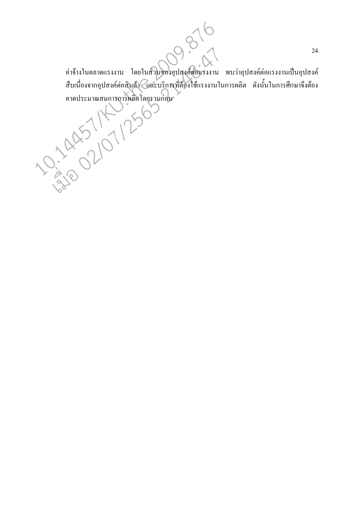ค่าจ้างในตลาดแรงงาน โดยในส่วนของอุปสุงค์ต่อแรงงาน พบว่าอุปสงค์ต่อแรงงานเป็นอุปสงค์ ้สืบเนื่องจากอุปสงค์ต่อสินค้า⊘ีและบริการที่ต้องใช้แรงงานในการผลิต ดังนั้นในการศึกษาจึงต้อง 

0370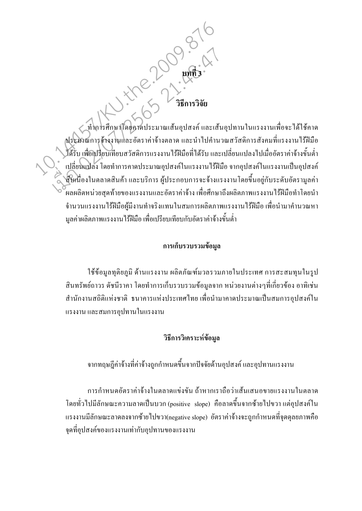## 

( ทำการศึกษาโดยคาดประมาณเส้นอุปสงค์ และเส้นอุปทานในแรงงานเพื่อจะได้ใช้คาด ประมาณการจ้างงานและอัตราค่าจ้างตลาด และนำ ไปคำนวณสวัสดิการสังคมที่แรงงาน ไร้ฝีมือ ใค้รับ เพื่อเปรียบเทียบสวัสดิการแรงงานไร้ฝีมือที่ไค้รับ และเปลี่ยนแปลงไปเมื่ออัตราค่าจ้างขั้นต่ำ เปลี่ยนแปลง โดยทำการคาดประมาณอุปสงค์ในแรงงานไร้ฝีมือ จากอุปสงค์ในแรงงานเป็นอุปสงค์ สิบเนื่องในตลาดสินค้า และบริการ ผู้ประกอบการจะจ้างแรงงาน โดยขึ้นอยู่กับระดับอัตรามูลค่า r<br>ผลผลิตหน่วยสุดท้ายของแรงงานและอัตราค่าจ้าง เพื่อศึกษาถึงผลิตภาพแรงงาน ไร้ฝีมือทำโดยนำ ้จำนวนแรงงานใร้ฝีมือผู้มีงานทำจริงแทนในสมการผลิตภาพแรงงานใร้ฝีมือ เพื่อนำมาคำนวณหา ้มูลค่าผลิตภาพแรงงานไร้ฝีมือ เพื่อเปรียบเทียบกับอัตราค่าจ้างขั้นต่ำ

#### การเก็บรวบรวมข้อมูล

ใช้ข้อมูลทุติยภูมิ ด้านแรงงาน ผลิตภัณฑ์มวลรวมภายในประเทศ การสะสมทุนในรูป ี่ สินทรัพย์ถาวร ดัชนีราคา โดยทำการเก็บรวบรวมข้อมูลจาก หน่วยงานต่างๆที่เกี่ยวข้อง อาทิเช่น ี สำนักงานสถิติแห่งชาติ ธนาคารแห่งประเทศไทย เพื่อนำมาคาดประมาณเป็นสมการอุปสงค์ใน แรงงาน และสมการอุปทานในแรงงาน

#### วิธีการวิเคราะห์ข้อมูล

ิจากทฤษฎีค่าจ้างที่ค่าจ้างถูกกำหนดขึ้นจากปัจจัยด้านอุปสงค์ และอุปทานแรงงาน

ึการกำหนดอัตราค่าจ้างในตลาดแข่งขัน ถ้าหากเราถือว่าเส้นเสนอขายแรงงานในตลาด โดยทั่วไปมีลักษณะความลาดเป็นบวก (positive slope) คือลาดขึ้นจากซ้ายไปขวา แต่อุปสงค์ใน แรงงานมีลักษณะลาคลงจากซ้ายไปขวา(negative slope) อัตราค่าจ้างจะถกกำหนดที่จดดลยภาพคือ ้จดที่อปสงค์ของแรงงานเท่ากับอปทานของแรงงาน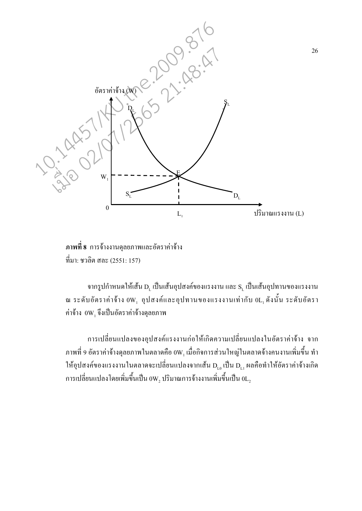

ึภาพที่ 8 การจ้างงานดุลยภาพและอัตราค่าจ้าง ที่มา: ชวลิต สละ (2551: 157)

ึจากรูปกำหนดให้เส้น D, เป็นเส้นอุปสงค์ของแรงงาน และ S, เป็นเส้นอุปทานของแรงงาน ณ ระดับอัตราค่าจ้าง 0W, อุปสงค์และอุปทานของแรงงานเท่ากับ 0L, ดังนั้น ระดับอัตรา ค่าจ้าง  $0\mathrm{W}_\mathrm{l}$  จึงเป็นอัตราค่าจ้างดุลยภาพ

ึ การเปลี่ยนแปลงของอุปสงค์แรงงานก่อให้เกิดความเปลี่ยนแปลงในอัตราค่าจ้าง จาก  $\,$ ภาพที่ 9 อัตราค่าจ้างดุลยภาพในตลาดคือ  $0\mathrm{W}_1\,\hat{\mathrm{u}}$ ื่อกิจการส่วนใหญ่ในตลาดจ้างคนงานเพิ่มขึ้น ทำ ให้อุปสงค์ของแรงงานในตลาคจะเปลี่ยนแปลงจากเส้น  $\rm D_{_{L0}}$  เป็น  $\rm D_{_{L1}}$  ผลคือทำให้อัตราค่าจ้างเกิด การเปลี่ยนแปลงโดยเพิ่มขึ้นเป็น  $0\mathrm{W}_2$  ปริมาณการจ้างงานเพิ่มขึ้นเป็น  $0\mathrm{L}_2$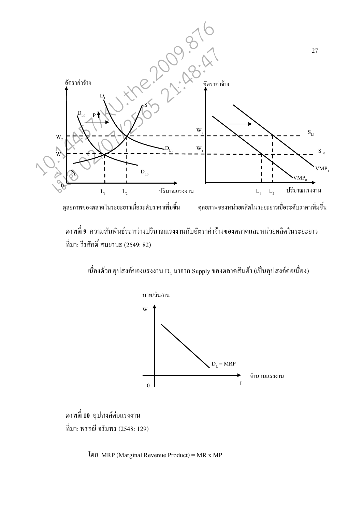

ี ภาพที่ 9 ความสัมพันธ์ระหว่างปริมาณแรงงานกับอัตราค่าจ้างของตลาดและหน่วยผลิตในระยะยาว ที่มา: วีรศักดิ์ สมยานะ (2549: 82)

เนื่องด้วย อุปสงค์ของแรงงาน  $\mathbf{D}_{\text{L}}$  มาจาก Supply ของตลาดสินค้า (เป็นอุปสงค์ต่อเนื่อง)



ภาพที่ 10 อุปสงค์ต่อแรงงาน ที่มา: พรรณี จรัมพร (2548: 129)

โดย MRP (Marginal Revenue Product) = MR x MP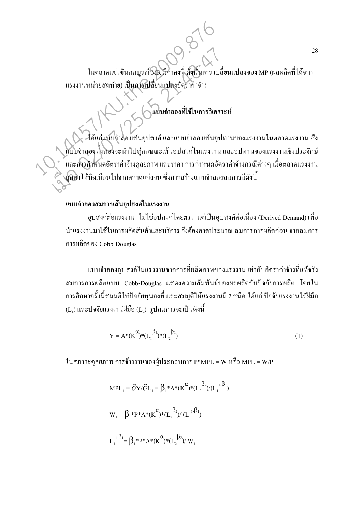ในตลาดแข่งขันสมบูรณ์ MR มีก่ากงที่ ดังนั้นการ เปลี่ยนแปลงของ MP (ผลผลิตที่ได้จาก แรงงานหน่วยสุดท้าย) เป็นการเปลี่ยนแปลงอัตราค่าจ้าง

ได้แก่แบบจำลองเส้นอุปสงค์ และแบบจำลองเส้นอุปทานของแรงงานในตลาดแรงงาน ซึ่ง แบบจำลองทั้งสองจะนำไปสู่ลักษณะเส้นอุปสงค์ในแรงงาน และอุปทานของแรงงานเชิงประจักษ์  $\overline{\phantom{a}}$ ์<br>และการกำหนดอัตราค่าจ้างดุลยภาพ และราคา การกำหนดอัตราค่าจ้างกรณีต่างๆ เมื่อตลาดแรงงาน ถูกทำให้บิดเบือนไปจากตลาดแข่งขัน ซึ่งการสร้างแบบจำลองสมการมีดังนี้ 10.14457/KU.the.2009.876 เมื่อ 02/07/2565 21:48:47

์แบบจำลองที่ใช้ในการวิเคราะห์

#### แบบจำลองสมการเส้นอุปสงค์ในแรงงาน

อุปสงค์ต่อแรงงาน ไม่ใช่อุปสงค์โดยตรง แต่เป็นอุปสงค์ต่อเนื่อง (Derived Demand) เพื่อ ่ นำแรงงานมาใช้ในการผลิตสินค้าและบริการ จึงต้องคาดประมาณ สมการการผลิตก่อน จากสมการ ก Cobb-Douglas

แบบจำลองอุปสงค์ในแรงงานจากการที่ผลิตภาพของแรงงาน เท่ากับอัตราค่าจ้างที่แท้จริง สมการการผลิตแบบ Cobb-Douglas แสคงความสัมพันธ์ของผลผลิตกับปัจจัยการผลิต โดยใน ่ การศึกษาครั้งนี้สมมติให้ปัจจัยทนคงที่ และสมมติให้แรงงานมี 2 ชนิด ได้แก่ ปัจจัยแรงงานไร้ฝีมือ  $(\mathtt{L}_1)$  และปัจจัยแรงงานฝีมือ ( $\mathtt{L}_2$ ) รูปสมการจะเป็นดังนี้

Y = A\*(K<sup>α</sup> )\*(L<sup>1</sup> β1 )\*(L<sup>2</sup> β2 ) ----------------------------------------------(1)

ในสภาวะคุลยภาพ การจ้างงานของผู้ประกอบการ P\*MPL = W หรือ MPL = W/P

$$
MPI_{-1} = \frac{\partial Y}{\partial L_{1}} = \beta_{1} * A * (K^{\alpha}) * (L_{2}^{\beta_{2}})/(L_{1}^{1-\beta_{1}})
$$

$$
W_{1} = \beta_{1} * P * A * (K^{\alpha}) * (L_{2}^{\beta_{2}})/(L_{1}^{1-\beta_{1}})
$$

$$
L_{1}^{1-\beta_{1}} = \beta_{1} * P * A * (K^{\alpha}) * (L_{2}^{\beta_{2}})/ W_{1}
$$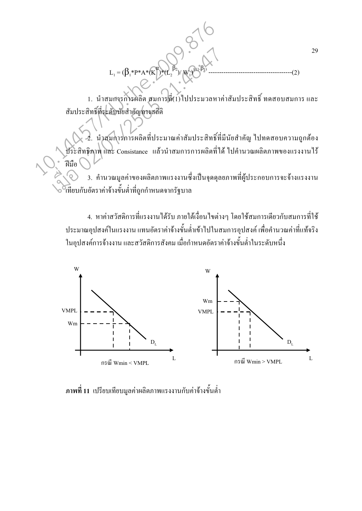1. นำสมการการผลิต สมการที่(1) ไปประมวลหาค่าสัมประสิทธิ์ ทดสอบสมการ และ สัมประสิทธิ์ที่ระดับนัยสำคัญทางสถิติ

2. นำสมการการผลิตที่ประมาณค่าสัมประสิทธิ์ที่มีนัยสำคัญ ไปทดสอบความถูกต้อง ประสิทธิภาพ และ Consistance แล้วนำสมการการผลิตที่ได้ ไปคำนวณผลิตภาพของแรงงานไร้ ฝีมือ

3. คำนวณมูลค่าของผลิตภาพแรงงานซึ่งเป็นจุดดุลยภาพที่ผู้ประกอบการจะจ้างแรงงาน ้<br>เทียบกับอัตราค่าจ้างขั้นต่ำที่ถูกกำหนดจากรัฐบาล

่ 4. หาค่าสวัสดิการที่แรงงานใค้รับ ภายใต้เงื่อนไขต่างๆ โดยใช้สมการเดียวกับสมการที่ใช้ ประมาณอุปสงค์ในแรงงาน แทนอัตราค่าจ้างขั้นต่ำเข้าไปในสมการอุปสงค์ เพื่อคำนวณค่าที่แท้จริง ในอุปสงค์การจ้างงาน และสวัสดิการสังคม เมื่อกำหนดอัตราค่าจ้างขั้นต่ำในระดับหนึ่ง



ี <mark>ภาพที่ 11</mark> เปรียบเทียบมูลค่าผลิตภาพแรงงานกับค่าจ้างขั้นต่ำ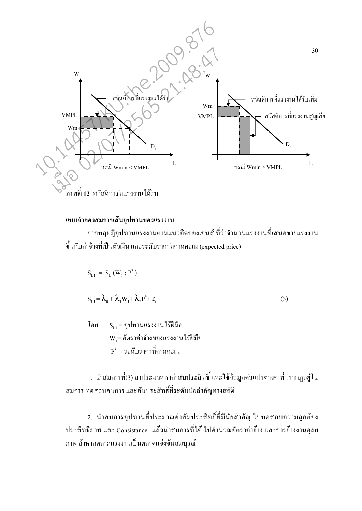

#### แบบจำลองสมการเส้นอุปทานของแรงงาน

ิจากทฤษฎีอุปทานแรงงานตามแนวคิดของเคนส์ ที่ว่าจำนวนแรงงานที่เสนอขายแรงงาน ์ ขึ้นกับค่าจ้างที่เป็นตัวเงิน และระดับรากาที่คาดคะเน (expected price)

 $S_{L1} = S_{L}(W_1; P^e)$  $S_{t_1} = \lambda_0 + \lambda_1 W_1 + \lambda_2 P^e + \mathcal{L}_t$ 

 $S_{L1} = Q 1$ ทานแรงงาน ไร้ฝีมือ โดย  $W_1$ = อัตราค่าจ้างของแรงงาน ไร้ฝีมือ  $P^e = 5$ ะดับราคาที่คาดคะเบ

1. นำสมการที่(3) มาประมวลหาค่าสัมประสิทธิ์และใช้ข้อมูลตัวแปรต่างๆ ที่ปรากฏอยู่ใน ิสมการ ทคสอบสมการ และสัมประสิทธิ์ที่ระดับนัยสำคัญทางสถิติ

2. นำสมการอุปทานที่ประมาณค่าสัมประสิทธิ์ที่มีนัยสำคัญ ไปทดสอบความถูกต้อง ประสิทธิภาพ และ Consistance แล้วนำสมการที่ได้ ไปคำนวณอัตราค่าจ้าง และการจ้างงานดุลย ึภาพ ถ้าหากตลาดแรงงานเป็นตลาดแข่งขันสมบรณ์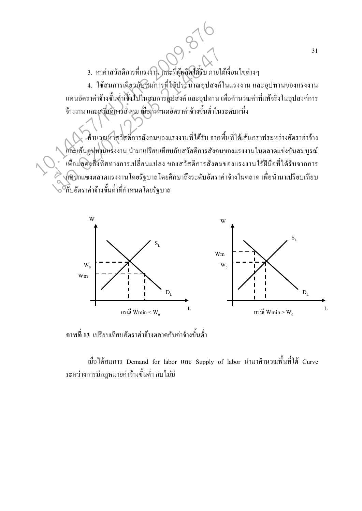3. หาค่าสวัสดิการที่แรงงาน และที่ผู้ผลิตใด้รับ ภายใต้เงื่อนไขต่างๆ

4. ใช้สมการเดียวกับสมการที่ใช้ประมาณอุปสงค์ในแรงงาน และอุปทานของแรงงาน แทนอัตราค่าจ้างขั้นต่ำเข้าไปในสมการอุปสงค์ และอุปทาน เพื่อคำนวณค่าที่แท้จริงในอุปสงค์การ ้จ้างงาน และสวัสดิการสังคม เมื่อกำหนดอัตราค่าจ้างขั้นต่ำในระดับหนึ่ง

-คำนวณหาสุวัสดิการสังคมของแรงงานที่ได้รับ จากพื้นที่ใต้เส้นกราฟระหว่างอัตราค่าจ้าง และเส้นอุปทานแรงงาน นำมาเปรียบเทียบกับสวัสดิการสังคมของแรงงานในตลาดแข่งขันสมบูรณ์ ้เพื่อแสดงสิ้งทิศทางการเปลี่ยนแปลง ของสวัสดิการสังคมของแรงงานใร้ฝีมือที่ได้รับจากการ แทรกแซงตลาดแรงงานโดยรัฐบาลโดยศึกษาถึงระดับอัตราค่าจ้างในตลาด เพื่อนำมาเปรียบเทียบ ้กับอัตราค่าจ้างขั้นต่ำที่กำหนดโดยรัฐบาล



ี ภาพที่ 13 เปรียบเทียบอัตราค่าจ้างตลาดกับค่าจ้างขั้นต่ำ

เมื่อได้สมการ Demand for labor และ Supply of labor นำมาคำนวณพื้นที่ใต้ Curve ระหว่างการมีกฎหมายค่าจ้างขั้นต่ำ กับไม่มี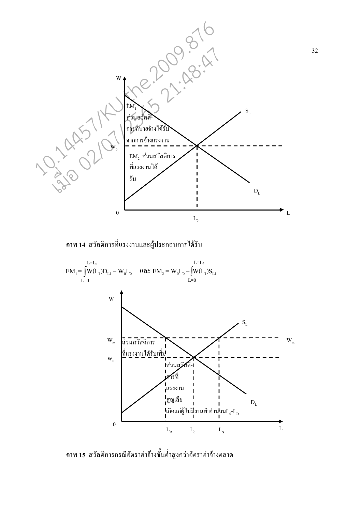

ิ ภาพ 14 สวัสดิการที่แรงงานและผู้ประกอบการได้รับ



ภาพ 15 สวัสดิการกรณีอัตราค่าจ้างขั้นต่ำสูงกว่าอัตราค่าจ้างตลาด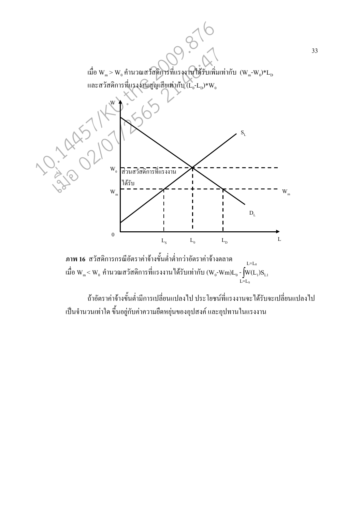



ถ้าอัตราค่าจ้างขั้นต่ำมีการเปลี่ยนแปลงไป ประ โยชน์ที่แรงงานจะได้รับจะเปลี่ยนแปลงไป ้เป็นจำนวนเท่าใด ขึ้นอยู่กับค่าความยืดหยุ่นของอุปสงค์ และอุปทานในแรงงาน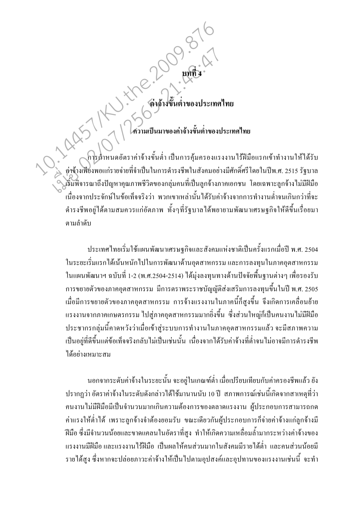# 

การศำหนดอัตราค่าจ้างขั้นต่ำ เป็นการคุ้มครองแรงงานใร้ฝีมือแรกเข้าทำงานให้ได้รับ ่ ค่าจ้างเพียงพอแก่รายจ่ายที่จำเป็นในการคำรงชีพในสังคมอย่างมีศักดิ์ศรีโดยในปีพ.ศ. 2515 รัฐบาล ริ้มพิจารณาถึงปัญหาคุณภาพชีวิตของกลุ่มคนที่เป็นลูกจ้างภาคเอกชน โดยเฉพาะลูกจ้างไม่มีฝีมือ เนื่องจากประจักษ์ในข้อเท็จจริงว่า พวกเขาเหล่านั้นใด้รับค่าจ้างจากการทำงานต่ำจนเกินกว่าที่จะ ้ คำรงชีพอยู่ได้ตามสมควรแก่อัตภาพ ทั้งๆที่รัฐบาลได้พยายามพัฒนาเศรษฐกิจให้ดีขึ้นเรื่อยมา ตามลำดับ

ประเทศไทยเริ่มใช้แผนพัฒนาเศรษฐกิจและสังคมแห่งชาติเป็นครั้งแรกเมื่อปี พ.ศ. 2504 ในระยะเริ่มแรกได้เน้นหนักไปในการพัฒนาด้านอตสาหกรรม และการลงทนในภาคอตสาหกรรม ในแผนพัฒนาฯ ฉบับที่ 1-2 (พ.ศ.2504-2514) ใค้ม่งลงทนทางค้านปัจจัยพื้นฐานต่างๆ เพื่อรองรับ ี การขยายตัวของภาคอุตสาหกรรม มีการตราพระราชบัญญัติส่งเสริมการลงทุนขึ้นในปี พ.ศ. 2505 ้ เมื่อมีการขยายตัวของภาคอุตสาหกรรม การจ้างแรงงานในภาคนี้ก็สูงขึ้น จึงเกิดการเคลื่อนย้าย แรงงานจากภาคเกษตรกรรม ไปสู่ภาคอุตสาหกรรมมากยิ่งขึ้น ซึ่งส่วนใหญ่ก็เป็นคนงานไม่มีฝีมือ ประชากรกลุ่มนี้คาดหวังว่าเมื่อเข้าสู่ระบบการทำงานในภาคอุตสาหกรรมแล้ว จะมีสภาพความ เป็นอยู่ที่ดีขึ้นแต่ข้อเท็จจริงกลับไม่เป็นเช่นนั้น เนื่องจากได้รับค่าจ้างที่ต่ำจนไม่อาจมีการคำรงชีพ ได้อย่างเหมาะสม

นอกจากระดับค่าจ้างในระยะนั้น จะอยู่ในเกณฑ์ต่ำ เมื่อเปรียบเทียบกับค่าครองชีพแล้ว ยัง ี ปรากฏว่า อัตราค่าจ้างในระดับดังกล่าวได้ใช้มานานนับ 10 ปี สภาพการณ์เช่นนี้เกิดจากสาเหตุที่ว่า ึคนงานไม่มีฝีมือมีเป็นจำนวนมากเกินความต้องการของตลาดแรงงาน ผู้ประกอบการสามารถกด ้ค่าแรงให้ต่ำได้ เพราะลูกจ้างจำต้องยอมรับ ขณะเดียวกันผู้ประกอบการก็จ่ายค่าจ้างแก่ลูกจ้างมี ้ฝีมือ ซึ่งมีจำนวนน้อยและขาดแคลนในอัตราที่สูง ทำให้เกิดความเหลื่อมล้ำมากระหว่างค่าจ้างของ แรงงานมีฝีมือ และแรงงานไร้ฝีมือ เป็นผลให้คนส่วนมากในสังคมมีรายได้ต่ำ และคนส่วนน้อยมี รายใด้สูง ซึ่งหากจะปล่อยภาวะค่าจ้างให้เป็นไปตามอุปสงค์และอุปทานของแรงงานเช่นนี้ จะทำ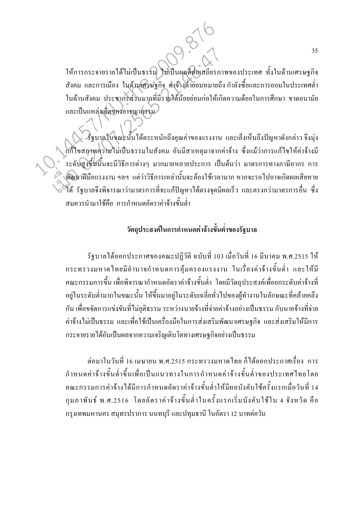ให้การกระจายรายใด้ไม่เป็นธรรม ไม่เป็นผลดีต่อเสถียรภาพของประเทศ ทั้งในด้านเศรษฐกิจ ี สังคม และการเมือง ในด้านเศรษฐกิจ ค่าจ้างต่ำย่อมหมายถึง กำลังซื้อและการออมในประเทศต่ำ ในค้านสังคม ประชากรส่วนมากที่มีรายได้น้อยย่อมก่อให้เกิดความด้อยในการศึกษา ขาดอนามัย และเป็นแหล่งเกิดของอาชญากรรม

.<br>• รัฐบาลในขณะนั้นใด้ตระหนักถึงคุณค่าของแรงงาน และเล็งเห็นถึงปัญหาดังกล่าว จึงมุ่ง แก้ไขสภาพความไม่เป็นธรรมในสังคม อันมีสาเหตุมาจากค่าจ้าง ซึ่งแม้ว่าการแก้ไขให้ค่าจ้างมี ้ระดับสูงขึ้นนั้นจะมีวิธีการต่างๆ มากมายหลายประการ เป็นต้นว่า มาตรการทางภาษีอากร การ พัฒนาฝีมือแรงงาน ฯลฯ แต่ว่าวิธีการเหล่านั้นจะต้องใช้เวลามาก หากจะรอไปอาจเกิดผลเสียหาย ใด้ รัฐบาลจึงพิจารณาว่ามาตรการที่จะแก้ปัญหาใด้ตรงจุดมีผลเร็ว และตรงกว่ามาตรการอื่น ซึ่ง สมควรนำมาใช้คือ การกำหนดอัตราค่าจ้างขั้นต่ำ

#### วัตถุประสงค์ในการกำหนดค่าจ้างขั้นต่ำของรัฐบาล

รัฐบาลใด้ออกประกาศของคณะปฏิวัติ ฉบับที่ 103 เมื่อวันที่ 16 มีนาคม พ.ศ.2515 ให้ ึกระทรวงมหาดไทยมีอำนาจกำหนดการคุ้มครองแรงงาน ในเรื่องค่าจ้างขั้นต่ำ และให้มี ึ คณะกรรมการขึ้น เพื่อพิจารณากำหนดอัตราค่าจ้างขั้นต่ำ โดยมีวัตถุประสงค์เพื่อยกระดับค่าจ้างที่ ้อยู่ในระดับต่ำมากในขณะนั้น ให้ขึ้นมาอยู่ในระดับเฉลี่ยทั่วไปของผู้ทำงานในลักษณะที่คล้ายคลึง ้กัน เพื่อขจัดการแข่งขันที่ไม่ยุติธรรม ระหว่างนายจ้างที่จ่ายค่าจ้างอย่างเป็นธรรม กับนายจ้างที่จ่าย ้ค่าจ้างไม่เป็นธรรม และเพื่อใช้เป็นเครื่องมือในการส่งเสริมพัฒนาเศรษฐกิจ และส่งเสริมให้มีการ กระจายรายได้อันเป็นผลจากความเจริญเติบโตทางเศรษฐกิจอย่างเป็นธรรม

ต่อมาในวันที่ 16 เมษายน พ.ศ.2515 กระทรวงมหาดไทย ก็ได้ออกประกาศเรื่อง การ ึ<br>กำหนดค่าจ้างขั้นต่ำขึ้นเพื่อเป็นแนวทางในการกำหนดค่าจ้างขั้นต่ำของประเทศไทยโดย ึคณะกรรมการค่าจ้างได้มีการกำหนดอัตราค่าจ้างขั้นต่ำให้มีผลบังคับใช้ครั้งแรกเมื่อวันที่ 14 ึกุมภาพันธ์ พ.ศ.2516 โดยอัตราค่าจ้างขั้นต่ำในครั้งแรกเริ่มบังคับใช้ใน 4 จังหวัด คือ ึกรุงเทพมหานคร สมุทรปราการ นนทบุรี และปทุมธานี ในอัตรา 12 บาทต่อวัน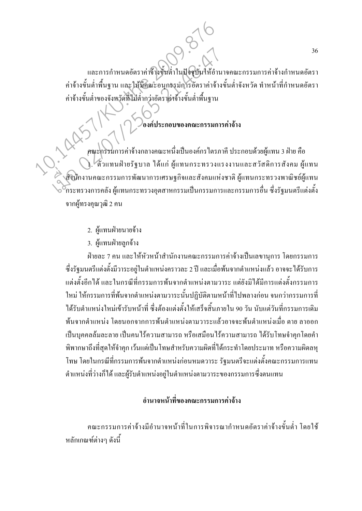และการกำหนดอัตราค่าจ้างขั้นต่ำในปัจจุบันให้อำนาจคณะกรรมการค่าจ้างกำหนดอัตรา ้ค่าจ้างขั้นต่ำพื้นฐาน และให้มีคณะอนุกรรมการอัตราค่าจ้างขั้นต่ำจังหวัด ทำหน้าที่กำหนดอัตรา ค่าจ้างขั้นต่ำของจังหวัดที่ไม่ต่ำกว่าอัตราค่าจ้างขั้นต่ำพื้นฐาน

องค์ประกอบของคณะกรรมการค่าจ้าง

คณะกรรมการค่าจ้างกลางคณะหนึ่งเป็นองค์กรไตรภาคี ประกอบด้วยผู้แทน 3 ฝ่าย คือ ). ใตั๋วแทนฝ่ายรัฐบาล ใด้แก่ ผู้แทนกระทรวงแรงงานและสวัสดิการสังคม ผู้แทน ส์ในกงานคณะกรรมการพัฒนาการเศรษฐกิจและสังคมแห่งชาติ ผู้แทนกระทรวงพาณิชย์ผู้แทน ก็ระทรวงการคลัง ผู้แทนกระทรวงอตสาหกรรมเป็นกรรมการและกรรมการอื่น ซึ่งรัฐมนตรีแต่งตั้ง จากผ้ทรงคณวฒิ 2 คน

- 2. ผู้แทนฝ่ายนายจ้าง
- 3. ผู้แทนฝ่ายลูกจ้าง

้ฝ่ายละ 7 คน และให้หัวหน้าสำนักงานคณะกรรมการค่าจ้างเป็นเลขานการ โดยกรรมการ ซึ่งรัฐมนตรีแต่งตั้งมีวาระอยู่ในตำแหน่งคราวละ 2 ปี และเมื่อพ้นจากตำแหน่งแล้ว อาจจะได้รับการ แต่งตั้งอีกได้ และในกรณีที่กรรมการพ้นจากตำแหน่งตามวาระ แต่ยังมิได้มีการแต่งตั้งกรรมการ ใหม่ ให้กรรมการที่พ้นจากตำแหน่งตามวาระนั้นปฏิบัติตามหน้าที่ไปพลางก่อน จนกว่ากรรมการที่ ใค้รับตำแหน่งใหม่เข้ารับหน้าที่ ซึ่งต้องแต่งตั้งให้เสร็จสิ้นภายใน 90 วัน นับแต่วันที่กรรมการเดิม ้ พ้นจากตำแหน่ง โดยนอกจากการพ้นตำแหน่งตามวาระแล้วอาจจะพ้นตำแหน่งเมื่อ ตาย ลาออก ้เป็นบุคคลล้มละลาย เป็นคน ไร้ความสามารถ หรือเสมือนไร้ความสามารถ ได้รับโทษจำคุกโดยคำ ้พิพากษาถึงที่สุดให้จำคุก เว้นแต่เป็นโทษสำหรับความผิดที่ได้กระทำโดยประมาท หรือความผิดลหุ ์ โทษ โดยในกรณีที่กรรมการพ้นจากตำแหน่งก่อนหมดวาระ รัฐมนตรีจะแต่งตั้งคณะกรรมการแทน ้ตำแหน่งที่ว่างก็ได้ และผู้รับตำแหน่งอยู่ในตำแหน่งตามวาระของกรรมการซึ่งตนแทน

#### ้อำนาจหน้าที่ของคณะกรรมการค่าจ้าง

้คณะกรรมการค่าจ้างมีอำนาจหน้าที่ในการพิจารณากำหนดอัตราค่าจ้างขั้นต่ำ โดยใช้ ็หลักเกณฑ์ต่างๆ ดังนี้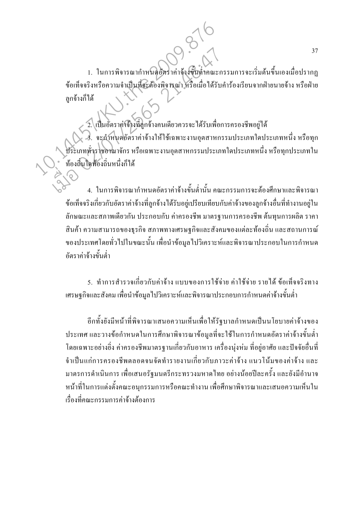1. ในการพิจารณากำหนดอัตราค่าจ้างขึ้นต่ำคณะกรรมการจะเริ่มต้นขึ้นเองเมื่อปรากฏ ข้อเท็จจริงหรือความจำเป็นที่จะต้องพิจารณา หรือเมื่อใด้รับคำร้องเรียนจากฝ่ายนายจ้าง หรือฝ่าย ลกจ้างก็ได้

2. เป็นอัตราค่าจ้างที่ลูกจ้างคนเดียวกวรจะใด้รับเพื่อการครองชีพอยู่ได้ 3. จะกำหนดอัตราค่าจ้างให้ใช้เฉพาะงานอุตสาหกรรมประเภทใดประเภทหนึ่ง หรือทุก ประเภทหั่วราชอาณาจักร หรือเฉพาะงานอุตสาหกรรมประเภทใดประเภทหนึ่ง หรือทุกประเภทใน ท้องถิ่นใดท้องถิ่นหนึ่งก็ได้

4. ในการพิจารณากำหนดอัตราค่าจ้างขั้นต่ำนั้น คณะกรรมการจะต้องศึกษาและพิจารณา ข้อเท็จจริงเกี่ยวกับอัตราค่าจ้างที่ลูกจ้างใด้รับอยู่เปรียบเทียบกับค่าจ้างของลูกจ้างอื่นที่ทำงานอยู่ใน ้ลักษณะและสภาพเดียวกัน ประกอบกับ ค่าครองชีพ มาตรจานการครองชีพ ต้นทนการผลิต ราคา ี่ สินค้า ความสามารถของธุรกิจ สภาพทางเศรษฐกิจและสังคมของแต่ละท้องถิ่น และสถานการณ์ ี ของประเทศโดยทั่วไปในขณะนั้น เพื่อนำข้อมลไปวิเคราะห์และพิจารณาประกอบในการกำหนด ้อัตราค่าจ้างขั้นต่ำ

5. ทำการสำรวจเกี่ยวกับค่าจ้าง แบบของการใช้จ่าย ค่าใช้จ่าย รายได้ ข้อเท็จจริงทาง ้เศรษฐกิจและสังคม เพื่อนำข้อมูล ไปวิเคราะห์และพิจารณาประกอบการกำหนดค่าจ้างขั้นต่ำ

อีกทั้งยังมีหน้าที่พิจารณาเสนอความเห็นเพื่อให้รัฐบาลกำหนดเป็นนโยบายค่าจ้างของ ประเทศ และวางข้อกำหนดในการศึกษาพิจารณาข้อมูลที่จะใช้ในการกำหนดอัตราค่าจ้างขั้นต่ำ โดยเฉพาะอย่างยิ่ง ค่าครองชีพมาตรฐานเกี่ยวกับอาหาร เครื่องนุ่งห่ม ที่อยู่อาศัย และปัจจัยอื่นที่ ้จำเป็นแก่การครองชีพตลอดจนจัดทำรายงานเกี่ยวกับภาวะค่าจ้าง แนวโน้มของค่าจ้าง และ ้มาตรการคำเนินการ เพื่อเสนอรัฐมนตรีกระทรวงมหาดไทย อย่างน้อยปีละครั้ง และยังมีอำนาจ หน้าที่ในการแต่งตั้งคณะอนุกรรมการหรือคณะทำงาน เพื่อศึกษาพิจารณาและเสนอความเห็นใน เรื่องที่คณะกรรมการค่าจ้างต้องการ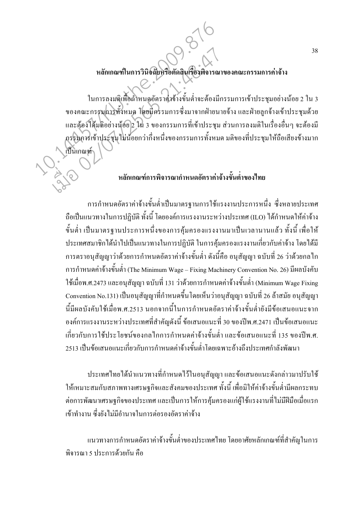#### หลักเกณฑ์ในการวินิจฉัยหรือตัดสินเรื่องพิจารณาของคณะกรรมการค่าจ้าง

ในการลงมติเพื่อถ้ำหนดอัตราค่าจ้างขั้นต่ำจะต้องมีกรรมการเข้าประชมอย่างน้อย 2 ใน 3 ี ของคณะกรรมการทั้งหมด โดยมีครรมการซึ่งมาจากฝ่ายนายจ้าง และฝ่ายลูกจ้างเข้าประชุมด้วย และต้องใค้มติอย่างน้อย 2 ใน 3 ของกรรมการที่เข้าประชุม ส่วนการลงมติในเรื่องอื่นๆ จะต้องมี .กรรมการเข้าประชุมไม่น้อยกว่ากึ่งหนึ่งของกรรมการทั้งหมด มติของที่ประชุมให้ถือเสียงข้างมาก

#### หลักเกณฑ์การพิจารณากำหนดอัตราค่าจ้างขั้นต่ำของไทย

เป็นเกณฑ์

ึการกำหนดอัตราค่าจ้างขั้นต่ำเป็นมาตรฐานการใช้แรงงานประการหนึ่ง ซึ่งหลายประเทศ ถือเป็นแนวทางในการปฏิบัติ ทั้งนี้ โดยองค์การแรงงานระหว่างประเทศ (ILO) ได้กำหนดให้ค่าจ้าง ้ขั้นต่ำ เป็นมาตรฐานประการหนึ่งของการค้มครองแรงงานมาเป็นเวลานานแล้ว ทั้งนี้ เพื่อให้ ี ประเทศสมาชิกได้นำไปเป็นแนวทางในการปฏิบัติ ในการค้มครองแรงงานเกี่ยวกับค่าจ้าง โดยได้มี ี การตราอนุสัญญาว่าด้วยการกำหนดอัตราค่าจ้างขั้นต่ำ ดังนี้คือ อนุสัญญา ฉบับที่ 26 ว่าด้วยกลไก ิ การกำหนดค่าจ้างขั้นต่ำ (The Minimum Wage – Fixing Machinery Convention No. 26) มีผลบังคับ ใช้เมื่อพ.ศ.2473 และอนุสัญญา ฉบับที่ 131 ว่าด้วยการกำหนดค่าจ้างขั้นต่ำ (Minimum Wage Fixing Convention No.131) เป็นอนุสัญญาที่กำหนดขึ้น โดยเห็นว่าอนุสัญญา ฉบับที่ 26 ล้าสมัย อนุสัญญา นี้มีผลบังคับใช้เมื่อพ.ศ.2513 นอกจากนี้ในการกำหนดอัตราค่าจ้างขั้นต่ำยังมีข้อเสนอแนะจาก ้องค์การแรงงานระหว่างประเทศที่สำคัญดังนี้ ข้อเสนอแนะที่ 30 ของปีพ.ศ.2471 เป็นข้อเสนอแนะ เกี่ยวกับการใช้ประโยชน์ของกลไกการกำหนดค่าจ้างขั้นต่ำ และข้อเสนอแนะที่ 135 ของปีพ.ศ. 2513 เป็นข้อเสนอแนะเกี่ยวกับการกำหนดค่าจ้างขั้นต่ำโดยเฉพาะอ้างถึงประเทศกำลังพัฒนา

ประเทศไทยได้นำแนวทางที่กำหนดไว้ในอนุสัญญา และข้อเสนอแนะดังกล่าวมาปรับใช้ ให้เหมาะสมกับสภาพทางเศรษฐกิจและสังคมของประเทศ ทั้งนี้ เพื่อมิให้ค่าจ้างขั้นต่ำมีผลกระทบ ต่อการพัฒนาเศรษฐกิจของประเทศ และเป็นการให้การคุ้มครองแก่ผู้ใช้แรงงานที่ไม่มีฝีมือเมื่อแรก เข้าทำงาน ซึ่งยังไม่มีอำนาจในการต่อรองอัตราค่าจ้าง

แนวทางการกำหนดอัตราค่าจ้างขั้นต่ำของประเทศไทย โดยอาศัยหลักเกณฑ์ที่สำคัญในการ ้พิจารณา ร ประการด้วยกัน คือ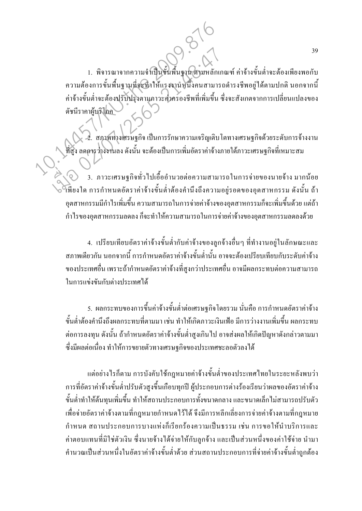1. พิจารณาจากความจำเป็นขั้นพื้นฐาน ตามหลักเกณฑ์ ค่าจ้างขั้นต่ำจะต้องเพียงพอกับ ้ความต้องการขั้นพื้นฐานที่จะทำให้แรงงานหนึ่งคนสามารถคำรงชีพอยู่ได้ตามปกติ นอกจากนี้ ค่าจ้างขั้นต่ำจะต้องปรับปรุงตามกาวะค่าครองชีพที่เพิ่มขึ้น ซึ่งจะสังเกตจากการเปลี่ยนแปลงของ ดัชนีราคาผู้บริโภค

่ 2. สภาพทางเศรษฐกิจ เป็นการรักษาความเจริญเติบโตทางเศรษฐกิจด้วยระดับการจ้างงาน ที่สูง ลดการว่างงานลง ดังนั้น จะต้องเป็นการเพิ่มอัตราค่าจ้างภายใต้ภาวะเศรษฐกิจที่เหมาะสม

-<br>3. ภาวะเศรษฐกิจทั่วไปเอื้ออำนวยต่อความสามารถในการจ่ายของนายจ้าง มากน้อย →<br>เพียงใด การกำหนดอัตราค่าจ้างขั้นต่ำต้องคำนึงถึงความอยู่รอดของอุตสาหกรรม ดังนั้น ถ้า ้อุตสาหกรรมมีกำไรเพิ่มขึ้น ความสามารถในการจ่ายค่าจ้างของอุตสาหกรรมก็จะเพิ่มขึ้นด้วย แต่ถ้า ้กำไรของอตสาหกรรมลดลง ก็จะทำให้ความสามารถในการจ่ายค่าจ้างของอตสาหกรรมลดลงด้วย

4. เปรียบเทียบอัตราค่าจ้างขั้นต่ำกับค่าจ้างของลูกจ้างอื่นๆ ที่ทำงานอยู่ในลักษณะและ ิสภาพเดียวกัน นอกจากนี้ การกำหนดอัตราค่าจ้างขั้นต่ำนั้น อาจจะต้องเปรียบเทียบกับระดับค่าจ้าง ี ของประเทศอื่น เพราะถ้ากำหนดอัตราค่าจ้างที่สูงกว่าประเทศอื่น อาจมีผลกระทบต่อความสามารถ ในการแข่งขันกับต่างประเทศได้

5. ผลกระทบของการขึ้นค่าจ้างขั้นต่ำต่อเศรษฐกิจโดยรวม นั่นคือ การกำหนดอัตราค่าจ้าง ้ ขั้นต่ำต้องคำนึงถึงผลกระทบที่ตามมา เช่น ทำให้เกิดภาวะเงินเฟ้อ มีการว่างงานเพิ่มขึ้น ผลกระทบ ้ต่อการลงทุน ดังนั้น ถ้ากำหนดอัตราก่าจ้างขั้นต่ำสูงเกินไป อาจส่งผลให้เกิดปัญหาดังกล่าวตามมา ซึ่งมีผลต่อเนื่อง ทำให้การขยายตัวทางเศรษฐกิจของประเทศชะลอตัวลงได้

แต่อย่างไรก็ตาม การบังคับใช้กฎหมายค่าจ้างขั้นต่ำของประเทศไทยในระยะหลังพบว่า ึการที่อัตราค่าจ้างขั้นต่ำปรับตัวสูงขึ้นเกือบทุกปี ผู้ประกอบการต่างร้องเรียนว่าผลของอัตราค่าจ้าง ้ขั้นต่ำทำให้ต้นทุนเพิ่มขึ้น ทำให้สถานประกอบการทั้งขนาดกลาง และขนาดเล็กไม่สามารถปรับตัว ้เพื่อจ่ายอัตราค่าจ้างตามที่กฎหมายกำหนดไว้ได้ จึงมีการหลีกเลี่ยงการจ่ายค่าจ้างตามที่กฎหมาย ้กำหนด สถานประกอบการบางแห่งก็เรียกร้องความเป็นธรรม เช่น การขอให้นำบริการและ ้ค่าตอบแทนที่มิใช่ตัวเงิน ซึ่งนายจ้างใด้จ่ายให้กับลูกจ้าง และเป็นส่วนหนึ่งของค่าใช้จ่าย นำมา ้คำนวณเป็นส่วนหนึ่งในอัตราค่าจ้างขั้นต่ำด้วย ส่วนสถานประกอบการที่จ่ายค่าจ้างขั้นต่ำถูกต้อง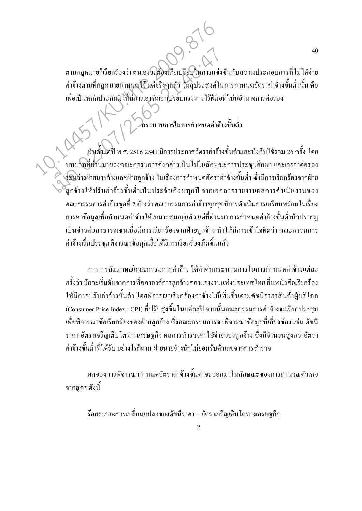้ตามกฎหมายก็เรียกร้องว่า ตนเองจะต้องเสียเปรียบในการแข่งขันกับสถานประกอบการที่ไม่ได้จ่าย ้ค่าจ้างตามที่กฎหมายกำหนดใช้ แต่จริงๆแล้ว วัตถุประสงค์ในการกำหนดอัตราค่าจ้างขั้นต่ำนั้น คือ เพื่อเป็นหลักประกันมิให้มีการเอารัดเอาไปรียบแรงงานไร้ฝีมือที่ไม่มีอำนาจการต่อรอง

40

่<br>โกระบวนการในการกำหนดค่าจ้างขั้นต่ำ

ุนับตั้งแต่ปี พ.ศ. 2516-2541 มีการประกาศอัตราค่าจ้างขั้นต่ำและบังคับใช้รวม 26 ครั้ง โดย ้ บทบาทที่ผ่านมาของคณะกรรมการดังกล่าวเป็นไปในลักษณะการประชุมศึกษา และเจรจาต่อรอง ร์รหว่างฝ่ายนายจ้างและฝ่ายลูกจ้าง ในเรื่องการกำหนดอัตราค่าจ้างขั้นต่ำ ซึ่งมีการเรียกร้องจากฝ่าย ี้ลูกจ้างให้ปรับค่าจ้างขั้นต่ำเป็นประจำเกือบทุกปี จากเอกสารรายงานผลการคำเนินงานของ ึคณะกรรมการค่าจ้างชุดที่ 2 อ้างว่า คณะกรรมการค่าจ้างทุกชุดมีการคำเนินการเตรียมพร้อมในเรื่อง ี การหาข้อมูลเพื่อกำหนดค่าจ้างให้เหมาะสมอยู่แล้ว แต่ที่ผ่านมา การกำหนดค่าจ้างขั้นต่ำมักปรากฎ ้เป็นข่าวต่อสาธารณชนเมื่อมีการเรียกร้องจากฝ่ายลกจ้าง ทำให้มีการเข้าใจผิดว่า คณะกรรมการ ้ค่าจ้างเริ่มประชมพิจารณาข้อมลเมื่อได้มีการเรียกร้องเกิดขึ้นแล้ว

จากการสัมภาษณ์คณะกรรมการค่าจ้าง ใด้ลำดับกระบวนการในการกำหนดค่าจ้างแต่ละ ้ครั้งว่า มักจะเริ่มต้นจากการที่สภาองค์การลูกจ้างสภาแรงงานแห่งประเทศไทย ขึ้นหนังสือเรียกร้อง ให้มีการปรับค่าจ้างขั้นต่ำ โดยพิจารณาเรียกร้องค่าจ้างให้เพิ่มขึ้นตามดัชนีราคาสินค้าผู้บริโภค (Consumer Price Index : CPI) ที่ปรับสูงขึ้นในแต่ละปี จากนั้นคณะกรรมการค่าจ้างจะเรียกประชม ้ เพื่อพิจารณาข้อเรียกร้องของฝ่ายลกจ้าง ซึ่งคณะกรรมการจะพิจารณาข้อมลที่เกี่ยวข้อง เช่น ดัชนี ราคา อัตราเจริญเติบโตทางเศรษฐกิจ ผลการสำรวจค่าใช้จ่ายของลกจ้าง ซึ่งมีจำนวนสงกว่าอัตรา ้ค่าถ้างขั้นต่ำที่ได้รับ อย่างไรก็ตาม ฝ่ายนายถ้างมักไม่ยอมรับตัวเลขจากการสำรวจ

หลของการพิจารณากำหนดอัตราค่าจ้างขั้นต่ำจะออกมาในลักษณะของการคำนวณตัวเลข จากสูตร ดังนี้

<u>ร้อยละของการเปลี่ยนแปลงของคัชนีราคา + อัตราเจริญเติบโตทางเศรษฐกิจ</u>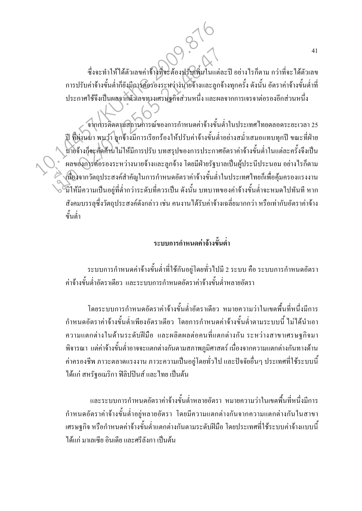ซึ่งจะทำให้ได้ตัวเลขค่าจ้างที่จะต้องปรับเพิ่มในแต่ละปี อย่างไรก็ตาม กว่าที่จะได้ตัวเลข ึการปรับค่าจ้างขั้นต่ำก็ยังมีการต้อรองระหว่างนายจ้างและลูกจ้างทุกครั้ง ดังนั้น อัตราค่าจ้างขั้นต่ำที่ ประกาศใช้จึงเป็นผลจากตัวเลขทางเศรษฐกิจส่วนหนึ่ง และผลจากการเจรจาต่อรองอีกส่วนหนึ่ง

้จากการติดตามสถานการณ์ของการกำหนดค่าจ้างขั้นต่ำในประเทศไทยตลอดระยะเวลา 25 ปี ที่ผ่านมา พบว่า ลูกจ้างมีการเรียกร้องให้ปรับค่าจ้างขั้นต่ำอย่างสม่ำเสมอแทบทุกปี ขณะที่ฝ่าย นายจ้างก็จะศัคด้านไม่ให้มีการปรับ บทสรุปของการประกาศอัตราค่าจ้างขั้นต่ำในแต่ละครั้งจึงเป็น ี ผลของการต่อรองระหว่างนายจ้างและลูกจ้าง โดยมีฝ่ายรัฐบาลเป็นผู้ประนีประนอม อย่างไรก็ตาม 2 เนื่องจากวัตถุประสงค์สำคัญในการกำหนดอัตราค่าจ้างขั้นต่ำในประเทศไทยก็เพื่อคุ้มครองแรงงาน ี้<br>อั้มิให้มีความเป็นอยู่ที่ต่ำกว่าระดับที่ควรเป็น ดังนั้น บทบาทของค่าจ้างขั้นต่ำจะหมดไปทันที หาก ้สังคมบรรลุซึ่งวัตถุประสงค์ดังกล่าว เช่น คนงาน ได้รับค่าจ้างเฉลี่ยมากกว่า หรือเท่ากับอัตราค่าจ้าง ขั้นต่ำ

#### ้ระบบการกำหนดค่าถ้างขั้นต่ำ

ระบบการกำหนดค่าจ้างขั้นต่ำที่ใช้กันอยู่โดยทั่วไปมี 2 ระบบ คือ ระบบการกำหนดอัตรา ้ค่าจ้างขั้นต่ำอัตราเดียว และระบบการกำหนดอัตราค่าจ้างขั้นต่ำหลายอัตรา

โดยระบบการกำหนดอัตราค่าจ้างขั้นต่ำอัตราเดียว หมายความว่าในเขตพื้นที่หนึ่งมีการ ้กำหนดอัตราค่าจ้างขั้นต่ำเพียงอัตราเดียว โดยการกำหนดค่าจ้างขั้นต่ำตามระบบนี้ ไม่ได้นำเอา ้ความแตกต่างในด้านระดับฝีมือ และผลิตผลต่อคนที่แตกต่างกัน ระหว่างสาขาเศรษฐกิจมา ี่ พิจารณา แต่ค่าจ้างขั้นต่ำอาจจะแตกต่างกันตามสภาพภูมิศาสตร์ เนื่องจากความแตกต่างกันทางด้าน ้ค่าครองชีพ ภาวะตลาคแรงงาน ภาวะความเป็นอยู่โดยทั่วไป และปัจจัยอื่นๆ ประเทศที่ใช้ระบบนี้ ได้แก่ สหรัฐอเมริกา ฟิลิปปินส์ และไทย เป็นต้น

และระบบการกำหนดอัตราค่าจ้างขั้นต่ำหลายอัตรา หมายความว่าในเขตพื้นที่หนึ่งมีการ ึ กำหนดอัตราค่าจ้างขั้นต่ำอยู่หลายอัตรา โดยมีความแตกต่างกันจากความแตกต่างกันในสาขา ้ เศรษฐกิจ หรือกำหนดค่าจ้างขั้นต่ำแตกต่างกันตามระดับฝีมือ โดยประเทศที่ใช้ระบบค่าจ้างแบบนี้ ได้แก่ มาเลเซีย อินเดีย และศรีลังกา เป็นต้น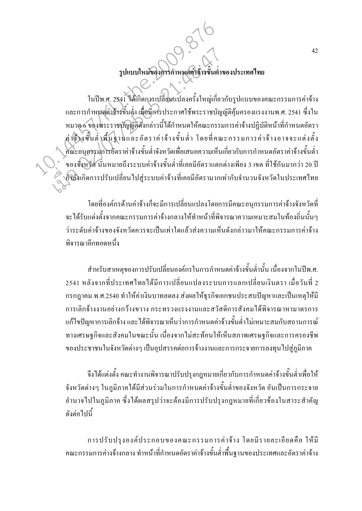### รูปแบบใหม่ของการกำหนดค่าจ้างขั้นต่ำของประเทศไทย

ในปีพ.ศ. 2541 ได้เกิดการเปลี่ยนแปลงครั้งใหญ่เกี่ยวกับรูปแบบของคณะกรรมการค่าจ้าง และการกำหนดค่าจ้างขั้นต่ำ เมื่อมีการประกาศใช้พระราชบัญญัติกุ้มกรองแรงงานพ.ศ. 2541 ซึ่งใน หมวด 6 ของพระราชบัญญัติดังกล่าวนี้ได้กำหนดให้คณะกรรมการค่าจ้างปฏิบัติหน้าที่กำหนดอัตรา ุค่าจ้างขั้นต่ำพื้นฐานและอัตราค่าจ้างขั้นต่ำ โดยที่คณะกรรมการค่าจ้างอาจจะแต่งตั้ง ีคณะอนุกรรมการอัตราค่าจ้างขั้นต่ำจังหวัดเพื่อเสนอความเห็นเกี่ยวกับการกำหนดอัตราค่าจ้างขั้นต่ำ ้ ของจังหวัด นั่นหมายถึงระบบค่าจ้างขั้นต่ำที่เคยมีอัตราแตกต่างเพียง 3 เขต ที่ใช้กันมากว่า 20 ปี ึ่งก็ถึงเกิดการปรับเปลี่ยนไปสู่ระบบค่าจ้างที่เคยมีอัตรามากเท่ากับจำนวนจังหวัดในประเทศไทย

โดยที่องค์กรด้านค่าจ้างก็จะมีการเปลี่ยนแปลงโดยการมีคณะอนกรรมการค่าจ้างจังหวัดที่ จะได้รับแต่งตั้งจากคณะกรรมการค่าจ้างกลางให้ทำหน้าที่พิจารณาความเหมาะสมในท้องถิ่นนั้นๆ ว่าระดับค่าถ้างของจังหวัดควรจะเป็นเท่าใดแล้วส่งความเห็นดังกล่าวมาให้คณะกรรมการค่าถ้าง พิจารณาอีกทอดหบึ้ง

้สำหรับสาเหตุของการปรับเปลี่ยนองค์กรในการกำหนดค่าจ้างขั้นต่ำนั้น เนื่องจากในปีพ.ศ. 2541 หลังจากที่ประเทศไทยได้มีการเปลี่ยนแปลงระบบการแลกเปลี่ยนเงินตรา เมื่อวันที่ 2 ี กรกฎาคม พ.ศ.2540 ทำให้ค่าเงินบาทลดลง ส่งผลให้ธุรกิจเอกชนประสบปัญหาและเป็นเหตุให้มี ึการเลิกจ้างงานอย่างกว้างขวาง กระทรวงแรงงานและสวัสดิการสังคมได้พิจารณาหามาตรการ แก้ไขปัญหาการเลิกจ้าง และได้พิจารณาเห็นว่าการกำหนดค่าจ้างขั้นต่ำไม่เหมาะสมกับสถานการณ์ ทางเศรษฐกิจและสังคมในขณะนั้น เนื่องจากไม่สะท้อนให้เห็นสภาพเศรษฐกิจและการครองชีพ ของประชาชนในจังหวัดต่างๆ เป็นอุปสรรคต่อการจ้างงานและการกระจายการลงทุนไปสู่ภูมิภาค

้จึงได้แต่งตั้ง คณะทำงานพิจารณาปรับปรุงกฎหมายเกี่ยวกับการกำหนดค่าจ้างขั้นต่ำเพื่อให้ ้จังหวัดต่างๆ ในภูมิภาคได้มีส่วนร่วมในการกำหนดค่าจ้างขั้นต่ำของจังหวัด อันเป็นการกระจาย ้อำนาจไปในภูมิภาค ซึ่งได้ผลสรุปว่าจะต้องมีการปรับปรุงกฎหมายที่เกี่ยวข้องในสาระสำคัญ ดังต่อไปบึ้

การปรับปรุงองค์ประกอบของคณะกรรมการค่าจ้าง โดยมีรายละเอียดคือ ให้มี ึ คณะกรรมการค่างจ้างกลาง ทำหน้าที่กำหนดอัตราค่าจ้างขั้นต่ำพื้นฐานของประเทศและอัตราค่าจ้าง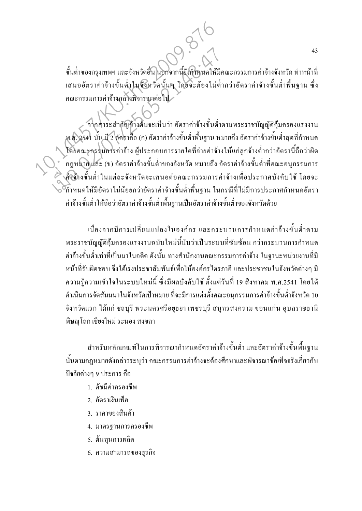ขั้นต่ำของกรุงเทพฯ และจังหวัดอื่น นอกจากนี้ยังกำหนดให้มีคณะกรรมการค่าจ้างจังหวัด ทำหน้าที่ ้เสนออัตราค่าจ้างขั้นต่ำในจังหวัดนั้นๆ โดยจะต้องไม่ต่ำกว่าอัตราค่าจ้างขั้นต่ำพื้นฐาน ซึ่ง ึ คณะกรรมการค่าจ้างกลางพิจารณาต่อไป

้จากสาระสำคัญข้างศึนจะเห็นว่า อัตราค่าจ้างขั้นต่ำตามพระราชบัญญัติคุ้มครองแรงงาน พ.ศ. 2541 นั้น มี 2 อัตราคือ (ก) อัตราค่าจ้างขั้นต่ำพื้นฐาน หมายถึง อัตราค่าจ้างขั้นต่ำสุดที่กำหนด โดยคณะกรรมการค่ำจ้าง ผู้ประกอบการรายใดที่จ่ายค่าจ้างให้แก่ลูกจ้างต่ำกว่าอัตรานี้ถือว่าผิด ึกฎหมายและ (ข) อัตราค่าจ้างขั้นต่ำของจังหวัด หมายถึง อัตราค่าจ้างขั้นต่ำที่คณะอนุกรรมการ )<br>โด้วิจางขั้นต่ำในแต่ละจังหวัดจะเสนอต่อคณะกรรมการค่าจ้างเพื่อประกาศบังคับใช้ โดยจะ ี้ กำหนดให้มีอัตราไม่น้อยกว่าอัตราค่าจ้างขั้นต่ำพื้นฐาน ในกรณีที่ไม่มีการประกาศกำหนดอัตรา ค่าจ้างขั้นต่ำให้ถือว่าอัตราค่าจ้างขั้นต่ำพื้นฐานเป็นอัตราค่าจ้างขั้นต่ำของจังหวัดด้วย

้เนื่องจากมีการเปลี่ยนแปลงในองค์กร และกระบวนการกำหนดค่าจ้างขั้นต่ำตาม พระราชบัญญัติคุ้มครองแรงงานฉบับใหม่นี้นับว่าเป็นระบบที่ซับซ้อน กว่ากระบวนการกำหนด ้ค่าจ้างขั้นต่ำเท่าที่เป็นมาในอดีต ดังนั้น ทางสำนักงานคณะกรรมการค่าจ้าง ในฐานะหน่วยงานที่มี หน้าที่รับผิดชอบ จึงใด้เร่งประชาสัมพันธ์เพื่อให้องค์กรไตรภาคี และประชาชนในจังหวัดต่างๆ มี ้ความรู้ความเข้าใจในระบบใหม่นี้ ซึ่งมีผลบังคับใช้ ตั้งแต่วันที่ 19 สิงหาคม พ.ศ.2541 โดยได้ ้ดำเนินการจัดสัมมนาในจังหวัดเป้าหมาย ที่จะมีการแต่งตั้งคณะอนุกรรมการค่าจ้างขั้นต่ำจังหวัด 10 จังหวัดแรก ได้แก่ ชลบุรี พระนครศรีอยุธยา เพชรบุรี สมุทรสงคราม ขอนแก่น อุบลราชธานี พิษณุโลก เชียงใหม่ ระนอง สงขลา

ี สำหรับหลักเกณฑ์ในการพิจารณากำหนดอัตราค่าจ้างขั้นต่ำ และอัตราค่าจ้างขั้นพื้นฐาน ้นั้นตามกฎหมายดังกล่าวระบุว่า คณะกรรมการค่าจ้างจะต้องศึกษาและพิจารณาข้อเท็จจริงเกี่ยวกับ ปัจจัยต่างๆ 9 ประการ คือ

- 1. ดัชนีค่าครองชีพ
- 2. คัตราเงินเฟ้อ
- 3. ราคาของสินค้า
- 4. มาตรฐานการครองชีพ
- 5. ต้นทุนการผลิต
- 6. ความสามารถของธุรกิจ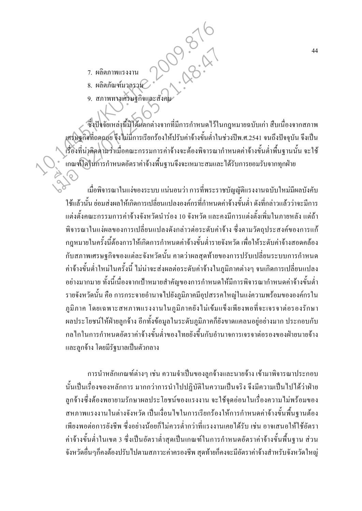- 7. ผลิตภาพแรงงาน
- 8. ผลิตภัณฑ์มวลรวม
- 9. สภาพทางเศรษฐกิจและสั่ง

ซึ่งปัจจัยเหล่านี้มิได้แตกต่างจากที่มีการกำหนดไว้ในกฎหมายฉบับเก่า สืบเนื่องจากสภาพ เศรษฐกิจที่ถดกอย จึงไม่มีการเรียกร้องให้ปรับค่าจ้างขั้นต่ำในช่วงปีพ.ศ.2541 จนถึงปัจจุบัน จึงเป็น .<br>เรื่องที่น่าติดตามว่าเมื่อคณะกรรมการค่าจ้างจะต้องพิจารณากำหนดค่าจ้างขั้นต่ำพื้นฐานนั้น จะใช้ ้เกณฑ์ใดในการกำหนดอัตราค่าจ้างพื้นฐานจึงจะเหมาะสมและได้รับการยอมรับจากทุกฝ่าย

1.28:47

เมื่อพิจารณาในแง่ของระบบ แน่นอนว่า การที่พระราชบัญญัติแรงงานฉบับใหม่มีผลบังคับ ใช้แล้วนั้น ย่อมส่งผลให้เกิดการเปลี่ยนแปลงองค์กรที่กำหนดค่าจ้างขั้นต่ำ ดังที่กล่าวแล้วว่าจะมีการ ้แต่งตั้งคณะกรรมการค่าจ้างจังหวัดนำร่อง 10 จังหวัด และคงมีการแต่งตั้งเพิ่มในภายหลัง แต่ถ้า ้พิจารณาในแง่ผลของการเปลี่ยนแปลงดังกล่าวต่อระดับค่าจ้าง ซึ่งตามวัตถุประสงค์ของการแก้ ึกฎหมายในครั้งนี้ต้องการให้เกิดการกำหนดค่าจ้างขั้นต่ำรายจังหวัด เพื่อให้ระดับค่าจ้างสอดคล้อง ้กับสภาพเศรษฐกิจของแต่ละจังหวัดนั้น คาดว่าผลสุดท้ายของการปรับเปลี่ยนระบบการกำหนด ้ค่าจ้างขั้นต่ำใหม่ในครั้งนี้ ไม่น่าจะส่งผลต่อระดับค่าจ้างในภูมิภาคต่างๆ จนเกิดการเปลี่ยนแปลง ้อย่างมากมาย ทั้งนี้เนื่องจากเป้าหมายสำคัญของการกำหนดให้มีการพิจารณากำหนดค่าจ้างขั้นต่ำ รายจังหวัดนั้น คือ การกระจายอำนาจไปยังภูมิภาคมีอุปสรรคใหญ่ในแง่ความพร้อมขององค์กรใน ภูมิภาค โดยเฉพาะสหภาพแรงงานในภูมิภาคยังไม่เข้มแข็งเพียงพอที่จะเจรจาต่อรองรักษา ผลประโยชน์ให้ฝ่ายลูกจ้าง อีกทั้งข้อมูลในระดับภูมิภาคกี้ยังขาดแคลนอยู่อย่างมาก ประกอบกับ ึกลไกในการกำหนดอัตราค่าจ้างขั้นต่ำของไทยยังขึ้นกับอำนาจการเจรจาต่อรองของฝ่ายนายจ้าง และลกจ้าง โดยมีรัฐบาลเป็นตัวกลาง

ึการนำหลักเกณฑ์ต่างๆ เช่น ความจำเป็นของลูกจ้างและนายจ้าง เข้ามาพิจารณาประกอบ ้นั้นเป็นเรื่องของหลักการ มากกว่าการนำไปปฏิบัติในความเป็นจริง จึงมีความเป็นไปได้ว่าฝ่าย ี่ลูกจ้างซึ่งต้องพยายามรักษาผลประโยชน์ของแรงงาน จะใช้จุดอ่อนในเรื่องความไม่พร้อมของ ี่ สหภาพแรงงานในต่างจังหวัด เป็นเงื่อนใบในการเรียกร้องให้การกำหนดค่าจ้างขั้นพื้นฐานต้อง เพียงพอต่อการยังชีพ ซึ่งอย่างน้อยก็ไม่ควรต่ำกว่าที่แรงงานเคยได้รับ เช่น อาจเสนอให้ใช้อัตรา ้ค่าจ้างขั้นต่ำในเขต 3 ซึ่งเป็นอัตราต่ำสุดเป็นเกณฑ์ในการกำหนดอัตราค่าจ้างขั้นพื้นฐาน ส่วน จังหวัดอื่นๆก็คงต้องปรับไปตามสภาวะค่าครองชีพ สดท้ายก็คงจะมีอัตราค่าจ้างสำหรับจังหวัดใหญ่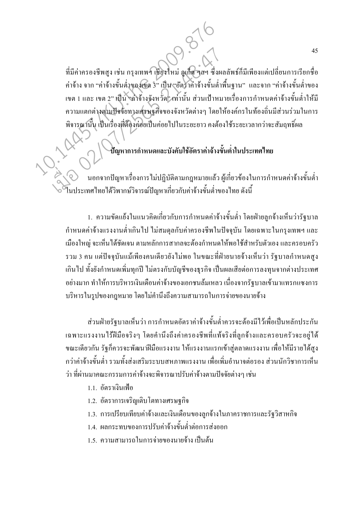ีที่มีค่าครองชีพสูง เช่น กรุงเทพฯ เชียงใหม่ ภูเก็ต ๆลฯ ซึ่งผลลัพธ์ก็มีเพียงแต่เปลี่ยนการเรียกชื่อ ้ค่าจ้าง จาก "ค่าจ้างขั้นต่ำของเขต 3" เป็น "อัตราค่าจ้างขั้นต่ำพื้นฐาน" และจาก "ค่าจ้างขั้นต่ำของ ้ เขต 1 และ เขต 2" เป็น "ถ่าจ้างจังหวัด" เท่านั้น ส่วนเป้าหมายเรื่องการกำหนดค่าจ้างขั้นต่ำให้มี ้ความแตกต่างตามปัจจัยทางเศรษฐกิจของจังหวัดต่างๆ โดยให้องค์กรในท้องถิ่นมีส่วนร่วมในการ พิจารณานั้น เป็นเรื่องที่ต้องค่อยเป็นค่อยไปในระยะยาว คงต้องใช้ระยะเวลากว่าจะสัมถทธิ์ผล

#### บีญหาการกำหนดและบังคับใช้อัตราค่าจ้างขั้นต่ำในประเทศไทย

้นอกจากปัญหาเรื่องการไม่ปฏิบัติตามกฎหมายแล้ว ผู้เกี่ยวข้องในการกำหนดค่าจ้างขั้นต่ำ โนประเทศไทยได้วิพากษ์วิจารณ์ปัญหาเกี่ยวกับค่าจ้างขั้นต่ำของไทย ดังนี้

1. ความขัดแย้งในแนวคิดเกี่ยวกับการกำหนดค่าจ้างขั้นต่ำ โดยฝ่ายลูกจ้างเห็นว่ารัฐบาล ้กำหนดค่าจ้างแรงงานต่ำเกินไป ไม่สมดุลกับค่าครองชีพในปัจจุบัน โดยเฉพาะในกรุงเทพฯ และ ้เมืองใหญ่ จะเห็นได้ชัดเจน ตามหลักการสากลจะต้องกำหนดให้พอใช้สำหรับตัวเอง และครอบครัว ้รวม 3 คน แต่ปัจจุบันแม้เพียงคนเดียวยัง ไม่พอ ในขณะที่ฝ่ายนายจ้างเห็นว่า รัฐบาลกำหนดสูง ้ เกินไป ทั้งยังกำหนดเพิ่มทุกปี ไม่ตรงกับบัญชีของธุรกิจ เป็นผลเสียต่อการลงทุนจากต่างประเทศ ้อย่างมาก ทำให้การบริหารเงินเดือนค่าจ้างของเอกชนล้มเหลว เนื่องจากรัฐบาลเข้ามาแทรกแซงการ ้บริหารในรูปของกฎหมาย โดยไม่คำนึงถึงความสามารถในการจ่ายของนายจ้าง

ส่วนฝ่ายรัฐบาลเห็นว่า การกำหนดอัตราค่าจ้างขั้นต่ำควรจะต้องมีไว้เพื่อเป็นหลักประกัน เฉพาะแรงงานใร้ฝีมือจริงๆ โดยคำนึงถึงค่าครองชีพที่แท้จริงที่ลูกจ้างและครอบครัวจะอยู่ใด้ ึ่งณะเดียวกัน รัฐกี้ควรจะพัฒนาฝีมือแรงงาน ให้แรงงานแรกเข้าสู่ตลาดแรงงาน เพื่อให้มีรายได้สูง ึกว่าค่าจ้างขั้นต่ำ รวมทั้งส่งเสริมระบบสหภาพแรงงาน เพื่อเพิ่มอำนาจต่อรอง ส่วนนักวิชาการเห็น ว่า ที่ผ่านมาคณะกรรมการค่าจ้างจะพิจารณาปรับค่าจ้างตามปัจจัยต่างๆ เช่น

- 11 คัตราเงิบเฟ้อ
- 1.2. อัตราการเจริญเติบโตทางเศรษฐกิจ
- 1.3. การเปรียบเทียบค่าจ้างและเงินเดือนของลูกจ้างในภาคราชการและรัฐวิสาหกิจ
- 1.4. ผลกระทบของการปรับค่าจ้างขั้นต่ำต่อการส่งออก
- 1.5. ความสามารถในการจ่ายของนายจ้าง เป็นต้น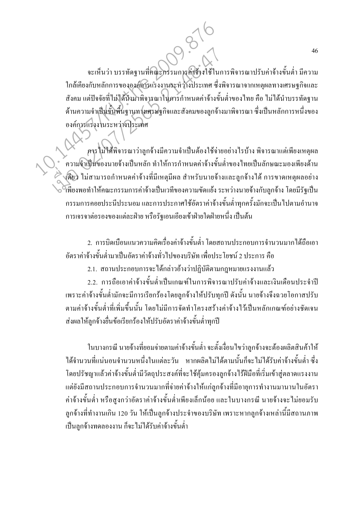จะเห็นว่า บรรทัดฐานที่คณะกรรมการค่ำจ้างใช้ในการพิจารณาปรับค่าจ้างขั้นต่ำ มีความ ใกล้เคียงกับหลักการขององค์การแรงงานระหว่างประเทศ ซึ่งพิจารณาจากเหตุผลทางเศรษฐกิจและ ้สังคม แต่ปัจจัยที่ไม่ได้นำมาพิจารณาในการกำหนดค่าจ้างขั้นต่ำของไทย คือ ไม่ได้นำบรรทัดฐาน ้ด้านความจำเป็นขั้นพื้นฐานทางเศรษฐกิจและสังคมของลูกจ้างมาพิจารณา ซึ่งเป็นหลักการหนึ่งของ องค์การแรงงานระหว่างประเทศ

คาร ไม่ใส้พิจารณาว่าลูกจ้างมีความจำเป็นต้องใช้จ่ายอย่างไรบ้าง พิจารณาแต่เพียงเหตุผล ้ ความจำเป็นของนายจ้างเป็นหลัก ทำให้การกำหนดค่าจ้างขั้นต่ำของไทยเป็นลักษณะมองเพียงด้าน งคือว ไม่สามารถกำหนดค่าจ้างที่มีเหตุมีผล สำหรับนายจ้างและลูกจ้างได้ การขาดเหตุผลอย่าง ้เพียงพอทำให้คณะกรรมการค่าจ้างเป็นเวทีของความขัดแย้ง ระหว่างนายจ้างกับลูกจ้าง โดยมีรัฐเป็น ้กรรมการคอยประนีประนอม และการประกาศใช้อัตราค่าจ้างขั้นต่ำทุกครั้งมักจะเป็นไปตามอำนาจ ึการเจรจาต่อรองของแต่ละฝ่าย หรือรัฐเอนเอียงเข้าฝ่ายใดฝ่ายหนึ่ง เป็นต้น

่ 2. การบิดเบื้อนแนวความกิดเรื่องค่าจ้างขั้นต่ำ โดยสถานประกอบการจำนวนมากได้ถือเอา ้อัตราค่าจ้างขั้นต่ำมาเป็นอัตราค่าจ้างทั่วไปของบริษัท เพื่อประโยชน์ 2 ประการ คือ

2.1. สถานประกอบการจะได้กล่าวอ้างว่าปฏิบัติตามกฎหมายแรงงานแล้ว

2.2. การถือเอาค่าจ้างขั้นต่ำเป็นเกณฑ์ในการพิจารณาปรับค่าจ้างและเงินเคือนประจำปี เพราะค่าจ้างขั้นต่ำมักจะมีการเรียกร้องโดยลูกจ้างให้ปรับทุกปี ดังนั้น นายจ้างจึงฉวยโอกาสปรับ ตามค่าจ้างขั้นต่ำที่เพิ่มขึ้นนั้น โดยไม่มีการจัดทำโครงสร้างค่าจ้างไว้เป็นหลักเกณฑ์อย่างชัดเจน ส่งผลให้ลูกจ้างยื่นข้อเรียกร้องให้ปรับอัตราค่าจ้างขั้นต่ำทุกปี

ในบางกรณี นายจ้างที่ยอมจ่ายตามค่าจ้างขั้นต่ำ จะตั้งเงื่อนใขว่าลูกจ้างจะต้องผลิตสินค้าให้ ใค้จำนวนที่แน่นอนจำนวนหนึ่งในแต่ละวัน หากผลิตไม่ได้ตามนั้นก็จะไม่ได้รับค่าจ้างขั้นต่ำ ซึ่ง โดยปรัชญาแล้วค่าจ้างขั้นต่ำมีวัตถุประสงค์ที่จะใช้คุ้มครองลูกจ้างไร้ฝีมือที่เริ่มเข้าสู่ตลาดแรงงาน แต่ยังมีสถานประกอบการจำนวนมากที่จ่ายค่าจ้างให้แก่ลูกจ้างที่มีอายุการทำงานมานานในอัตรา ้ค่าจ้างขั้นต่ำ หรือสูงกว่าอัตราค่าจ้างขั้นต่ำเพียงเล็กน้อย และในบางกรณี นายจ้างจะ ไม่ยอมรับ ้ลูกจ้างที่ทำงานเกิน 120 วัน ให้เป็นลูกจ้างประจำของบริษัท เพราะหากลูกจ้างเหล่านี้มีสถานภาพ เป็นลูกจ้างทดลองงาน ก็จะไม่ได้รับค่าจ้างขั้นต่ำ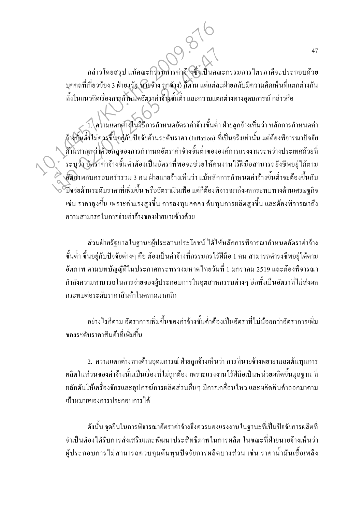ึกล่าวโดยสรุป แม้คณะกรรมการค่าจ้างซึ่งเป็นคณะกรรมการใตรภาคีจะประกอบด้วย ี บุคคลที่เกี่ยวข้อง 3 ฝ่าย (รัฐ นายจ้าง ลูกจ้าง) ก็ตาม แต่แต่ละฝ่ายกลับมีความคิดเห็นที่แตกต่างกัน ้ทั้งในแนวคิดเรื่องการกำหนดอัตราค่าจ้างขั้นต่ำ และความแตกต่างทางอุดมการณ์ กล่าวคือ

1. ความแตกต่างในวิธีการกำหนดอัตราค่าจ้างขั้นต่ำ ฝ่ายลูกจ้างเห็นว่า หลักการกำหนดค่า ้จ้างขั้นต่ำไม่ควรขึ้นอยู่กับปัจจัยด้านระดับราคา (Inflation) ที่เป็นจริงเท่านั้น แต่ต้องพิจารณาปัจจัย ด้านสากล ว่าด้วยกฎของการกำหนดอัตราค่าจ้างขั้นต่ำขององค์การแรงงานระหว่างประเทศด้วยที่ ้ระบุว่า อัตราค่าจ้างขั้นต่ำต้องเป็นอัตราที่พอจะช่วยให้คนงานใร้ฝีมือสามารถยังชีพอยู่ได้ตาม ้อัติภาพกับครอบครัวรวม 3 คน ฝ่ายนายจ้างเห็นว่า แม้หลักการกำหนดค่าจ้างขั้นต่ำจะต้องขึ้นกับ ้ ปี๊กกัยด้านระดับราคาที่เพิ่มขึ้น หรืออัตราเงินเฟือ แต่ก็ต้องพิการณาถึงผลกระทบทางด้านเศรษฐกิจ ้เช่น ราคาสูงขึ้น เพราะค่าแรงสูงขึ้น การลงทุนลดลง ต้นทุนการผลิตสูงขึ้น และต้องพิจารณาถึง ิ์ ความสามารถในการจ่ายค่าจ้างของฝ่ายนายจ้างด้วย

ส่วนฝ่ายรัฐบาลในฐานะผู้ประสานประโยชน์ ใค้ให้หลักการพิจารณากำหนดอัตราค่าจ้าง ้ขั้นต่ำ ขึ้นอย่กับปัจจัยต่างๆ คือ ต้องเป็นค่าจ้างที่กรรมกรไร้ฝีมือ 1 คน สามารถดำรงชีพอย่ได้ตาม ้อัตภาพ ตามบทบัญณัติในประกาศกระทรวงมหาดไทยวันที่ 1 มกราคม 2519 และต้องพิจารณา ้กำลังความสามารถในการจ่ายของผู้ประกอบการในอุตสาหกรรมต่างๆ อีกทั้งเป็นอัตราที่ไม่ส่งผล กระทบต่อระดับราคาสินค้าในตลาดมากนัก

้อย่างไรก็ตาม อัตราการเพิ่มขึ้นของค่าจ้างขั้นต่ำต้องเป็นอัตราที่ไม่น้อยกว่าอัตราการเพิ่ม ของระดับราคาสิบค้าที่เพิ่มขึ้น

่ 2. ความแตกต่างทางด้านอุดมการณ์ ฝ่ายลูกจ้างเห็นว่า การที่นายจ้างพยายามลดต้นทุนการ ผลิตในส่วนของค่าจ้างนั้นเป็นเรื่องที่ไม่ถูกต้อง เพราะแรงงานไร้ฝีมือเป็นหน่วยผลิตขั้นมูลฐาน ที่ ผลักดันให้เครื่องจักรและอุปกรณ์การผลิตส่วนอื่นๆ มีการเคลื่อนใหว และผลิตสินค้าออกมาตาม เป้าหมายของการประกอบการได้

้ดังนั้น จดยืนในการพิจารณาอัตราค่าจ้างจึงควรมองแรงงานในฐานะที่เป็นปัจจัยการผลิตที่ จำเป็นต้องได้รับการส่งเสริมและพัฒนาประสิทธิภาพในการผลิต ในขณะที่ฝ่ายนายจ้างเห็นว่า ผู้ประกอบการไม่สามารถควบคุมต้นทุนปัจจัยการผลิตบางส่วน เช่น ราคาน้ำมันเชื้อเพลิง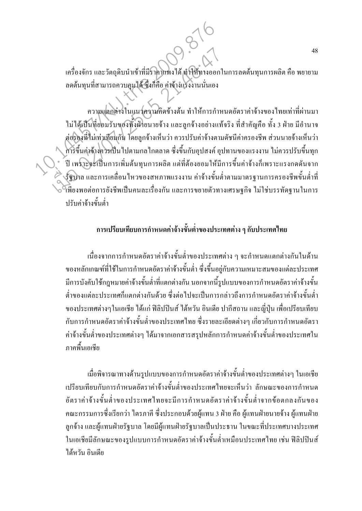เครื่องจักร และวัตถุดิบนำเข้าที่มีราคาแพงได้ ทำให้ทางออกในการลดต้นทุนการผลิต คือ พยายาม ิลดต้นทุนที่สามารถควบคุมได้ ซึ่งก็คือ ค่าจ้างแรงงานนั่นเอง

้ความแตกต่างในแนวความคิดข้างต้น ทำให้การกำหนดอัตราค่าจ้างของไทยเท่าที่ผ่านมา ไม่ได้เป็นที่ยอมรับของทั้งฝ่ายนายจ้าง และลูกจ้างอย่างแท้จริง ที่สำคัญคือ ทั้ง 3 ฝ่าย มีอำนาจ ต่อรองที่ไม่เท่าเทียมกัน โดยลูกจ้างเห็นว่า ควรปรับค่าจ้างตามดัชนีค่าครองชีพ ส่วนนายจ้างเห็นว่า ่ คารขึ้นค่าจ้างควรเป็นไปตามกลไกตลาด ซึ่งขึ้นกับอุปสงค์ อุปทานของแรงงาน ไม่ควรปรับขึ้นทุก ี ปี เพราะจะเป็นการเพิ่มต้นทุนการผลิต แต่ที่ต้องยอมให้มีการขึ้นค่าจ้างก็เพราะแรงกดดันจาก ึ่งรัฐบาล และการเคลื่อนใหวของสหภาพแรงงาน ค่าจ้างขั้นต่ำตามมาตรฐานการครองชีพขั้นต่ำที่ ำพืยงพอต่อการยังชีพเป็นคนละเรื่องกัน และการขยายตัวทางเศรษฐกิจ ไม่ใช่บรรทัดฐานในการ ปรับค่าจ้างขั้นต่ำ

#### ี การเปรียบเทียบการกำหนดค่าจ้างขั้นต่ำของประเทศต่าง ๆ กับประเทศไทย

้เนื่องจากการกำหนดอัตราค่าจ้างขั้นต่ำของประเทศต่าง ๆ จะกำหนดแตกต่างกันในด้าน ึ ของหลักเกณฑ์ที่ใช้ในการกำหนดอัตราค่าจ้างขั้นต่ำ ซึ่งขึ้นอยู่กับความเหมาะสมของแต่ละประเทศ ้มีการบังคับใช้กฎหมายค่าจ้างขั้นต่ำที่แตกต่างกัน นอกจากนี้รูปแบบของการกำหนดอัตราค่าจ้างขั้น ้ต่ำของแต่ละประเทศก็แตกต่างกันด้วย ซึ่งต่อไปจะเป็นการกล่าวถึงการกำหนดอัตราค่าจ้างขั้นต่ำ ของประเทศต่างๆในเอเชีย ได้แก่ ฟิลิปปินส์ ได้หวัน อินเดีย ปากีสถาน และญี่ปุ่น เพื่อเปรียบเทียบ ้กับการกำหนดอัตราค่าจ้างขั้นต่ำของประเทศไทย ซึ่งรายละเอียดต่างๆ เกี่ยวกับการกำหนดอัตรา ้ค่าจ้างขั้นต่ำของประเทศต่างๆ ได้มาจากเอกสารสรุปหลักการกำหนดค่าจ้างขั้นต่ำของประเทศใน ภาคพื้นเคเชีย

เมื่อพิจารณาทางด้านรูปแบบของการกำหนดอัตราค่าจ้างขั้นต่ำของประเทศต่างๆ ในเอเชีย เปรียบเทียบกับการกำหนดอัตราค่าจ้างขั้นต่ำของประเทศไทยจะเห็นว่า ลักษณะของการกำหนด อัตราค่าถ้างขั้นต่ำของประเทศไทยจะมีการกำหนดอัตราค่าถ้างขั้นต่ำจากข้อตกลงกันของ ึ คณะกรรมการซึ่งเรียกว่า ใตรภาคี ซึ่งประกอบด้วยผู้แทน 3 ฝ่าย คือ ผู้แทนฝ่ายนายจ้าง ผู้แทนฝ่าย ้ลูกจ้าง และผู้แทนฝ่ายรัฐบาล โดยมีผู้แทนฝ่ายรัฐบาลเป็นประธาน ในขณะที่ประเทศบางประเทศ ในเอเชียมีลักษณะของรูปแบบการกำหนดอัตราค่าจ้างขั้นต่ำเหมือนประเทศไทย เช่น ฟิลิปปินส์ ได้หวัน อินเดีย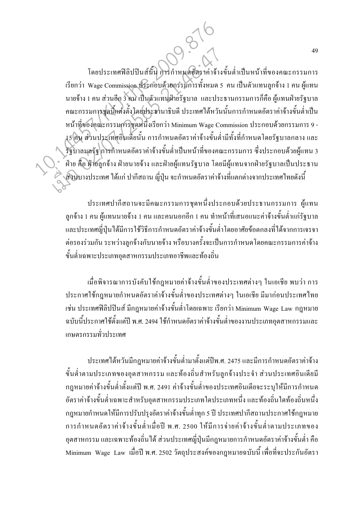โดยประเทศฟิลิปปินส์นั้น การกำหนดอัตราค่าจ้างขั้นต่ำเป็นหน้าที่ของคณะกรรมการ เรียกว่า Wage Commission ประกอบด้วยกรรมการทั้งหมด 5 คน เป็นตัวแทนลูกจ้าง 1 คน ผู้แทน นายจ้าง 1 คน ส่วนอีก 3 คน เป็นตัวแทนฝ่ายรัฐบาล และประธานกรรมการก็คือ ผู้แทนฝ่ายรัฐบาล ึ คณะกรรมการขุดนี้แต่งตั้งโดยประธานาธิบดี ประเทศได้หวันนั้นการกำหนดอัตราค่าจ้างขั้นต่ำเป็น หน้าที่ของคณะกรรมการชุดหนึ่งเรียกว่า Minimum Wage Commission ประกอบด้วยกรรมการ 9 -15 คิน ส่วนประเทศอินเดียนั้น การกำหนดอัตราค่าจ้างขั้นต่ำมีทั้งที่กำหนดโดยรัฐบาลกลาง และ .<br>รัฐบาลมุลรัฐ การกำหนดอัตราค่าจ้างขั้นต่ำเป็นหน้าที่ของคณะกรรมการ ซึ่งประกอบด้วยผู้แทน 3 ้ฝ่าย คือ ฝ่ายลูกจ้าง ฝ่ายนายจ้าง และฝ่ายผู้แทนรัฐบาล โดยมีผู้แทนจากฝ่ายรัฐบาลเป็นประธาน ิ ส่วนบางประเทศ ได้แก่ ปากีสถาน ญี่ปุ่น จะกำหนดอัตราค่าจ้างที่แตกต่างจากประเทศไทยดังนี้

ประเทศปากีสถานจะมีคณะกรรมการชุดหนึ่งประกอบด้วยประธานกรรมการ ผู้แทน ิลกจ้าง 1 คน ผู้แทนนายจ้าง 1 คน และคนนอกอีก 1 คน ทำหน้าที่เสนอแนะค่าจ้างขั้นต่ำแก่รัฐบาล และประเทศญี่ปุ่นใด้มีการใช้วิธีการกำหนดอัตราค่าจ้างขั้นต่ำโดยอาศัยข้อตกลงที่ได้จากการเจรจา ้ต่อรองร่วมกัน ระหว่างลูกจ้างกับนายจ้าง หรือบางครั้งจะเป็นการกำหนดโดยคณะกรรมการค่าจ้าง ขั้นต่ำเฉพาะประเภทอตสาหกรรมประเภทอาชีพและท้องถิ่น

เมื่อพิจารณาการบังคับใช้กฎหมายค่าจ้างขั้นต่ำของประเทศต่างๆ ในเอเชีย พบว่า การ ประกาศใช้กฎหมายกำหนดอัตราค่าจ้างขั้นต่ำของประเทศต่างๆ ในเอเชีย มีมาก่อนประเทศไทย ้เช่น ประเทศฟิลิปปินส์ มีกฎหมายค่าจ้างขั้นต่ำโดยเฉพาะ เรียกว่า Minimum Wage Law กฎหมาย ฉบับนี้ประกาศใช้ตั้งแต่ปี พ.ศ. 2494 ใช้กำหนดอัตราค่าจ้างขั้นต่ำของงานประเภทอุตสาหกรรมและ เกษตรกรรมทั่วประเทศ

ประเทศได้หวันมีกฎหมายค่าจ้างขั้นต่ำมาตั้งแต่ปีพ.ศ. 2475 และมีการกำหนดอัตราค่าจ้าง ขั้นต่ำตามประเภทของอุตสาหกรรม และท้องถิ่นสำหรับลูกจ้างประจำ ส่วนประเทศอินเดียมี ึกฎหมายค่าจ้างขั้นต่ำตั้งแต่ปี พ.ศ. 2491 ค่าจ้างขั้นต่ำของประเทศอินเดียจะระบุให้มีการกำหนด ้อัตราค่าจ้างขั้นต่ำเฉพาะสำหรับอุตสาหกรรมประเภทใดประเภทหนึ่ง และท้องถิ่นใดท้องถิ่นหนึ่ง ึกฎหมายกำหนดให้มีการปรับปรุงอัตราค่าจ้างขั้นต่ำทุก 5 ปี ประเทศปากีสถานประกาศใช้กฎหมาย ึการกำหนดอัตราค่าจ้างขั้นต่ำเมื่อปี พ.ศ. 2500 ให้มีการจ่ายค่าจ้างขั้นต่ำตามประเภทของ ้อุตสาหกรรม และเฉพาะท้องถิ่นได้ ส่วนประเทศญี่ปุ่นมีกฎหมายการกำหนดอัตราค่าจ้างขั้นต่ำ คือ Minimum Wage Law เมื่อปี พ.ศ. 2502 วัตถุประสงค์ของกฎหมายฉบับนี้ เพื่อที่จะประกันอัตรา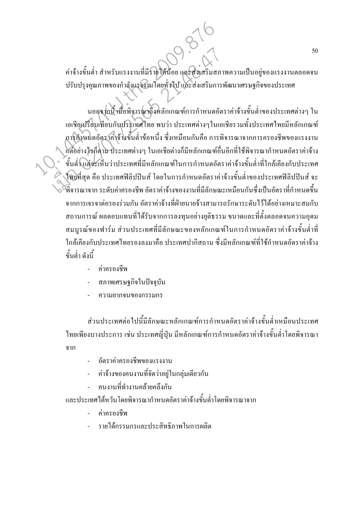้ค่าจ้างขั้นต่ำ สำหรับแรงงานที่มีรายใด้น้อย และส่งเสริมสภาพความเป็นอยู่ของแรงงานตลอดจน ปรับปรุงคุณภาพของกำลังแรงงานโดยทั่วไป และส่งเสริมการพัฒนาเศรษฐกิจของประเทศ

นอกจากนี้ เมื่อพิจารณาถึงหลักเกณฑ์การกำหนดอัตราค่าจ้างขั้นต่ำของประเทศต่างๆ ใน เอเชียเปรียบเทียบกับประเทศไทย พบว่า ประเทศต่างๆในเอเชียรวมทั้งประเทศไทยมีหลักเกณฑ์ ภารกำหนดอัตราค่าจ้างขั้นต่ำข้อหนึ่ง ซึ่งเหมือนกันคือ การพิจารณาจากการครองชีพของแรงงาน (เตื้อย่างไรก็ตาม ประเทศต่างๆ ในเอเชียต่างก็มีหลักเกณฑ์อื่นอีกที่ใช้พิจารณากำหนดอัตราค่าจ้าง ้ขั้นต่ำแต่จะเห็นว่าประเทศที่มีหลักเกณฑ์ในการกำหนดอัตราค่าจ้างขั้นต่ำที่ใกล้เคียงกับประเทศ ใดยที่สุด คือ ประเทศฟิลิปปินส์ โดยในการกำหนดอัตราค่าจ้างขั้นต่ำของประเทศฟิลิปปินส์ จะ ั้วพิการณากาก ระดับค่าครองชีพ อัตราค่าก้างของงานที่มีลักษณะเหมือนกันซึ่งเป็นอัตราที่กำหนดขึ้น จากการเจรจาต่อรองร่วมกัน อัตราค่าจ้างที่ฝ่ายนายจ้างสามารถรักษาระดับไว้ได้อย่างเหมาะสมกับ ิสถานการณ์ ผลตอบแทนที่ได้รับจากการลงทนอย่างยติธรรม ขนาดและที่ตั้งตลอดจนความอดม ี สมบูรณ์ของฟาร์ม ส่วนประเทศที่มีลักษณะของหลักเกณฑ์ในการกำหนดอัตราค่าจ้างขั้นต่ำที่ ใกล้เคียงกับประเทศไทยรองลงมาคือ ประเทศปากีสถาน ซึ่งมีหลักเกณฑ์ที่ใช้กำหนดอัตราค่าจ้าง ขั้นต่ำ ดังนี้

- ค่าครองชีพ
- สภาพเศรษฐกิจในปัจจุบัน
- ความยากจนของกรรมกร

ส่วนประเทศต่อไปนี้มีลักษณะหลักเกณฑ์การกำหนดอัตราค่าจ้างขั้นต่ำเหมือนประเทศ ใทยเพียงบางประการ เช่น ประเทศญี่ปุ่น มีหลักเกณฑ์การกำหนดอัตราค่าจ้างขั้นต่ำโดยพิจารณา าาก

- อัตราค่าครองชีพของแรงงาน
- ้ค่าจ้างของคนงานที่จัดว่าอยู่ในกลุ่มเดียวกัน
- ึคนงานที่ทำงานคล้ายคลึงกัน
- และประเทศได้หวันโดยพิจารณากำหนดอัตราค่าจ้างขั้นต่ำโดยพิจารณาจาก
	- ค่าครองชีพ
	- รายได้กรรมกรและประสิทธิภาพในการผลิต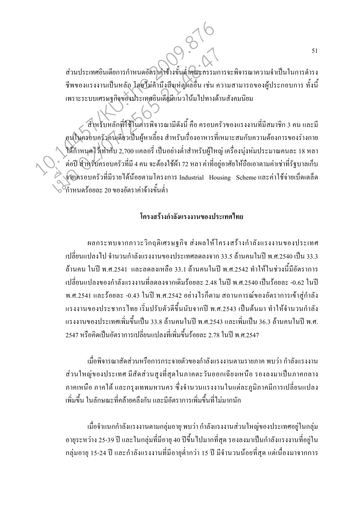ส่วนประเทศอินเดียการกำหนดอัตราคาข้างขั้นต่ำคณะกรรมการจะพิจารณาความจำเป็นในการดำรง ชีพของแรงงานเป็นหลัก โดยไม่คำนึงถึงเหตุผลอื่น เช่น ความสามารถของผู้ประกอบการ ทั้งนี้ เพราะระบบเศรษฐกิจของประเทศอินเดียมีแนวโน้ม ไปทางด้านสังคมนิยม

์สำหรับหลักที่ใช้ในการพิจารณามีดังนี้ คือ ครอบครัวของแรงงานที่มีสมาชิก 3 คน และมี ุดนในครอบครัวคนเดียวเป็นผู้หาเลี้ยง สำหรับเรื่องอาหารที่เหมาะสมกับความต้องการของร่างกาย ใค้กำหนดไว้เท่ากับ 2,700 แกลอรี่ เป็นอย่างต่ำสำหรับผู้ใหญ่ เครื่องนุ่งห่มประมาณกนละ 18 หลา ้ต่อปี สำหรับครอบครัวที่มี 4 คน จะต้องใช้ผ้า 72 หลา ค่าที่อยู่อาศัยให้ถือเอาตามค่าเช่าที่รัฐบาลเก็บ จากครอบครัวที่มีรายได้น้อยตามโครงการ Industrial Housing Scheme และค่าใช้จ่ายเบ็ดเตล็ด .<br>เำหนดร้อยละ 20 ของอัตราค่าจ้างขั้นต่ำ

#### โครงสร้างกำลังแรงงานของประเทศไทย

ี่ผลกระทบจากภาวะวิกฤติเศรษฐกิจ ส่งผลให้โครงสร้างกำลังแรงงานของประเทศ เปลี่ยนแปลงไป จำนวนกำลังแรงงานของประเทศลดลงจาก 33.5 ล้านคนในปี พ.ศ.2540 เป็น 33.3 ้ด้านคน ในปี พ.ศ.2541 และลดลงเหลือ 33.1 ล้านคนในปี พ.ศ.2542 ทำให้ในช่วงนี้มีอัตราการ เปลี่ยนแปลงของกำลังแรงงานที่ลดลงจากเดิมร้อยละ 2.48 ในปี พ.ศ.2540 เป็นร้อยละ -0.62 ในปี ี พ.ศ.2541 และร้อยละ -0.43 ในปี พ.ศ.2542 อย่างไรก็ตาม สถานการณ์ของอัตราการเข้าส่กำลัง แรงงานของประชากรไทย เริ่มปรับตัวดีขึ้นนับจากปี พ.ศ.2543 เป็นต้นมา ทำให้จำนวนกำลัง ้ แรงงานของประเทศเพิ่มขึ้นเป็น 33.8 ล้านคนในปี พ.ศ.2543 และเพิ่มเป็น 36.3 ล้านคนในปี พ.ศ. 2547 หรือกิดเป็นอัตราการเปลี่ยนแปลงที่เพิ่มขึ้นร้อยละ 2.78 ในปี พ.ศ.2547

้เมื่อพิจารณาสัดส่วนหรือการกระจายตัวของกำลังแรงงานตามรายภาค พบว่า กำลังแรงงาน ้ ส่วนใหญ่ของประเทศ มีสัดส่วนสูงที่สุดในภาคตะวันออกเฉียงเหนือ รองลงมาเป็นภาคกลาง ึภาคเหนือ ภาคใต้ และกรุงเทพมหานคร ซึ่งจำนวนแรงงานในแต่ละภูมิภาคมีการเปลี่ยนแปลง เพิ่มขึ้น ในลักษณะที่คล้ายคลึงกัน และมีอัตราการเพิ่มขึ้นที่ไม่มากนัก

้เมื่อจำแนกกำลังแรงงานตามกลุ่มอายุ พบว่า กำลังแรงงานส่วนใหญ่ของประเทศอยู่ในกลุ่ม ้ อายุระหว่าง 25-39 ปี และในกลุ่มที่มีอายุ 40 ปีขึ้นไปมากที่สุด รองลงมาเป็นกำลังแรงงานที่อยู่ใน ี กล่มอาย 15-24 ปี และกำลังแรงงานที่มีอายต่ำกว่า 15 ปี มีจำนวนน้อยที่สด แต่เนื่องมาจากการ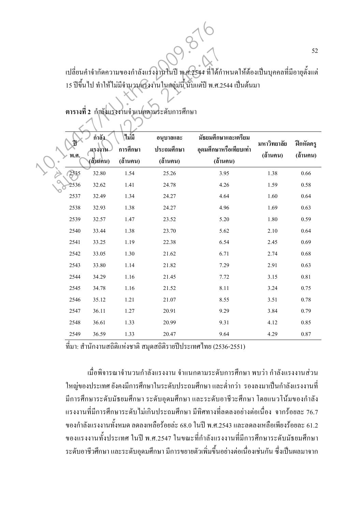|  | 52<br>้เปลี่ยนคำจำกัดความของกำลังแรงงานในปี พ.ศ.2544 ที่ได้กำหนดให้ต้องเป็นบุคคลที่มีอายุตั้งแต่<br>15 ปีขึ้นไป ทำให้ไม่มีจำนวนแรงงานในกลุ่มนี้ นับแต่ปี พ.ศ.2544 เป็นต้นมา<br>ตารางที่ 2 กำลังแรงงานจำแนกตามระดับการศึกษา |         |          |            |                        |             |                     |  |  |  |  |
|--|----------------------------------------------------------------------------------------------------------------------------------------------------------------------------------------------------------------------------|---------|----------|------------|------------------------|-------------|---------------------|--|--|--|--|
|  |                                                                                                                                                                                                                            | กำลัง   | ไม่มี    | อนุบาลและ  | มัธยมศึกษาและเตรียม    | มหาวิทยาลัย | ์ ฝึกหัดคร <b>ู</b> |  |  |  |  |
|  | พ.ศ.                                                                                                                                                                                                                       | แรงงาน  | การศึกษา | ประถมศึกษา | อุดมศึกษาหรือเทียบเท่า | (ด้านคน)    | (ล้านคน)            |  |  |  |  |
|  |                                                                                                                                                                                                                            | (สำนคน) | (ล้านคน) | (ถ้านคน)   | (ถ้านคน)               |             |                     |  |  |  |  |
|  | 2535                                                                                                                                                                                                                       | 32.80   | 1.54     | 25.26      | 3.95                   | 1.38        | 0.66                |  |  |  |  |
|  | 2536                                                                                                                                                                                                                       | 32.62   | 1.41     | 24.78      | 4.26                   | 1.59        | 0.58                |  |  |  |  |
|  | 2537                                                                                                                                                                                                                       | 32.49   | 1.34     | 24.27      | 4.64                   | 1.60        | 0.64                |  |  |  |  |
|  | 2538                                                                                                                                                                                                                       | 32.93   | 1.38     | 24.27      | 4.96                   | 1.69        | 0.63                |  |  |  |  |
|  | 2539                                                                                                                                                                                                                       | 32.57   | 1.47     | 23.52      | 5.20                   | 1.80        | 0.59                |  |  |  |  |
|  | 2540                                                                                                                                                                                                                       | 33.44   | 1.38     | 23.70      | 5.62                   | 2.10        | 0.64                |  |  |  |  |
|  | 2541                                                                                                                                                                                                                       | 33.25   | 1.19     | 22.38      | 6.54                   | 2.45        | 0.69                |  |  |  |  |
|  | 2542                                                                                                                                                                                                                       | 33.05   | 1.30     | 21.62      | 6.71                   | 2.74        | 0.68                |  |  |  |  |
|  | 2543                                                                                                                                                                                                                       | 33.80   | 1.14     | 21.82      | 7.29                   | 2.91        | 0.63                |  |  |  |  |
|  | 2544                                                                                                                                                                                                                       | 34.29   | 1.16     | 21.45      | 7.72                   | 3.15        | 0.81                |  |  |  |  |
|  | 2545                                                                                                                                                                                                                       | 34.78   | 1.16     | 21.52      | 8.11                   | 3.24        | 0.75                |  |  |  |  |
|  | 2546                                                                                                                                                                                                                       | 35.12   | 1.21     | 21.07      | 8.55                   | 3.51        | 0.78                |  |  |  |  |
|  | 2547                                                                                                                                                                                                                       | 36.11   | 1.27     | 20.91      | 9.29                   | 3.84        | 0.79                |  |  |  |  |
|  | 2548                                                                                                                                                                                                                       | 36.61   | 1.33     | 20.99      | 9.31                   | 4.12        | 0.85                |  |  |  |  |
|  | 2549                                                                                                                                                                                                                       | 36.59   | 1.33     | 20.47      | 9.64                   | 4.29        | $0.87\,$            |  |  |  |  |

ี ที่มา: สำนักงานสถิติแห่งชาติ สมุคสถิติรายปีประเทศไทย (2536-2551)

เมื่อพิจารณาจำนวนกำลังแรงงาน จำแนกตามระดับการศึกษา พบว่า กำลังแรงงานส่วน ใหญ่ของประเทศ ยังคงมีการศึกษาในระดับประถมศึกษา และต่ำกว่า รองลงมาเป็นกำลังแรงงานที่ มีการศึกษาระดับมัธยมศึกษา ระดับอุดมศึกษา และระดับอาชีวะศึกษา โดยแนวโน้มของกำลัง ี แรงงานที่มีการศึกษาระดับ ไม่เกินประถมศึกษา มีทิศทางที่ลดลงอย่างต่อเนื่อง จากร้อยละ 76.7 ี ของกำลังแรงงานทั้งหมด ลดลงเหลือร้อยล่ะ 68.0 ในปี พ.ศ.2543 และลดลงเหลือเพียงร้อยละ 61.2 ของแรงงานทั้งประเทศ ในปี พ.ศ.2547 ในขณะที่กำลังแรงงานที่มีการศึกษาระดับมัธยมศึกษา ระดับอาชีวศึกษา และระดับอุดมศึกษา มีการขยายตัวเพิ่มขึ้นอย่างต่อเนื่องเช่นกัน ซึ่งเป็นผลมาจาก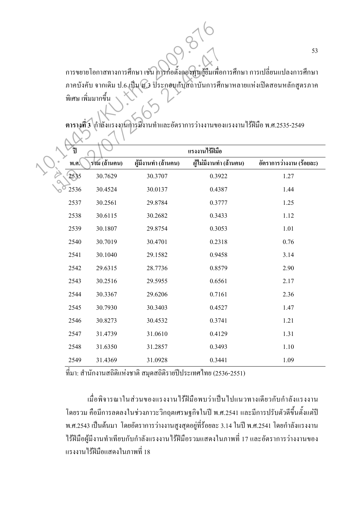ึการขยายโอกาสทางการศึกษา เช่น การก่อตั้งกองทุนกู้ขึ้มเพื่อการศึกษา การเปลี่ยนแปลงการศึกษา ภาคบังคับ จากเดิม ป.6 เป็น ฬ.3 ประกอบกับสถาบันการศึกษาหลายแห่งเปิดสอนหลักสูตรภาค ้ พิเศษ เพิ่มมากขึ้น

**'\$**  พ.ศ. แรงงานใร**้ฝีมือ** ร**่ว**ม (ถ้านคน) ผู้มีงานทำ (ถ้านคน) ผู้ไม่มีงานทำ (ถ้านคน) อัตราการว่างงาน (ร้อยละ) 2535 30.7629 30.3707 0.3922 1.27 2536 30.4524 30.0137 0.4387 1.44 2537 30.2561 29.8784 0.3777 1.25 2538 30.6115 30.2682 0.3433 1.12 2539 30.1807 29.8754 0.3053 1.01 2540 30.7019 30.4701 0.2318 0.76 2541 30.1040 29.1582 0.9458 3.14 2542 29.6315 28.7736 0.8579 2.90 2543 30.2516 29.5955 0.6561 2.17 2544 30.3367 29.6206 0.7161 2.36 2545 30.7930 30.3403 0.4527 1.47 2546 30.8273 30.4532 0.3741 1.21 2547 31.4739 31.0610 0.4129 1.31 2548 31.6350 31.2857 0.3493 1.10 2549 31.4369 31.0928 0.3441 1.09 การขยายโอกาสทางการศึกษา เช่น การก่อตั้งคองทันกู้ยืมเพื่อ<br>ภาคบังคับ จากเดิม ป.6 เป็น น.3 ประกอบกับสถาบันการศึก<br>พิเศษ เพิ่มมากขึ้น<br>พ.ศ. โรงมี (ถ้านคน) - ผู้มีงานทำ (ถ้านคน) - ผู้ไม่มีงานทำ การขยายโอกาสทางการศึกษา เช่น การก่อตั้งคองทุนกู้ยืมเพื่อ<br>ภาคบังคับ จากเดิม ป.6 เป็น 4.3 ประกอบกับสถาบันการศึก<br>พิเศษ เพิ่มมากขึ้น<br>พ.ศ. โรงมี (ถ้าแลน) ผู้มีงานทำและอัตราการว่างงานขอ<br>2535 30.7629 30.3707 0.39.<br>2535 30.4524

ตารางที่ 3 \กำลังแรงงานการมีงานทำและอัตราการว่างงานของแรงงานใร้ฝีมือ พ.ศ.2535-2549

ี่ที่มา: สำนักงานสถิติแห่งชาติ สมุดสถิติรายปีประเทศไทย (2536-2551)

เมื่อพิจารณาในส่วนของแรงงานไร้ฝีมือพบว่าเป็นไปแนวทางเดียวกับกำลังแรงงาน โคยรวม คือมีการลดลงในช่วงภาวะวิกฤตเศรษฐกิจในปี พ.ศ.2541 และมีการปรับตัวดีขึ้นตั้งแต่ปี พ.ศ.2543 เป็นต้นมา โดยอัตราการว่างงานสูงสุดอยู่ที่ร้อยละ 3.14 ในปี พ.ศ.2541 โดยกำลังแรงงาน "ใร้ฝีมือผู้มีงานทำเทียบกับกำลังแรงงาน"ใร้ฝีมือรวมแสคงในภาพที่ 17 และอัตราการว่างงานของ ้แรงงานไร้ฝีมือแสดงในภาพที่ 18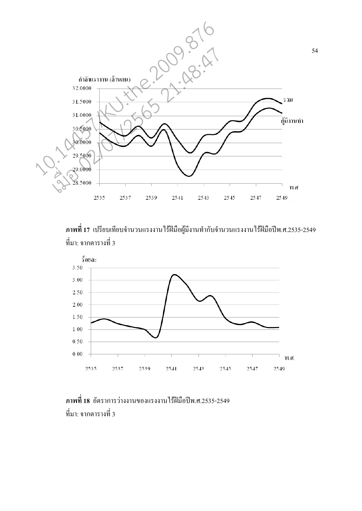

ภาพที่ 17 เปรียบเทียบจำนวนแรงงาน<sup>ๆ</sup>ร้ฝีมือผู้มีงานทำกับจำนวนแรงงาน<sup>ๆ</sup>ร้ฝีมือปีพ.ศ.2535-2549 ี่ ที่มา: จากตารางที่ 3



#### <mark>ภาพที่ 18</mark> อัตราการว่างงานของแรงงาน<sup>ๆ</sup>รัฝีมือปีพ.ศ.2535-2549  $\vec{\hat{\mathfrak{n}}}$ มา: จากตารางที่ 3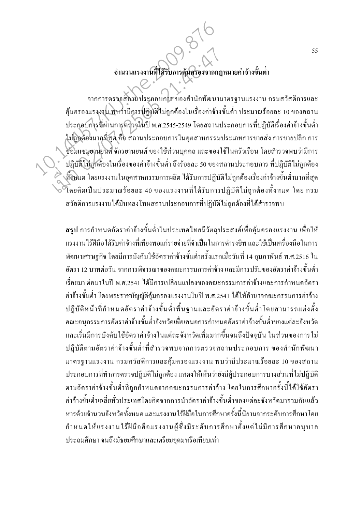## อำนวนแรงงานที่ได้รับการคุ้มครองจากกฎหมายค่าจ้างขั้นต่ำ

้จากการตรวจสถานประกอบการ ของสำนักพัฒนามาตรฐานแรงงาน กรมสวัสดิการและ ้คุ้มครองแรงงาน พบว่ามีการปฏิบัติไม่ถูกต้องในเรื่องค่าจ้างขั้นต่ำ ประมาณร้อยละ 10 ของสถาน ประกอบการที่ผ่านการตรวจในปี พ.ศ.2545-2549 โดยสถานประกอบการที่ปฏิบัติเรื่องค่าจ้างขั้นต่ำ ไม่ถูกต้องมากที่สุด คือ สถานประกอบการในอุตสาหกรรมประเภทการขายส่ง การขายปลีก การ งช่อมแซมยานขนต์ จักรยานยนต์ ของใช้ส่วนบุคคล และของใช้ในครัวเรือน โดยสำรวจพบว่ามีการ ้ ปฏิบัติใม่ถูกต้องในเรื่องของค่าจ้างขั้นต่ำ ถึงร้อยละ 50 ของสถานประกอบการ ที่ปฏิบัติไม่ถูกต้อง )<br>- ทั้งหมด โดยแรงงานในอุตสาหกรรมการผลิต ได้รับการปฏิบัติไม่ถูกต้องเรื่องค่าจ้างขั้นต่ำมากที่สุด ี้ โดยคิดเป็นประมาณร้อยละ 40 ของแรงงานที่ได้รับการปฏิบัติไม่ถูกต้องทั้งหมด โดย กรม สวัสดิการแรงงานใด้มีบทลงโทษสถานประกอบการที่ปฏิบัติไม่ถกต้องที่ได้สำรวจพบ

ี<br>สรุป การกำหนดอัตราค่าจ้างขั้นต่ำในประเทศไทยมีวัตถุประสงค์เพื่อค้มครองแรงงาน เพื่อให้ ้ แรงงานใร้ฝีมือได้รับค่าจ้างที่เพียงพอแก่รายจ่ายที่จำเป็นในการดำรงชีพ และใช้เป็นเครื่องมือในการ ้พัฒนาเศรษฐกิจ โดยมีการบังคับใช้อัตราค่าจ้างขั้นต่ำครั้งแรกเมื่อวันที่ 14 กุมภาพันธ์ พ.ศ.2516 ใน ้อัตรา 12 บาทต่อวัน จากการพิจารณาของคณะกรรมการค่าจ้าง และมีการปรับของอัตราค่าจ้างขั้นต่ำ เรื่อยมา ต่อมาในปี พ.ศ.2541 ได้มีการเปลี่ยนแปลงของคณะกรรมการค่าจ้างและการกำหนดอัตรา ้ค่าจ้างขั้นต่ำ โดยพระราชบัญญัติคุ้มครองแรงงานในปี พ.ศ.2541 ได้ให้อำนาจคณะกรรมการค่าจ้าง ปฏิบัติหน้าที่กำหนดอัตราค่าจ้างขั้นต่ำพื้นฐานและอัตราค่าจ้างขั้นต่ำโดยสามารถแต่งตั้ง ึกณะอนุกรรมการอัตราค่าจ้างขั้นต่ำจังหวัดเพื่อเสนอการกำหนดอัตราค่าจ้างขั้นต่ำของแต่ละจังหวัด และเริ่มมีการบังคับใช้อัตราค่าจ้างในแต่ละจังหวัดเพิ่มมากขึ้นจนถึงปัจจุบัน ในส่วนของการไม่ ปฏิบัติตามอัตราค่าจ้างขั้นต่ำที่สำรวจพบจากการตรวจสถานประกอบการ ของสำนักพัฒนา ้มาตรฐานแรงงาน กรมสวัสดิการและคุ้มครองแรงงาน พบว่ามีประมาณร้อยละ 10 ของสถาน ประกอบการที่ทำการตรวจปฏิบัติไม่ถูกต้อง แสดงให้เห็นว่ายังมีผู้ประกอบการบางส่วนที่ไม่ปฏิบัติ ตามอัตราค่าจ้างขั้นต่ำที่ถูกกำหนดจากคณะกรรมการค่าจ้าง โดยในการศึกษาครั้งนี้ได้ใช้อัตรา ค่าจ้างขั้นต่ำเฉลี่ยทั่วประเทศโดยกิดจากการนำอัตราค่าจ้างขั้นต่ำของแต่ละจังหวัดมารวมกันแล้ว หารด้วยจำนวนจังหวัดทั้งหมด และแรงงานไร้ฝีมือในการศึกษาครั้งนี้นิยามจากระดับการศึกษาโดย กำหนดให้แรงงานไร้ฝีมือคือแรงงานผู้ซึ่งมีระดับการศึกษาตั้งแต่ไม่มีการศึกษาอนุบาล ประถมศึกษา จนถึงมัธยมศึกษาและเตรียมอุดมหรือเทียบเท่า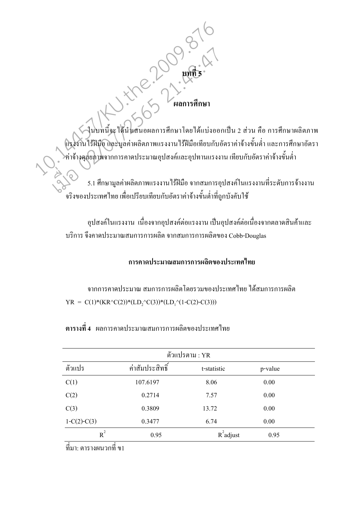# 

ในบทนี้จะได้นั่นสนอผลการศึกษาโดยได้แบ่งออกเป็น 2 ส่วน คือ การศึกษาผลิตภาพ .<br>แรงงานไร้ฝีมือ และมูลค่าผลิตภาพแรงงานไร้ฝีมือเทียบกับอัตราค่าจ้างขั้นต่ำ และการศึกษาอัตรา ์<br>>ค่าจ้างคุสยภาพจากการคาดประมาณอุปสงค์และอุปทานแรงงาน เทียบกับอัตราค่าจ้างขั้นต่ำ

5.1 ศึกษามูลค่าผลิตภาพแรงงานไร้ฝีมือ จากสมการอุปสงค์ในแรงงานที่ระดับการจ้างงาน ์<br>จริงของประเทศไทย เพื่อเปรียบเทียบกับอัตราค่าจ้างขั้นต่ำที่ถูกบังคับใช้

้อปสงค์ในแรงงาน เนื่องจากอปสงค์ต่อแรงงานเป็นอปสงค์ต่อเนื่องจากตลาดสินค้าและ บริการ จึงคาดประมาณสมการการผลิต จากสมการการผลิตของ Cobb-Douglas

#### การดาดประมาณสมการการผลิตของประเทศไทย

ิจากการคาดประมาณ สมการการผลิตโดยรวมของประเทศไทย ได้สมการการผลิต  $YR = C(1) * (KR \cdot C(2)) * (LD_1 \cdot C(3)) * (LD_1 \cdot (1-C(2)-C(3)))$ 

| ตัวแปรตาม : YR |                 |              |         |  |  |  |  |  |
|----------------|-----------------|--------------|---------|--|--|--|--|--|
| ตัวแปร         | ค่าสัมประสิทธิ์ | t-statistic  | p-value |  |  |  |  |  |
| C(1)           | 107.6197        | 8.06         | 0.00    |  |  |  |  |  |
| C(2)           | 0.2714          | 7.57         | 0.00    |  |  |  |  |  |
| C(3)           | 0.3809          | 13.72        | 0.00    |  |  |  |  |  |
| $1-C(2)-C(3)$  | 0.3477          | 6.74         | 0.00    |  |  |  |  |  |
| $R^2$          | 0.95            | $R^2$ adjust | 0.95    |  |  |  |  |  |

ีตารางที่ 4 ผลการคาดประมาณสมการการผลิตของประเทศไทย

์ที่มา: ตารางผนวกที่ ข1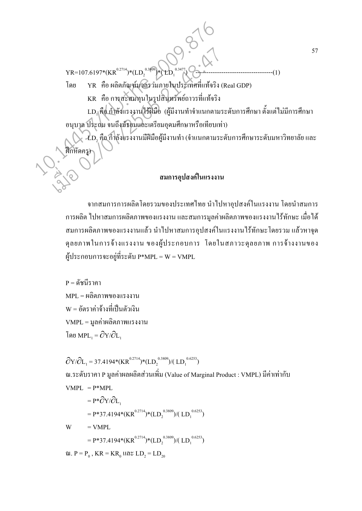$YR=107.6197*(KR^{0.2714})*(LD<sub>2</sub><sup>0.3809</sup>)*(LD<sub>1</sub><sup>0.3477</sup>)$ โดย YR คือ ผลิตภัณฑ์มุวลรวมภายในประเทศที่แท้จริง (Real GDP) KR คือ การสะสมทุนในรูปสินทรัพย์ถาวรที่แท้จริง  ${\rm LD}_{\rm l}$ คือ กำลังแรงงานใร้ฝีมือ (ผู้มีงานทำจำแนกตามระดับการศึกษา ตั้งแต่ไม่มีการศึกษา อนุบาล ประถม จนถึงมัธยมและเตรียมอุคมศึกษาหรือเทียบเท่า)  $\sim \bigotimes \mathcal{L}$ D, คือ กำลังแรงงานมีฝีมือผู้มีงานทำ (จำแนกตามระดับการศึกษาระดับมหาวิทยาลัย และ ฝึกหัดกรู)  $YR=107.6197*(KR^{0.2714})*(LD_2^{0.3479}*(LD_1^{0.3477})$ <br>  $YR=107.6197*(KR^{0.2714})*(LD_2^{0.3479}*(LD_1^{0.3477})$ <br>  $YR$  คือ ผลิตภัณฑ์บุษกรรมภายในประเทศที่แท้จริง<br>  $\kappa R$  คือ การสะหมทุนในรูปสินหรัพข์ถาวรที่แท้จริง<br>  $LD_1$ คือ กำลังแรงงาน  $\footnotesize \begin{pmatrix} \text{YR=107.6197*(KR^{0.2714})*(LD_2^{0.3609}*\text{CD}_1^{0.3477})\ \text{0.80} \end{pmatrix} \quad \text{YR} \quad \text{0.81475} \quad \text{YR} \quad \text{0.81476} \quad \text{YR} \quad \text{0.81477} \quad \text{YR} \quad \text{0.81478} \quad \text{YR} \quad \text{0.81479} \quad \text{YR} \quad \text{0.81479} \quad \text{YR} \quad \text{0.81$ 

#### $\alpha$ มการอปสงค์ในแรงงาน

จากสมการการผลิตโดยรวมของประเทศไทย นำไปหาอุปสงค์ในแรงงาน โดยนำสมการ ่ การผลิต ไปหาสมการผลิตภาพของแรงงาน และสมการมูลค่าผลิตภาพของแรงงานไร้ทักษะ เมื่อได้ สมการผลิตภาพของแรงงานแล้ว นำไปหาสมการอุปสงค์ในแรงงานไร้ทักษะ โดยรวม แล้วหาจุด คุลยภาพในการจ้างแรงงาน ของผู้ประกอบการ โคยในสภาวะคุลยภาพ การจ้างงานของ ผู้ประกอบการจะอยู่ที่ระดับ P\*MPL = W = VMPL

 $P = \tilde{\rho}^2 \tilde{\rho} \tilde{\rho}^2 \tilde{\rho} \tilde{\rho}$ าคา  $MPL = R_0^{\frac{1}{2}}$ ติตภาพของแรงงาน  $\mathrm{W}$  = อัตราค่าจ้างที่เป็นตัวเงิน  $VMPL = \mathfrak{v}$ ลค่ำผลิตภาพแรงงาน โดย  $\text{MPL}_1 = \partial Y / \partial L_1$ 

 $\partial Y/\partial L_1 = 37.4194*(KR^{0.2714})*(LD_2^{0.3809})/(LD_1^{0.6253})$ ณ.ระดับราคา P มูลค่าผลผลิตส่วนเพิ่ม (Value of Marginal Product : VMPL) มีค่าเท่ากับ  $VMPL = P*MPI$  $= P^* \partial Y / \partial L$  $= P*37.4194*(KR^{0.2714})*(LD<sub>2</sub><sup>0.3809</sup>)/(LD<sub>1</sub><sup>0.6253</sup>)$ 

 $W = VMPL$ 

 $= P*37.4194*(KR^{0.2714})*(LD<sub>2</sub><sup>0.3809</sup>)/(LD<sub>1</sub><sup>0.6253</sup>)$ 

ณ.  $P = P_0$  ,  $KR = KR_0$  และ  $LD_2 = LD_{20}$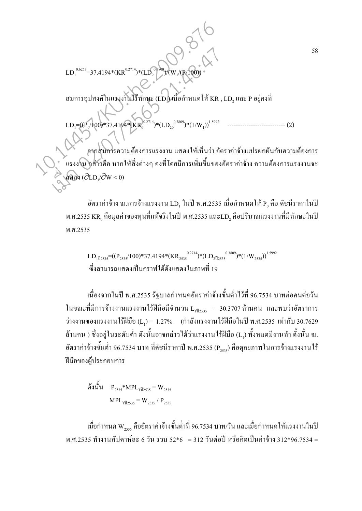สมการอุปสงค์ในแรงงานใร้ทักษะ (LD<sub>I</sub>) เมื่อกำหนดให้ KR , LD, และ P อยู่คงที่

 $^{0.3809}$ /(W<sub>1</sub>)

 $LD_1^{0.6253}$ =37.4194\*(KR<sup>0.2714</sup>)\*(LD<sub>2</sub>

LD1 =((P<sup>0</sup> /100)\*37.4194\*(KR<sup>0</sup> 0.2714)\*(LD<sup>20</sup> 0.3809)\*(1/W<sup>1</sup> ))1.5992 --------------------------- (2)

จากสมการความต้องการแรงงาน แสดงให้เห็นว่า อัตราค่าจ้างแปรผกผันกับความต้องการ แรงงาน กล่าวคือ หากให้สิ่งต่างๆ คงที่โดยมีการเพิ่มขึ้นของอัตราค่าจ้าง ความต้องการแรงงานจะ ลดลง ( $\partial$ LD<sub>1</sub>/ $\partial$ W < 0)  $\begin{CD0} \begin{pmatrix} 1 & 0.6253 \\ 1 & 0.6253 \end{pmatrix} = 37.4194*(KR^{0.2714})*(LD_2^{0.806})/(W_1/(P(100)) * \\ \begin{pmatrix} 1 & 0.6253 \\ 0 & 0.6253 \end{pmatrix} = 37.4194*(KR^{0.2714})*(LD_2^{0.3809})*(1/W_1))^{1.5992} \end{CD} \end{CD}$  $\begin{CD0} \begin{picture}(120,140)(0,0) \put(0,0){\line(1,0){100}} \put(0,0){\line(1,0){100}} \put(0,0){\line(1,0){100}} \put(0,0){\line(1,0){100}} \put(0,0){\line(1,0){100}} \put(0,0){\line(1,0){100}} \put(0,0){\line(1,0){100}} \put(0,0){\line(1,0){100}} \put(0,0){\line(1,0){100}} \put(0,0){\line(1,0){100}} \put(0,0){\line(1,0){100$ 

/(P/100))

อัตราค่าจ้าง ณ.การจ้างแรงงาน LD, ในปี พ.ศ.2535 เมื่อกำหนดให้ P $_{\rm o}$  คือ ดัชนีราคาในปี พ.ศ.2535  ${\rm KR}_{{\mathfrak o}}$  คือมูลค่าของทุนที่แท้จริงในปี พ.ศ.2535 และ ${\rm LD}_2$  คือปริมาณแรงงานที่มีทักษะในปี พ.ศ.2535

 $\rm LD_{1\widetilde{1}2535}$  = ((P<sub>2535</sub>/100)\*37.4194\*(KR<sub>2535</sub><sup>0.2714</sup>)\*(LD<sub>2</sub> 1<sub>2535</sub><sup>0</sup>)\*(1/W<sub>2535</sub>)<sup>1.5992</sup> ่ ซึ่งสามารถแสดงเป็นกราฟได้ดังแสดงในภาพที่ 19

เนื่องจากในปี พ.ศ.2535 รัฐบาลกำหนดอัตราค่าจ้างขั้นต่ำไว้ที่ 96.7534 บาทต่อคนต่อวัน ในขณะที่มีการจ้างงานแรงงานไร้ฝีมือมีจำนวน L<sub>เปี2s3s</sub> = 30.3707 ล้านคน และพบว่าอัตราการ ว่างงานของแรงงานไร้ฝีมือ (L<sub>1</sub>) = 1.27% (กำลังแรงงานไร้ฝีมือในปี พ.ศ.2535 เท่ากับ 30.7629 ล้านคน ) ซึ่งอยู่ในระดับต่ำ ดังนั้นอาจกล่าวได้ว่าแรงงานไร้ฝีมือ (L<sub>1</sub>) ทั้งหมดมีงานทำ ดั้งนั้น ณ. ์ อัตราค่าจ้างขั้นต่ำ 96.7534 บาท ที่ดัชนีราคาปี พ.ศ.2535 (P<sub>2535</sub>) คือดุลยภาพในการจ้างแรงงานไร้ ฝีมือของผู้ประกอบการ

ดังนั้น  $P_{2535}$ \*MPL<sub>1ปี2535</sub> = W<sub>2535</sub>  $MPL_{1\overline{1}\left|2535\right.} = W_{2535} / P_{2535}$ 

เมื่อกำหนด W<sub>2s3s</sub> คืออัตราค่าจ้างขั้นต่ำที่ 96.7534 บาท/วัน และเมื่อกำหนดให้แรงงานในปี พ.ศ.2535 ทำงานสัปดาห์ละ 6 วัน รวม 52\*6  $\,$  = 312 วันต่อปี หรือกิดเป็นค่าจ้าง 312\*96.7534 =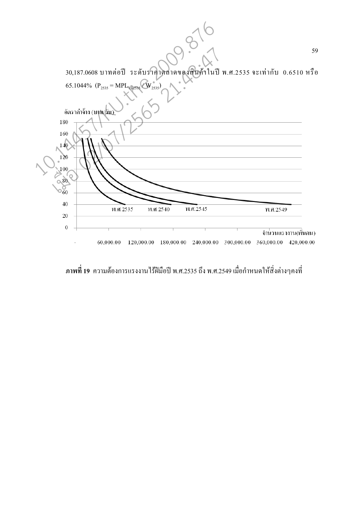|                                                                                               | 59                       |
|-----------------------------------------------------------------------------------------------|--------------------------|
| 30,187.0608 บาทต่อปี ระดับราคาตลาดของสินค้าในปี พ.ศ.2535 จะเท่ากับ 0.6510 หรือ                |                          |
| 65.1044% $(P_{2535} = MPL_{112535} / W_{2535})$<br>์<br>อัตราค่าจ้าง (บาุพ⁄ <mark>ธัน`</mark> |                          |
| 180                                                                                           |                          |
|                                                                                               |                          |
| 160<br>140<br>120                                                                             |                          |
| 100                                                                                           |                          |
| 80                                                                                            |                          |
| $\circ_6^{\heartsuit}$                                                                        |                          |
| 40                                                                                            |                          |
| พ.ศ. 2545<br>พ.ศ. 2535<br>พ.ศ. 2540<br>20                                                     | พ.ศ. 2549                |
| $\boldsymbol{0}$                                                                              |                          |
|                                                                                               | จำนวนแรงงาน(พื้นคน)      |
| 60,000.00<br>120,000.00<br>180,000.00<br>240,000.00<br>300,000.00                             | 360,000.00<br>420,000.00 |

์ ภาพที่ 19 ความต้องการแรงงานไร้ฝีมือปี พ.ศ.2535 ถึง พ.ศ.2549 เมื่อกำหนดให้สิ่งต่างๆคงที่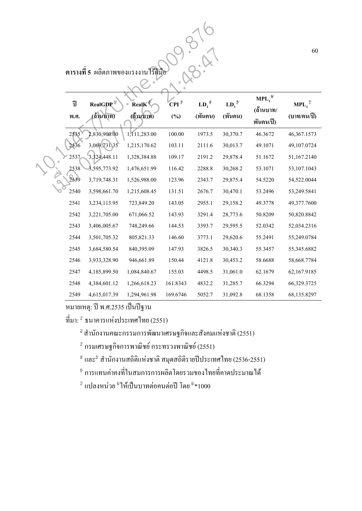**ตารางที่ 5** ผลิตภาพของแรงงานใร**้ฝีมือ** 

| ี่ ตารางที่ 5 ผลิตภาพของแรงงานไร้ฝีมือ |                  |              |                    |               |          |                                      |                                            |  |  |  |  |
|----------------------------------------|------------------|--------------|--------------------|---------------|----------|--------------------------------------|--------------------------------------------|--|--|--|--|
| ปี                                     | RealGDP $^{1/2}$ | Real $K^2$   | $\overline{CPI}^3$ | $LD_2^{\ 4'}$ | $LD_1^S$ | $\text{MPL}_1^{\omega}$<br>(ด้านบาท/ | $\mathbf{MPI}_{\mathbf{1}}^{\mathcal{I}'}$ |  |  |  |  |
| พ.ศ.                                   | (ถ้านบาท)        | (ด้านบาท)    | $(\%)$             | (พันคน)       | (พันคน)  | พันคน/ปี)                            | (บาท/คน/ปี)                                |  |  |  |  |
| 2535                                   | 2,830,900.00     | 1,111,283.00 | $100.00\,$         | 1973.5        | 30,370.7 | 46.3672                              | 46,367.1573                                |  |  |  |  |
| 2536                                   | 3,069,731.35     | 1,215,170.62 | 103.11             | 2111.6        | 30,013.7 | 49.1071                              | 49,107.0724                                |  |  |  |  |
| 2537                                   | 3,324,448.11     | 1,328,384.88 | 109.17             | 2191.2        | 29,878.4 | 51.1672                              | 51,167.2140                                |  |  |  |  |
| 2538                                   | 3,595,773.92     | 1,476,651.99 | 116.42             | 2288.8        | 30,268.2 | 53.1071                              | 53,107.1043                                |  |  |  |  |
| 2539                                   | 3,719,748.31     | 1,526,988.00 | 123.96             | 2343.7        | 29,875.4 | 54.5220                              | 54,522.0044                                |  |  |  |  |
| 2540                                   | 3,598,661.70     | 1,215,608.45 | 131.51             | 2676.7        | 30,470.1 | 53.2496                              | 53,249.5841                                |  |  |  |  |
| 2541                                   | 3,234,113.95     | 723,849.20   | 143.05             | 2955.1        | 29,158.2 | 49.3778                              | 49,377.7600                                |  |  |  |  |
| 2542                                   | 3,221,705.00     | 671,066.52   | 143.93             | 3291.4        | 28,773.6 | 50.8209                              | 50,820.8842                                |  |  |  |  |
| 2543                                   | 3,406,005.67     | 748,249.66   | 144.53             | 3393.7        | 29,595.5 | 52.0342                              | 52,034.2316                                |  |  |  |  |
| 2544                                   | 3,501,705.32     | 805,821.33   | 146.60             | 3773.1        | 29,620.6 | 55.2491                              | 55,249.0784                                |  |  |  |  |
| 2545                                   | 3,684,580.54     | 840,395.09   | 147.93             | 3826.5        | 30,340.3 | 55.3457                              | 55,345.6882                                |  |  |  |  |
| 2546                                   | 3,933,328.90     | 946,661.89   | 150.44             | 4121.8        | 30,453.2 | 58.6688                              | 58,668.7784                                |  |  |  |  |
| 2547                                   | 4,185,899.50     | 1,084,840.67 | 155.03             | 4498.5        | 31,061.0 | 62.1679                              | 62,167.9185                                |  |  |  |  |
| 2548                                   | 4,384,601.12     | 1,266,618.23 | 161.8343           | 4832.2        | 31,285.7 | 66.3294                              | 66,329.3725                                |  |  |  |  |
| 2549                                   | 4,615,017.39     | 1,294,961.98 | 169.6746           | 5052.7        | 31,092.8 | 68.1358                              | 68,135.8297                                |  |  |  |  |

หมายเหตุ: ปี พ.ศ.2535 เป็นปีฐาน

 $\vec{\mathfrak{n}}$ มา:  $^{\mathfrak{u}}$  ธนาคารแห่งประเทศไทย (2551)

 $^{\,2}$ สำนักงานคณะกรรมการพัฒนาเศรษฐกิจและสังคมแห่งชาติ (2551)

 $^{\frac{3}{2}'}$ กรมเศรษฐกิจการพาณิชย์ กระทรวงพาณิชย์ (2551)

 $^\text{\tiny 4\prime}$  และ $^\text{\tiny 5\prime}$  สำนักงานสถิติแห่งชาติ สมุดสถิติรายปีประเทศไทย (2536-2551)

 $^{\omega}$  การแทนค่าคงที่ในสมการการผลิตโดยรวมของไทยที่คาดประมาณได้

 $^{\mathbb{\mathbb{Z}}}$ แปลงหน่วย  $^{\mathbb{\mathbb{S}}}$ ให้เป็นบาทต่อคนต่อปี โดย  $^{\mathbb{\mathbb{S}}}\!\ast$ 1000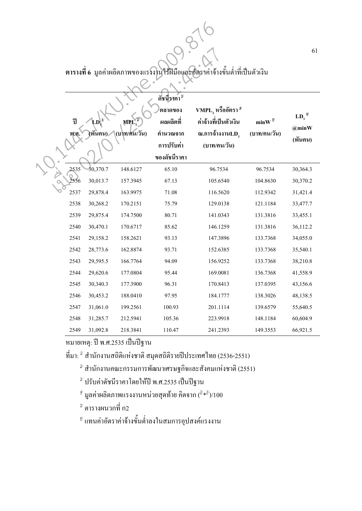**ตารางที่ 6** มูลค่าผลิตภาพของแรงงานใร**้ฝีมือและอัตราค่าจ้างขั้นต่ำที่เป็นตัว**เงิน

| ีตารางที่ 6 มูลค่าผลิตภาพของแรงงานใร้ฝีมือและอัตราค่าจ้างขั้นต่ำที่เป็นตัวเงิน |          |                     |                                                                                           |                                                                                                |                                      |                                     |  |  |  |  |
|--------------------------------------------------------------------------------|----------|---------------------|-------------------------------------------------------------------------------------------|------------------------------------------------------------------------------------------------|--------------------------------------|-------------------------------------|--|--|--|--|
| ปี<br>พ.ศ                                                                      | (พันคน)  | MPL<br>(บาท/คน/วัน) | ดัชนีราคา <sup>3</sup><br>็ตลาดของ<br>ผลผลิตที่<br>คำนวณจาก<br>การปรับค่า<br>ของดัชนีราคา | $\textbf{VMPL}_1$ หรืออัตรา $^4{}$<br>ค่ำจ้างที่เป็นตัวเงิน<br>ณ.การจ้างงานLD,<br>(บาท/คน/วัน) | $minW$ <sup>5/</sup><br>(บาท/คน/วัน) | $LD_1^{\omega}$<br>@minW<br>(พันคน) |  |  |  |  |
| 2535                                                                           | 30,370.7 | 148.6127            | 65.10                                                                                     | 96.7534                                                                                        | 96.7534                              | 30,364.3                            |  |  |  |  |
| 2536                                                                           | 30,013.7 | 157.3945            | 67.13                                                                                     | 105.6540                                                                                       | 104.8630                             | 30,370.2                            |  |  |  |  |
| 2537                                                                           | 29,878.4 | 163.9975            | 71.08                                                                                     | 116.5620                                                                                       | 112.9342                             | 31,421.4                            |  |  |  |  |
| 2538                                                                           | 30,268.2 | 170.2151            | 75.79                                                                                     | 129.0138                                                                                       | 121.1184                             | 33,477.7                            |  |  |  |  |
| 2539                                                                           | 29,875.4 | 174.7500            | 80.71                                                                                     | 141.0343                                                                                       | 131.3816                             | 33,455.1                            |  |  |  |  |
| 2540                                                                           | 30,470.1 | 170.6717            | 85.62                                                                                     | 146.1259                                                                                       | 131.3816                             | 36,112.2                            |  |  |  |  |
| 2541                                                                           | 29,158.2 | 158.2621            | 93.13                                                                                     | 147.3896                                                                                       | 133.7368                             | 34,055.0                            |  |  |  |  |
| 2542                                                                           | 28,773.6 | 162.8874            | 93.71                                                                                     | 152.6385                                                                                       | 133.7368                             | 35,540.1                            |  |  |  |  |
| 2543                                                                           | 29,595.5 | 166.7764            | 94.09                                                                                     | 156.9252                                                                                       | 133.7368                             | 38,210.8                            |  |  |  |  |
| 2544                                                                           | 29,620.6 | 177.0804            | 95.44                                                                                     | 169.0081                                                                                       | 136.7368                             | 41,558.9                            |  |  |  |  |
| 2545                                                                           | 30,340.3 | 177.3900            | 96.31                                                                                     | 170.8413                                                                                       | 137.0395                             | 43,156.6                            |  |  |  |  |
| 2546                                                                           | 30,453.2 | 188.0410            | 97.95                                                                                     | 184.1777                                                                                       | 138.3026                             | 48,138.5                            |  |  |  |  |
| 2547                                                                           | 31,061.0 | 199.2561            | 100.93                                                                                    | 201.1114                                                                                       | 139.6579                             | 55,640.5                            |  |  |  |  |
| 2548                                                                           | 31,285.7 | 212.5941            | 105.36                                                                                    | 223.9918                                                                                       | 148.1184                             | 60,604.9                            |  |  |  |  |
| 2549                                                                           | 31,092.8 | 218.3841            | 110.47                                                                                    | 241.2393                                                                                       | 149.3553                             | 66,921.5                            |  |  |  |  |

หมายเหตุ: ปี พ.ศ.2535 เป็นปีฐาน

ที่มา:  $^{\rm l}$  สำนักงานสถิติแห่งชาติ สมุดสถิติรายปีประเทศไทย (2536-2551)

 $^{\mathbb{Z}}$  สำนักงานคณะกรรมการพัฒนาเศรษฐกิจและสังคมแห่งชาติ (2551)

 $^{\text{\tiny 3}}$  ปรับค่าดัชนีราคาโดยให้ปี พ.ศ.2535 เป็นปีฐาน

 $^\text{\tiny 4\prime}$ มูลค่าผลิตภาพแรงงานหน่วยสุดท้าย คิดจาก ( $^{2\!\leftarrow\!3\!\right)\!/100}$ 

 $^{\mathfrak{z}}$  ตารางผนวกที่ ก2

 $^{\scriptscriptstyle 6}$ แทนค่าอัตราค่าจ้างขั้นต่ำลงในสมการอุปสงค์แรงงาน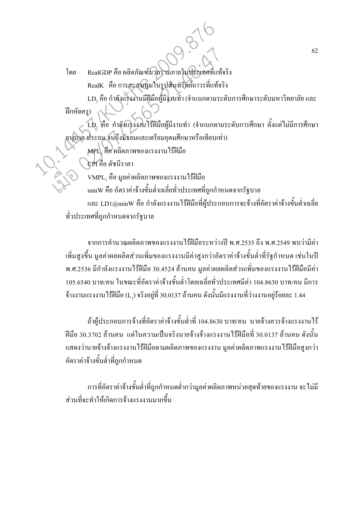RealGDP คือ ผลิตภัณฑ์มวลรวมภายในประเทศที่แท้จริง โดย RealK คือ การสะสมทุนในรูปสินทรัพย์ถาวรที่แท้จริง

LD, คือ กำลังแรงงานมีฝีมือผู้มีงานทำ (จำแนกตามระดับการศึกษาระดับมหาวิทยาลัย และ ฝึกหัดครู)

LD, คือ กำลังแรงงานไร้ฝีมือผู้มีงานทำ (จำแนกตามระดับการศึกษา ตั้งแต่ไม่มีการศึกษา อนุบิงล ประถม จนถึงมัธยมและเตรียมอุคมศึกษาหรือเทียบเท่า)

MPL, คือ ผลิตภาพของแรงงาน ใร้ฝีมือ

CPI คือ ดัชนีราคา

VMPL, คือ มูลค่าผลิตภาพของแรงงาน ไร้ฝีมือ

minW คือ อัตราค่าจ้างขั้นต่ำเฉลี่ยทั่วประเทศที่ถูกกำหนดจากรัฐบาล

และ LD1@minW คือ กำลังแรงงานไร้ฝีมือที่ผู้ประกอบการจะจ้างที่อัตราค่าจ้างขั้นต่ำเฉลี่ย ทั่วประเทศที่ถกกำหนดจากรัฐบาล

ิจากการคำนวณผลิตภาพของแรงงานไร้ฝีมือระหว่างปี พ.ศ.2535 ถึง พ.ศ.2549 พบว่ามีค่า ้ เพิ่มสูงขึ้น มูลค่าผลผลิตส่วนเพิ่มของแรงงานมีค่าสูงกว่าอัตราค่าจ้างขั้นต่ำที่รัฐกำหนด เช่นในปี ี พ.ศ.2536 มีกำลังแรงงานไร้ฝีมือ 30.4524 ล้านคน มลค่าผลผลิตส่วนเพิ่มของแรงงานไร้ฝีมือมีค่า 105.6540 บาท/คน ในขณะที่อัตราค่าจ้างขั้นต่ำโดยเฉลี่ยทั่วประเทศมีค่า 104.8630 บาท/คน มีการ ้จ้างงานแรงงานไร้ฝีมือ (L,) จริงอยู่ที่ 30.0137 ล้านคน ดังนั้นมีแรงงานที่ว่างงานอยู่ร้อยละ 1.44

้ถ้าผู้ประกอบการจ้างที่อัตราค่าจ้างขั้นต่ำที่ 104.8630 บาท/คน นายจ้างควรจ้างแรงงานไร้ ้ฝีมือ 30.3702 ล้านคน แต่ในความเป็นจริงนายจ้างจ้างแรงงานไร้ฝีมือที่ 30.0137 ล้านคน ดังนั้น แสดงว่านายจ้างจ้างแรงงานไร้ฝีมือตามผลิตภาพของแรงงาน มูลค่าผลิตภาพแรงงานไร้ฝีมือสูงกว่า อัตราค่าจ้างขั้นต่ำที่ถูกกำหนด

ิ การที่อัตราค่าจ้างขั้นต่ำที่ถูกกำหนดต่ำกว่ามูลค่าผลิตภาพหน่วยสุดท้ายของแรงงาน จะไม่มี ้ ส่วนที่จะทำให้เกิดการจ้างแรงงานมากขึ้น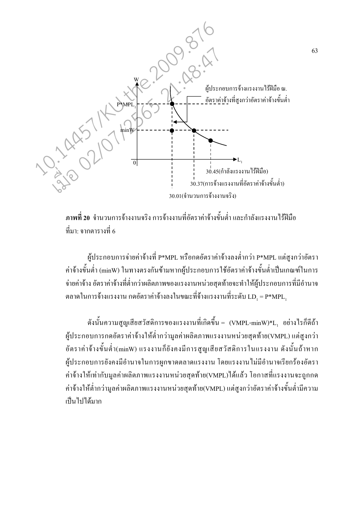

ี <mark>ภาพที่ 20</mark> จำนวนการจ้างงานจริง การจ้างงานที่อัตราค่าจ้างขั้นต่ำ และกำลังแรงงานไร้ฝีมือ ที่มา: จากตารางที่ 6

ผู้ประกอบการจ่ายค่าจ้างที่ P\*MPL หรือกดอัตราค่าจ้างลงต่ำกว่า P\*MPL แต่สูงกว่าอัตรา ้ค่าจ้างขั้นต่ำ (minW) ในทางตรงกันข้ามหากผู้ประกอบการใช้อัตราค่าจ้างขั้นต่ำเป็นเกณฑ์ในการ ้ จ่ายค่าจ้าง อัตราค่าจ้างที่ต่ำกว่าผลิตภาพของแรงงานหน่วยสุดท้ายจะทำให้ผู้ประกอบการที่มีอำนาจ ตลาดในการจ้างแรงงาน กดอัตราค่าจ้างลงในขณะที่จ้างแรงงานที่ระดับ  $LD_1 = P^*MPL_1$ 

ี ดังนั้นความสูญเสียสวัสดิการของแรงงานที่เกิดขึ้น = (VMPL-minW)\*L, อย่างไรก็ดีถ้า ผู้ประกอบการกดอัตราค่าจ้างให้ต่ำกว่ามูลค่าผลิตภาพแรงงานหน่วยสุดท้าย(VMPL) แต่สูงกว่า ้อัตราค่าจ้างขั้นต่ำ(minW) แรงงานก็ยังคงมีการสญเสียสวัสดิการในแรงงาน ดังนั้นถ้าหาก ผ้ประกอบการยังคงมีอำนาจในการผกขาดตลาดแรงงาน โดยแรงงานไม่มีอำนาจเรียกร้องอัตรา ้ค่าจ้างให้เท่ากับมลค่าผลิตภาพแรงงานหน่วยสดท้าย(VMPL)ใด้แล้ว โอกาสที่แรงงานจะถกกด ้ค่าจ้างให้ต่ำกว่ามลค่าผลิตภาพแรงงานหน่วยสดท้าย(VMPL) แต่สงกว่าอัตราค่าจ้างขั้นต่ำมีความ เป็นไปได้มาก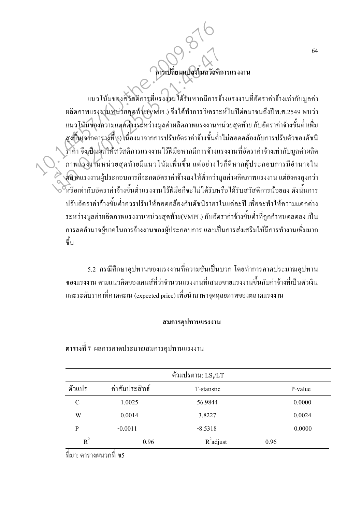ดารเปลี่ยนแปลงในสวัสดิการแรงงาน

แนวโน้มของสวัสดิการที่แรงงานใด้รับหากมีการจ้างแรงงานที่อัตราค่าจ้างเท่ากับมูลค่า ผลิตภาพแรงงานหน่วยสุดท้าย(VMPL) จึงได้ทำการวิเคราะห์ในปีต่อมาจนถึงปีพ.ศ.2549 พบว่า แนวโน้มของความแตกต่างระหว่างมูลค่าผลิตภาพแรงงานหน่วยสุดท้าย กับอัตราค่าจ้างขั้นต่ำเพิ่ม สูงขึ้น(จากตารางที่ 6) เนื่องมาจากการปรับอัตราค่าจ้างขั้นต่ำไม่สอดคล้องกับการปรับตัวของดัชนี ้ ราคา จึงเป็นผลให้สวัสดิการแรงงาน ไร้ฝีมือหากมีการจ้างแรงงานที่อัตราค่าจ้างเท่ากับมูลค่าผลิต ้ ภาพแรงงานหน่วยสุดท้ายมีแนวโน้มเพิ่มขึ้น แต่อย่างไรก็ดีหากผู้ประกอบการมีอำนาจใน ์<br>> คลาดแรงงานผู้ประกอบการก็จะกดอัตราค่าจ้างลงให้ต่ำกว่ามูลค่าผลิตภาพแรงงาน แต่ยังคงสูงกว่า ้หรือเท่ากับอัตราค่าจ้างขั้นต่ำแรงงานไร้ฝีมือก็จะไม่ได้รับหรือได้รับสวัสดิการน้อยลง ดังนั้นการ ปรับอัตราค่าจ้างขั้นต่ำควรปรับให้สอดคล้องกับดัชนีราคาในแต่ละปี เพื่อจะทำให้ความแตกต่าง ระหว่างมูลค่าผลิตภาพแรงงานหน่วยสุดท้าย(VMPL) กับอัตราค่าจ้างขั้นต่ำที่ถูกกำหนดลดลง เป็น ้การลดอำนาจผู้ขาดในการจ้างงานของผู้ประกอบการ และเป็นการส่งเสริมให้มีการทำงานเพิ่มมาก ์<br>ขึ้น

5.2 กรณีศึกษาอปทานของแรงงานที่ความชันเป็นบวก โดยทำการคาดประมาณอปทาน ี ของแรงงาน ตามแนวคิดของเคนส์ที่ว่าจำนวนแรงงานที่เสนอขายแรงงานขึ้นกับค่าจ้างที่เป็นตัวเงิน และระดับราคาที่คาดคะเน (expected price) เพื่อนำมาหาจดดลยภาพของตลาดแรงงาน

### สมการอุปทานแรงงาน

|        |                | ์ตัวแปรตาม: $\mathrm{LS}_{1}/\mathrm{LT}$ |         |
|--------|----------------|-------------------------------------------|---------|
| ตัวแปร | ค่าสัมประสิทธ์ | T-statistic                               | P-value |
| C      | 1.0025         | 56.9844                                   | 0.0000  |
| W      | 0.0014         | 3.8227                                    | 0.0024  |
| P      | $-0.0011$      | $-8.5318$                                 | 0.0000  |
| $R^2$  | 0.96           | $R^2$ adjust                              | 0.96    |

## ี ตารางที่ 7 ผลการคาดประมาณสมการอปทานแรงงาน

้ที่มา: ตารางผนวกที่ ขร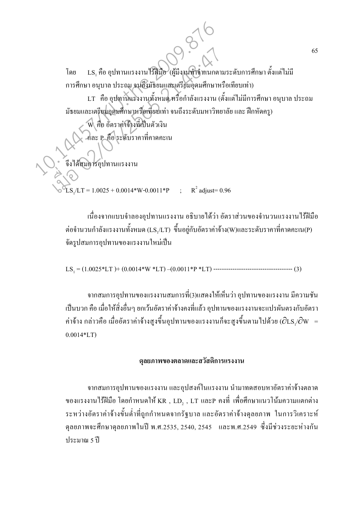LS, คือ อุปทานแรงงาน ไร้ฝีมือ (ผู้มีงานทำจำแนกตามระดับการศึกษา ตั้งแต่ ไม่มี โดย การศึกษา อนุบาล ประถม จนถึงมัธยมและเตรียมอุดมศึกษาหรือเทียบเท่า) LT คือ อุปทานแรงงานทั้งหมด หรือกำลังแรงงาน (ตั้งแต่ไม่มีการศึกษา อนุบาล ประถม ้มัธยมและเตรียมอุดมศึกษาหรือเทียบเท่า จนถึงระดับมหาวิทยาลัย และ ฝึกหัดครู) คือ อัตราค่าจ้างที่เป็นตัวเงิน -และ p คือ ระดับราคาที่คาดคะเน จึงได้สมการอุปทานแรงงาน  $\text{LS}_{1}/\text{LT} = 1.0025 + 0.0014* \text{W} - 0.0011* \text{P}$  ;  $\text{R}^{2}$  adjust= 0.96

> ้เนื่องจากแบบจำลองอปทานแรงงาน อธิบายได้ว่า อัตราส่วนของจำนวนแรงงานไร้ฝีมือ ต่อจำนวนกำลังแรงงานทั้งหมด (LS,/LT) ขึ้นอยู่กับอัตราค่าจ้าง(W)และระดับราคาที่คาดคะเน(P) จัดรปสมการอปทานของแรงงานใหม่เป็น

้จากสมการอุปทานของแรงงานสมการที่(3)แสดงให้เห็นว่า อุปทานของแรงงาน มีความชัน ้เป็นบวก คือ เมื่อให้สิ่งอื่นๆ ยกเว้นอัตราค่าจ้างคงที่แล้ว อุปทานของแรงงานจะแปรผันตรงกับอัตรา ค่าจ้าง กล่าวคือ เมื่ออัตราค่าจ้างสูงขึ้นอุปทานของแรงงานก็จะสูงขึ้นตามไปด้วย ( $\partial$ LS,/ $\partial$ W =  $0.0014*LT$ 

### ดุลยภาพของตลาดและสวัสดิการแรงงาน

ิจากสมการอุปทานของแรงงาน และอุปสงค์ในแรงงาน นำมาทดสอบหาอัตราค่าจ้างตลาด ของแรงงานไร้ฝีมือ โดยกำหนดให้ KR , LD, , LT และP คงที่ เพื่อศึกษาแนวโน้มความแตกต่าง ระหว่างอัตราค่าจ้างขั้นต่ำที่ถูกกำหนดจากรัฐบาล และอัตราค่าจ้างดุลยภาพ ในการวิเคราะห์ ดุลยภาพจะศึกษาดุลยภาพในปี พ.ศ.2535, 2540, 2545 และพ.ศ.2549 ซึ่งมีช่วงระยะห่างกัน ประมาณ 5 ปี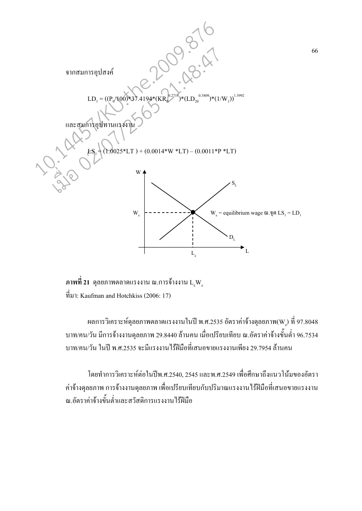

ภาพที่ 21 คุลยภาพตลาดแรงงาน ณ.การจ้างงาน L.W.  $\dot{\vec{n}}$ มา: Kaufman and Hotchkiss (2006: 17)

ี ผลการวิเคราะห์ดุลยภาพตลาดแรงงานในปี พ.ศ.2535 อัตราค่าจ้างดุลยภาพ(W) ที่ 97.8048 ิบาท/คน/วัน มีการจ้างงานดุลยภาพ 29.8440 ล้านคน เมื่อเปรียบเทียบ ณ.อัตราค่าจ้างขั้นต่ำ 96.7534 ิบาท/คน/วัน ในปี พ.ศ.2535 จะมีแรงงานไร้ฝีมือที่เสนอขายแรงงานเพียง 29.7954 ล้านคน

โดยทำการวิเคราะห์ต่อในปีพ.ศ.2540, 2545 และพ.ศ.2549 เพื่อศึกษาถึงแนวโน้มของอัตรา ้ค่าจ้างดุลยภาพ การจ้างงานดุลยภาพ เพื่อเปรียบเทียบกับปริมาณแรงงาน ไร้ฝีมือที่เสนอขายแรงงาน ณ.อัตราค่าจ้างขั้นต่ำและสวัสดิการแรงงานไร้ฝีมือ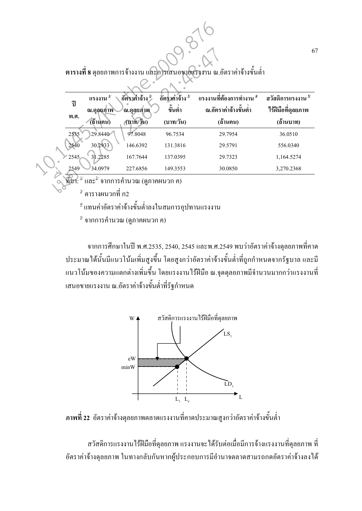ี ตารางที่ 8 คลยภาพการจ้างงาน และการเสนอขายแรงงาน ณ.อัตราค่าจ้างขั้นต่ำ

|   | ปี   | แรงงาน<br>ณ.ดอยภาพ | อัตราค่าจ้าง<br>็ณ.ดลยภาพ | อัตราค่าจ้าง $\frac{3}{2}$<br>v<br>Ū<br>ขันต่า | แรงงานที่ต้องการทำงาน <sup>4/</sup><br>ณ.อัตราค่าจ้างขั้นต่ำ | ิสวัสดิการแรงงาน <sup>5/</sup><br>ใร้ฝีมือที่ดุลยภาพ |
|---|------|--------------------|---------------------------|------------------------------------------------|--------------------------------------------------------------|------------------------------------------------------|
|   | พ.ศ. | (ถ้านคน)           | $(11)$ ท/วัน)             | (บาท/วัน)                                      | (ถ้านคน)                                                     | (ล้านบาท)                                            |
|   | 2535 | 29.8440            | 97.8048                   | 96.7534                                        | 29.7954                                                      | 36.0510                                              |
|   | 2540 | 30.2933            | 146.6392                  | 131.3816                                       | 29.5791                                                      | 556.0340                                             |
|   | 2545 | 31.2285            | 167.7644                  | 137.0395                                       | 29.7323                                                      | 1,164.5274                                           |
| ś | 2549 | 34.0979            | 227.6856                  | 149.3553                                       | 30.0850                                                      | 3,270,2368                                           |

 $\sim$ ที่มา:  $^{\frac{1}{2}}$ และ $^{\frac{2}{2}}$ จากการคำนวณ (ดูภาคผนวก ค)

้ ตารางผนวกที่ ก2

<sup>ิช</sup> แทนค่าอัตราค่าจ้างขั้นต่ำลงในสมการอุปทานแรงงาน

 $^{\mathcal{S}}$  จากการคำนวณ (ดูภาคผนวก ค)

ิจากการศึกษาในปี พ.ศ.2535, 2540, 2545 และพ.ศ.2549 พบว่าอัตราค่าจ้างดุลยภาพที่คาด ประมาณใค้นั้นมีแนวโน้มเพิ่มสูงขึ้น โดยสูงกว่าอัตราค่าจ้างขั้นต่ำที่ถูกกำหนดจากรัฐบาล และมี ้ แนวโน้มของความแตกต่างเพิ่มขึ้น โดยแรงงานไร้ฝีมือ ณ.จุดดุลยภาพมีจำนวนมากกว่าแรงงานที่ เสนอขายแรงงาน ณ.อัตราค่าจ้างขั้นต่ำที่รัฐกำหนด



ี ภาพที่ 22 อัตราค่าจ้างดุลยภาพตลาดแรงงานที่คาดประมาณสูงกว่าอัตราค่าจ้างขั้นต่ำ

ี สวัสดิการแรงงานใร้ฝีมือที่ดุลยภาพ แรงงานจะได้รับต่อเมื่อมีการจ้างแรงงานที่ดุลยภาพ ที่ ้อัตราค่าจ้างคุลยภาพ ในทางกลับกันหากผู้ประกอบการมีอำนาจตลาดสามรถกดอัตราค่าจ้างลงได้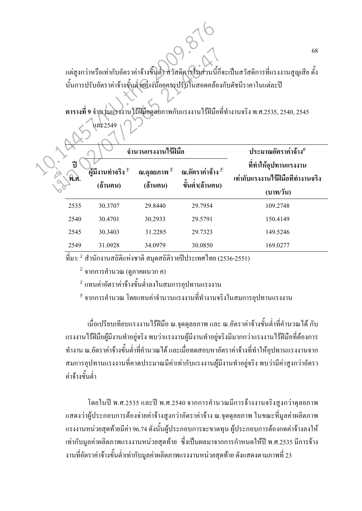แต่สูงกว่าหรือเท่ากับอัตราค่าจ้างขั้นต่ำ สวัสดิการในส่วนนี้ก็จะเป็นสวัสดิการที่แรงงานสูญเสีย ดั้ง นั้นการปรับอัตราค่าจ้างขั้นต่ำอย่างน้อยควรปรับในสอดคล้องกับดัชนีราคาในแต่ละปี

ตารางที่ 9 จำนวนแรงงานไร้ฝีมือดุลยภาพกับแรงงานไร้ฝีมือที่ทำงานจริง พ.ศ.2535, 2540, 2545

|              |                                          | จำนวนแรงงานใร้ฝีมือ                 | ประมาณอัตราค่าจ้าง <sup>4</sup>                 |                                                                        |  |
|--------------|------------------------------------------|-------------------------------------|-------------------------------------------------|------------------------------------------------------------------------|--|
| ี่ปี<br>พ.ศ. | ้ผู้มีงานทำจริง <sup>บ</sup><br>(ถ้านคน) | ณ.ดุลยภาพ <sup>2/</sup><br>(ถ้านคน) | ณ.อัตราค่าจ้าง <sup>3/</sup><br>ขั้นต่ำ(ถ้านคน) | ที่ทำให้อุปทานแรงงาน<br>เท่ากับแรงงานไร้ฝีมือที่ทำงานจริง<br>(บาท/วัน) |  |
| 2535         | 30.3707                                  | 29.8440                             | 29.7954                                         | 109.2748                                                               |  |
| 2540         | 30.4701                                  | 30.2933                             | 29.5791                                         | 150.4149                                                               |  |
| 2545         | 30.3403                                  | 31.2285                             | 29.7323                                         | 149.5246                                                               |  |
| 2549         | 31.0928                                  | 34.0979                             | 30.0850                                         | 169.0277                                                               |  |

 $\vec{\mathfrak{n}}$ มา:  $^{\downarrow}$  สำนักงานสถิติแห่งชาติ สมคสถิติรายปีประเทศไทย (2536-2551)

 $\overline{a}^2$  จากการคำนวณ (ดูภาคผนวก ค)

ื<sup>่ง</sup> แทนค่าอัตราค่าจ้างขั้นต่ำลงในสมการอุปทานแรงงาน

ข้ จากการคำนวณ โดยแทนค่าจำนวนแรงงานที่ทำงานจริงในสมการอุปทานแรงงาน

เมื่อเปรียบเทียบแรงงานไร้ฝีมือ ณ.จุดคุลยภาพ และ ณ.อัตราค่าจ้างขั้นต่ำที่คำนวณได้ กับ แรงงานใร้ฝีมือผู้มีงานทำอยู่จริง พบว่าแรงงานผู้มีงานทำอยู่จริงมีมากกว่าแรงงานใร้ฝีมือที่ต้องการ ทำงาน ณ.อัตราค่าจ้างขั้นต่ำที่คำนวณได้ และเมื่อทดสอบหาอัตราค่าจ้างที่ทำให้อุปทานแรงงานจาก สมการอุปทานแรงงานที่คาดประมาณมีค่าเท่ากับแรงงานผู้มีงานทำอยู่จริง พบว่ามีค่าสูงกว่าอัตรา ค่าจ้างขั้บต่ำ

โดยในปี พ.ศ.2535 และปี พ.ศ.2540 จากการคำนวณมีการจ้างงานจริงสูงกว่าดุลยภาพ ี แสดงว่าผู้ประกอบการต้องจ่ายค่าจ้างสูงกว่าอัตราค่าจ้าง ณ.จุดคุลยภาพ ในขณะที่มูลค่าผลิตภาพ ้ แรงงานหน่วยสุดท้ายมีค่า 96.74 ดังนั้นผู้ประกอบการจะขาดทุน ผู้ประกอบการต้องกดค่าจ้างลงให้ ้ เท่ากับมลค่าผลิตภาพแรงงานหน่วยสดท้าย ซึ่งเป็นผลมาจากการกำหนดให้ปี พ.ศ.2535 มีการจ้าง ึงานที่อัตราค่าจ้างขั้นต่ำเท่ากับมูลค่าผลิตภาพแรงงานหน่วยสุดท้าย ดังแสดงตามภาพที่ 23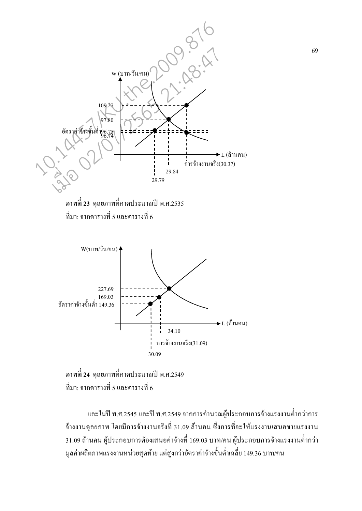



ึภาพที่ 24 คุลยภาพที่คาดประมาณปี พ.ศ.2549 ที่มา: จากตารางที่ 5 และตารางที่ 6

และในปี พ.ศ.2545 และปี พ.ศ.2549 จากการคำนวณผู้ประกอบการจ้างแรงงานต่ำกว่าการ จ้างงานคุลยภาพ โดยมีการจ้างงานจริงที่ 31.09 ล้านคน ซึ่งการที่จะให้แรงงานเสนอขายแรงงาน 31.09 ถ้านคน ผู้ประกอบการต้องเสนอค่าจ้างที่ 169.03 บาท/คน ผู้ประกอบการจ้างแรงงานต่ำกว่า มูลค่าผลิตภาพแรงงานหน่วยสุดท้าย แต่สูงกว่าอัตราค่าจ้างขั้นต่ำเฉลี่ย 149.36 บาท/คน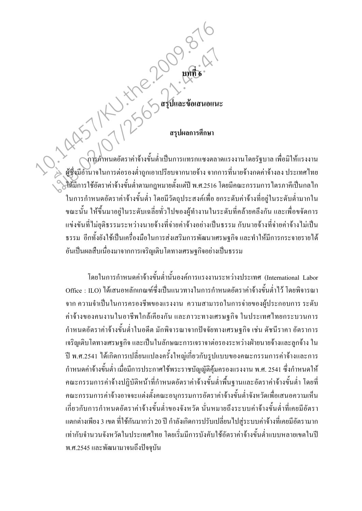# 

.<br>การคำหนดอัตราค่าจ้างขั้นต่ำเป็นการแทรกแซงตลาดแรงงานโดยรัฐบาล เพื่อมิให้แรงงาน ด้มีการใช้อัตราค่าจ้างขั้นต่ำตามกฎหมายตั้งแต่ปี พ.ศ.2516 โดยมีคณะกรรมการไตรภาคีเป็นกลไก ในการกำหนดอัตราค่าจ้างขั้นต่ำ โดยมีวัตถุประสงค์เพื่อ ยกระดับค่าจ้างที่อยู่ในระดับต่ำมากใน ึ่งณะนั้น ให้ขึ้นมาอยู่ในระคับเฉลี่ยทั่วไปของผู้ทำงานในระคับที่คล้ายคลึงกัน และเพื่อขจัคการ แข่งขันที่ไม่ยุติธรรมระหว่างนายจ้างที่จ่ายค่าจ้างอย่างเป็นธรรม กับนายจ้างที่จ่ายค่าจ้างไม่เป็น ี ธรรม อีกทั้งยังใช้เป็นเครื่องมือในการส่งเสริมการพัฒนาเศรษฐกิจ และทำให้มีการกระจายรายได้ อันเป็นผลสืบเนื่องมาจากการเจริญเติบโตทางเศรษฐกิจอย่างเป็นธรรม

โดยในการกำหนดค่าจ้างขั้นต่ำนั้นองค์การแรงงานระหว่างประเทศ (International Labor Office : ILO) ได้เสนอหลักเกณฑ์ซึ่งเป็นแนวทางในการกำหนดอัตราค่าจ้างขั้นต่ำไว้ โดยพิจารณา ิจาก ความจำเป็นในการครองชีพของแรงงาน ความสามารถในการจ่ายของผู้ประกอบการ ระดับ ้ค่าจ้างของคนงานในอาชีพใกล้เคียงกัน และภาวะทางเศรษฐกิจ ในประเทศไทยกระบวนการ ้กำหนดอัตราค่าจ้างขั้นต่ำในอดีต มักพิจารณาจากปัจจัยทางเศรษฐกิจ เช่น ดัชนีราคา อัตราการ ้เจริญเติบโตทางเศรษฐกิจ และเป็นในลักษณะการเจราจาต่อรองระหว่างฝ่ายนายจ้างและลูกจ้าง ใน ปี พ.ศ.2541 ได้เกิดการเปลี่ยนแปลงครั้งใหญ่เกี่ยวกับรูปแบบของคณะกรรมการค่าจ้างและการ ้กำหนดค่าจ้างขั้นต่ำ เมื่อมีการประกาศใช้พระราชบัญญัติคุ้มครองแรงงาน พ.ศ. 2541 ซึ่งกำหนดให้ ึ คณะกรรมการค่าจ้างปฏิบัติหน้าที่กำหนดอัตราค่าจ้างขั้นต่ำพื้นฐานและอัตราค่าจ้างขั้นต่ำ โดยที่ ึกณะกรรมการค่าจ้างอาจจะแต่งตั้งคณะอนุกรรมการอัตราค่าจ้างขั้นต่ำจังหวัดเพื่อเสนอความเห็น ้เกี่ยวกับการกำหนดอัตราค่าจ้างขั้นต่ำของจังหวัด นั่นหมายถึงระบบค่าจ้างขั้นต่ำที่เคยมีอัตรา ้แตกต่างเพียง 3 เขต ที่ใช้กันมากว่า 20 ปี กำลังเกิดการปรับเปลี่ยน ไปสู่ระบบค่าจ้างที่เคยมีอัตรามาก เท่ากับจำนวนจังหวัดในประเทศไทย โดยเริ่มมีการบังคับใช้อัตราค่าจ้างขั้นต่ำแบบหลายเขตในปี พ.ศ.2545 และพัฒนามาจนถึงปัจจุบัน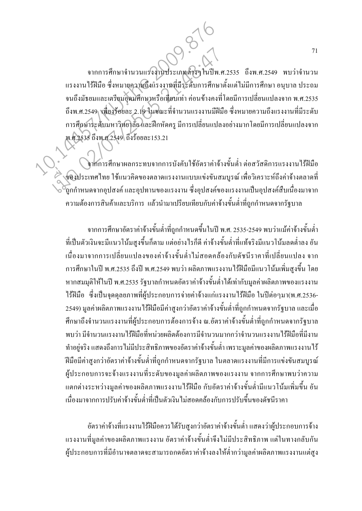จากการศึกษาจำนวนแรงงานประเภทต่างๆในปีพ.ศ.2535 ถึงพ.ศ.2549 พบว่าจำนวน แรงงานไร้ฝีมือ ซึ่งหมายความถึงแรงงานที่มีระดับการศึกษาดั้งแต่ไม่มีการศึกษา อนุบาล ประถม ้ จนถึงมัธยมและเตรียมอุดมศึกษาหรือเทียบเท่า ค่อนข้างคงที่โดยมีการเปลี่ยนแปลงจาก พ.ศ.2535 ถึงพ.ศ.2549 เพียงร้อยละ 2.19 ในขณะที่จำนวนแรงงานมีฝีมือ ซึ่งหมายความถึงแรงงานที่มีระดับ การศึกษาระดับมหาวิทยาลัย และฝึกหัดครู มีการเปลี่ยนแปลงออก โดยมีการเปลี่ยนแปลงจาก พ.ศ.2535 ถึงพ.ศ.2549 ถึงร้อยละ153.21 10.14457/KU.the.2009.876 บากการศึกษาจำนวนแรงงานประเภทคำวิๆ ในปีพ.<br>แรงงาน ไร้ฝีมือ ซึ่งหมายความถึงแรงงานที่มีระดับการศึกษา<br>จนถึงมัธยมและเครียมอุดมศึกษาหรือเทียบเท่า ก่อนข้างคงที่<br>ถึงพ.ศ.2549 เพียงร้อยละ 2.19 ในขณะที่จำนวนแรงงานมีฝัน<br>การศึกษาหลายใ

จากการศึกษาผลกระทบจากการบังคับใช้อัตราค่าจ้างขั้นต่ำ ต่อสวัสดิการแรงงานใร้ฝีมือ ของประเทศไทย ใช้แนวคิดของตลาดแรงงานแบบแข่งขันสมบูรณ์ เพื่อวิเคราะห์ถึงค่าจ้างตลาดที่ ี่ถูกกำหนดจากอุปสงค์ และอุปทานของแรงงาน ซึ่งอุปสงค์ของแรงงานเป็นอุปสงค์สืบเนื่องมาจาก ความต้องการสินค้าและบริการ แล้วนำมาเปรียบเทียบกับค่าจ้างขั้นต่ำที่ถูกกำหนดจากรัฐบาล

จากการศึกษาอัตราค่าจ้างขั้นต่ำที่ถูกกำหนดขึ้นในปี พ.ศ. 2535-2549 พบว่าแม้ค่าจ้างขั้นต่ำ ที่เป็นตัวเงินจะมีแนวโน้มสูงขึ้นกีตาม แต่อย่างไรก็ดี ค่าจ้างขั้นต่ำที่แท้จริงมีแนวโน้มลดต่ำลง อัน ู เนื่องมาจากการเปลี่ยนแปลงของค่าจ้างขั้นต่ำไม่สอดคล้องกับดัชนีราคาที่เปลี่ยนแปลง จาก การศึกษาในปี พ.ศ.2535 ถึงปี พ.ศ.2549 พบว่า ผลิตภาพแรงงานไร้ฝีมือมีแนวโน้มเพิ่มสูงขึ้น โดย ี หากสมมุติให้ในปี พ.ศ.2535 รัฐบาลกำหนดอัตราค่าจ้างขั้นต่ำได้เท่ากับมูลค่าผลิตภาพของแรงงาน ใร้ฝีมือ ซึ่งเป็นจุดคุลยภาพที่ผู้ประกอบการจ่ายค่าจ้างแก่แรงงานใร้ฝีมือ ในปีต่อๆมา(พ.ศ.2536-2549) มูลค่าผลิตภาพแรงงาน ไร้ฝีมือมีค่าสูงกว่าอัตราค่าจ้างขั้นต่ำที่ถูกกำหนดจากรัฐบาล และเมื่อ ศึกษาถึงจำนวนแรงงานที่ผู้ประกอบการต้องการจ้าง ณ.อัตราค่าจ้างขั้นต่ำที่ถูกกำหนดจากรัฐบาล พบว่า มีจำนวนแรงงานใร้ฝีมือที่หน่วยผลิตต้องการมีจำนวนมากกว่าจำนวนแรงงานใร้ฝีมือที่มีงาน ี ทำอยู่จริง แสดงถึงการ ไม่มีประสิทธิภาพของอัตราค่าจ้างขั้นต่ำ เพราะมูลค่าของผลิตภาพแรงงาน ไร้ ฝีมือมีค่าสูงกว่าอัตราค่าจ้างขั้นต่ำที่ถูกกำหนดจากรัฐบาล ในตลาดแรงงานที่มีการแข่งขันสมบูรณ์ ผู้ประกอบการจะจ้างแรงงานที่ระคับของมูลค่าผลิตภาพของแรงงาน จากการศึกษาพบว่าความ แตกต่างระหว่างมูลค่าของผลิตภาพแรงงาน ไร้ฝีมือ กับอัตราค่าจ้างขั้นต่ำมีแนวโน้มเพิ่มขึ้น อัน เนื่องมาจากการปรับค่าจ้างขั้นต่ำที่เป็นตัวเงิน"ไม่สอดคล้องกับการปรับขึ้นของคัชนีราคา

อัตราค่าจ้างที่แรงงาน ไร้ฝีมือควร ได้รับสูงกว่าอัตราค่าจ้างขั้นต่ำ แสดงว่าผู้ประกอบการจ้าง แรงงานที่มูลค่าของผลิตภาพแรงงาน อัตราค่าจ้างขั้นต่ำจึงไม่มีประสิทธิภาพ แต่ในทางกลับกัน ผู้ประกอบการที่มีอำนาจตลาดจะสามารถกดอัตราค่าจ้างลงให้ต่ำกว่ามูลค่าผลิตภาพแรงงานแต่สูง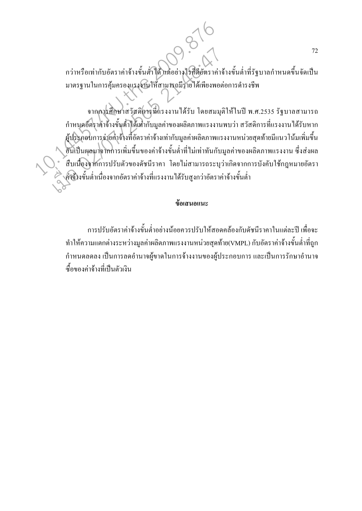ึกว่าหรือเท่ากับอัตราค่าจ้างขั้นต่ำใค้ แต่อย่างไรก็คือัตราค่าจ้างขั้นต่ำที่รัฐบาลกำหนดขึ้นจัดเป็น มาตรฐานในการคุ้มครองแรงงานให้สามารถมีรายใด้เพียงพอต่อการคำรงชีพ

์<br>จากการศึกษาสวัสดิการที่แรงงานได้รับ โดยสมมุติให้ในปี พ.ศ.2535 รัฐบาลสามารถ ้กำหนดอัตราค่าจ้างขั้นต่ำได้เท่ากับมูลค่าของผลิตภาพแรงงานพบว่า สวัสดิการที่แรงงานได้รับหาก ผู้ประกอบการจ่ายค่าจ้างที่อัตราค่าจ้างเท่ากับมูลค่าผลิตภาพแรงงานหน่วยสุดท้ายมีแนวโน้มเพิ่มขึ้น อันเป็นผลมาจากการเพิ่มขึ้นของค่าจ้างขั้นต่ำที่ไม่เท่าทันกับมูลค่าของผลิตภาพแรงงาน ซึ่งส่งผล ี้ สืบเนื่องจากการปรับตัวของคัชนีราคา โดยไม่สามารถระบุว่าเกิดจากการบังคับใช้กฎหมายอัตรา ์<br>- ค์ซึ่งขั้นต่ำเนื่องจากอัตราค่าจ้างที่แรงงานได้รับสูงกว่าอัตราค่าจ้างขั้นต่ำ

### ข้อเสนอแนะ

ึการปรับอัตราค่าจ้างขั้นต่ำอย่างน้อยควรปรับให้สอดคล้องกับดัชนีราคาในแต่ละปี เพื่อจะ ทำให้ความแตกต่างระหว่างมูลค่าผลิตภาพแรงงานหน่วยสุดท้าย(VMPL) กับอัตราค่าจ้างขั้นต่ำที่ถูก ้กำหนดลดลง เป็นการลดอำนาจผู้ขาดในการจ้างงานของผู้ประกอบการ และเป็นการรักษาอำนาจ ซื้อของค่าจ้างที่เป็นตัวเงิน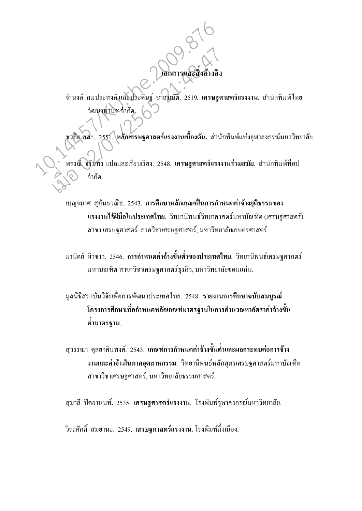จำนงค์ สมประสงค์และประดิษฐ์ ชาสมบัติ. 2519**. เศรษฐศาสตร์แรงงาน**. สำนักพิมพ์ใทย  $\tilde{a}$ วัฒนาพานิช จำกัด.

เอกสารและสิ้

งอ้างอิ 

ชว<mark>ลิต สละ. 2551. หลักเศรษฐศาสตร์แรงงานเบื้องต้น.</mark> สำนักพิมพ์แห่งจุฬาลงกรณ์มหาวิทยาลัย. พรรณ**์ จรัมพร แปลและเรียบเรียง. 2548. เศรษฐศาสตร์แรงงานร่วมสมัย. สำนักพิมพ์ที่อป** 10.14457/KU.the.2009.876 เมนท์ สมประสงค์และประดิษฐ์ ชาสมบัติ. 2519. เศรษฐค<br>วัฒนาทาบิช จำกัด.<br>ชาสิต สสะ. 2551. หลักเศรษฐศาสตร์แรงงานเบื้องต้น. สำนั<br>\* พรรณี จรัมพร แปลและเรียบเรียง. 2548. เศรษฐศาสตร์แรง.

> เบญจมาศ สุกันธวณิช. 2543. **การศึกษาหลักเกณฑ์ในการกำหนดค่าจ้างยุติธรรมของ แรงงานใร้ฝีมือในประเทศไทย**. วิทยานิพนธ์วิทยาศาสตร์มหาบัณฑิต (เศรษฐศาสตร์) สาขา เศรษฐศาสตร์ ภาควิชาเศรษฐศาสตร์, มหาวิทยาลัยเกษตรศาสตร์.

กำกัด

มานิตย์ ผิวขาว. 2546. **การกำหนดค่าจ้างขั้นต่ำของประเทศไทย**. วิทยานิพนธ์เศรษฐศาสตร์  $\overline{a}$ มหาบัณฑิต สาขาวิชาเศรษฐศาสตร์ธุรกิจ, มหาวิทยาลัยขอนแก่น.

มูลนิธิสถาบันวิจัยเพื่อการพัฒนาประเทศ<sup>ๆ</sup>ทย. 2548. **รายงานการศึกษาฉบับสมบูรณ์** โครงการศึกษาเพื่อกำหนดหลักเกณฑ์มาตร**ฐานในการคำนวณหาอัตราค่าจ้างขั้น** ์ ต่ำมาตร**ฐาน.** 

สุวรรณา ตุลยวศินพงศ์. 2543. **เกณฑ์การกำหนดค่าจ้างขั้นต่ำและผลกระทบต่อการจ้าง งานและค่าจ้างในภาคอุตสาหกรรม**. วิทยานิพนธ์หลักสูตรเศรษฐศาสตร์มหาบัณฑิต สาขาวิชาเศรษฐศาสตร์, มหาวิทยาลัยธรรมศาสตร์.

สุมาลี ปิตยานนท์. 2535. **เศรษฐศาสตร์แรงงาน**. โรงพิมพ์จุฬาลงกรณ์มหาวิทยาลัย.

วีระศักดิ์ สมยานะ. 2549. **เสรษฐศาสตร์แรงงาน.** โรงพิมพ์มิ่งเมือง.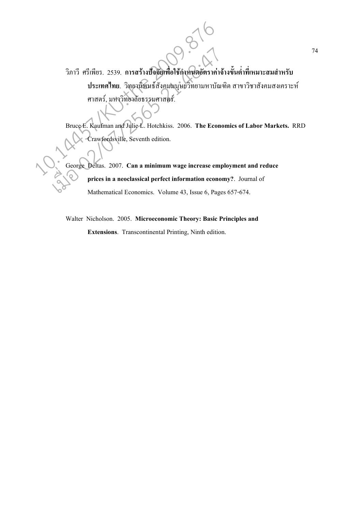วิภาวี ศรีเพียร. 2539. การสร้างปัจจัยเพื่อใช้กำหนดอัตราค่าจ้างขั้นต่ำที่เหมาะสมสำหรับ ประเทศไทย. วิทยานิพนธ์สังคมมนุษยวิทยามหาบัณฑิต สาขาวิชาสังคมสงเคราะห์ ศาสตร์, มหาวิทยาลัยธรรมศาสตร์.

Bruce E. Kaufman and Julie L. Hotchkiss. 2006. The Economics of Labor Markets. RRD Crawfordsville, Seventh edition.

George Deltas. 2007. Can a minimum wage increase employment and reduce prices in a neoclassical perfect information economy?. Journal of Mathematical Economics. Volume 43, Issue 6, Pages 657-674.

Walter Nicholson. 2005. Microeconomic Theory: Basic Principles and

Extensions. Transcontinental Printing, Ninth edition.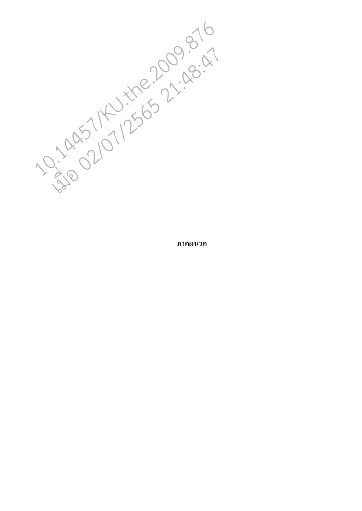10:149511256572:48:476

ภาคผนวก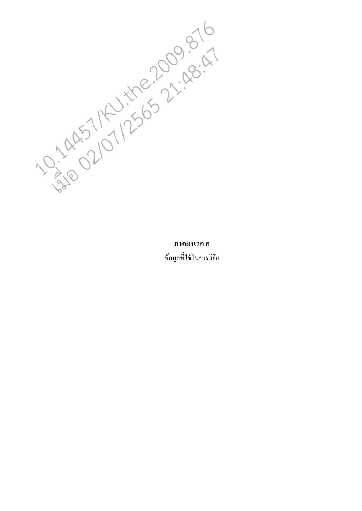10:1407/1256522:48:47

### ุภาคผนวก ก

ข้อมูลที่ใช้ในการวิจัย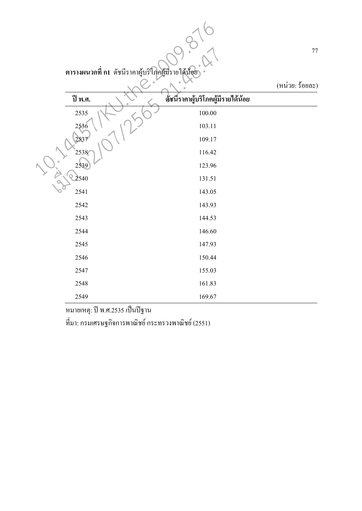|  | ี ตารางผนวกที่ ก1  ดัชนีรากาผู้บริโภคผู้มีรายได้น้อย |                                    | $77\,$<br>(หน่วย: ร้อยละ) |
|--|------------------------------------------------------|------------------------------------|---------------------------|
|  | ปี พ.ศ.                                              | ด้ชนี้ราคาผู้บริโภคผู้มีรายได้น้อย |                           |
|  | 2535                                                 | 100.00                             |                           |
|  | 2536                                                 | 103.11                             |                           |
|  | 2537                                                 | 109.17                             |                           |
|  | 2538                                                 | 116.42                             |                           |
|  | 2539                                                 | 123.96                             |                           |
|  | 2540                                                 | 131.51                             |                           |
|  | 2541                                                 | 143.05                             |                           |
|  | 2542                                                 | 143.93                             |                           |
|  | 2543                                                 | 144.53                             |                           |
|  | 2544                                                 | 146.60                             |                           |
|  | 2545                                                 | 147.93                             |                           |
|  | 2546                                                 | 150.44                             |                           |
|  | 2547                                                 | 155.03                             |                           |
|  | 2548                                                 | 161.83                             |                           |
|  | 2549                                                 | 169.67                             |                           |

หมายเหตุ: ปี พ.ศ.2535 เป็นปีฐาน

ที่มา: กรมเศรษฐกิจการพาณิชย์ กระทรวงพาณิชย์ (2551)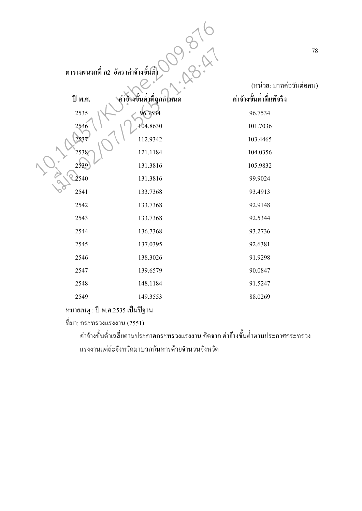|  |         | ี ตารางผนวกที่ ก2 อัตราค่าจ้างขั้นตั๋ | 78                                                  |
|--|---------|---------------------------------------|-----------------------------------------------------|
|  | ปี พ.ศ. | ู ค่าจ้างขั้นต่ำที่ถูกกำหนด           | (หน่วย: บาทต่อวันต่อคน)<br>ค่าจ้างขั้นต่ำที่แท้จริง |
|  | 2535    | 96.7534                               | 96.7534                                             |
|  | 2536    | 104.8630                              | 101.7036                                            |
|  | 2537    | 112.9342                              | 103.4465                                            |
|  | 2538    | 121.1184                              | 104.0356                                            |
|  | 2539    | 131.3816                              | 105.9832                                            |
|  | 2540    | 131.3816                              | 99.9024                                             |
|  | 2541    | 133.7368                              | 93.4913                                             |
|  | 2542    | 133.7368                              | 92.9148                                             |
|  | 2543    | 133.7368                              | 92.5344                                             |
|  | 2544    | 136.7368                              | 93.2736                                             |
|  | 2545    | 137.0395                              | 92.6381                                             |
|  | 2546    | 138.3026                              | 91.9298                                             |
|  | 2547    | 139.6579                              | 90.0847                                             |
|  | 2548    | 148.1184                              | 91.5247                                             |
|  | 2549    | 149.3553                              | 88.0269                                             |

หมายเหตุ : ปี พ.ศ.2535 เป็นปีฐาน

ที่มา: กระทรวงแรงงาน (2551)

้ค่าจ้างขั้นต่ำเฉลี่ยตามประกาศกระทรวงแรงงาน คิดจาก ค่าจ้างขั้นต่ำตามประกาศกระทรวง แรงงานแต่ล่ะจังหวัดมาบวกกันหารด้วยจำนวนจังหวัด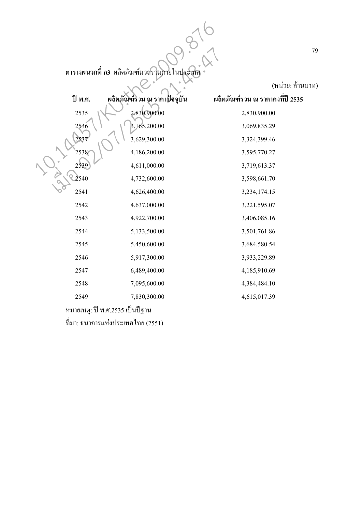|         | ีตารางผนวกที่ ก3 ผลิตภัณฑ์มวลรวมภายในประเทศ | 79                                                  |
|---------|---------------------------------------------|-----------------------------------------------------|
| ปี พ.ศ. | ผลิตภัณฑ์รวม ณ ราคาปัจจุบัน                 | (หน่วย: ถ้านบาท)<br>ผลิตภัณฑ์รวม ณ ราคาคงที่ปี 2535 |
| 2535    | 2,830,900.00                                | 2,830,900.00                                        |
| 2536    | 3,165,200.00                                | 3,069,835.29                                        |
| 2537    | 3,629,300.00                                | 3,324,399.46                                        |
| 2538    | 4,186,200.00                                | 3,595,770.27                                        |
| 2539    | 4,611,000.00                                | 3,719,613.37                                        |
| 2540    | 4,732,600.00                                | 3,598,661.70                                        |
| 2541    | 4,626,400.00                                | 3,234,174.15                                        |
| 2542    | 4,637,000.00                                | 3,221,595.07                                        |
| 2543    | 4,922,700.00                                | 3,406,085.16                                        |
| 2544    | 5,133,500.00                                | 3,501,761.86                                        |
| 2545    | 5,450,600.00                                | 3,684,580.54                                        |
| 2546    | 5,917,300.00                                | 3,933,229.89                                        |
| 2547    | 6,489,400.00                                | 4,185,910.69                                        |
| 2548    | 7,095,600.00                                | 4,384,484.10                                        |
| 2549    | 7,830,300.00                                | 4,615,017.39                                        |

หมายเหตุ: ปี พ.ศ.2535 เป็นปีฐาน ที่มา: ธนาคารแห่งประเทศไทย (2551)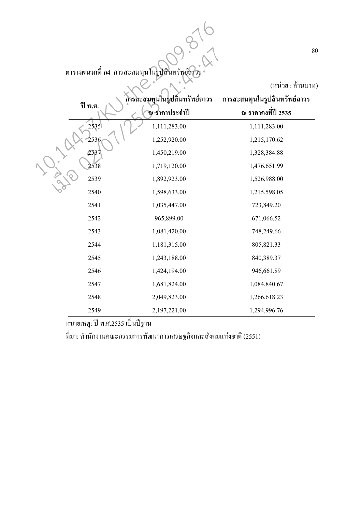ตารางผนวกที่ ก4 การสะสมทุนในรูปสินทรัพย์ถ<sub>่</sub>าวร

(หน่วย : ถ้านบาท)

|         | ีตารางผนวกที่ ก4 การสะสมทุนในรูปสินทรัพย์ถาวร | 80                           |
|---------|-----------------------------------------------|------------------------------|
|         |                                               | (หน่วย : ถ้านบาท)            |
| ปี พ.ศ. | การสะสมทุนในรูปสิ้นทรัพย์ถาวร                 | การสะสมทุนในรูปสินทรัพย์ถาวร |
|         | ณ ราคาประจำปี                                 | ณ ราคาคงที่ปี 2535           |
| 2535    | 1,111,283.00                                  | 1,111,283.00                 |
| 2536    | 1,252,920.00                                  | 1,215,170.62                 |
| 2537    | 1,450,219.00                                  | 1,328,384.88                 |
| 2538    | 1,719,120.00                                  | 1,476,651.99                 |
| 2539    | 1,892,923.00                                  | 1,526,988.00                 |
| 2540    | 1,598,633.00                                  | 1,215,598.05                 |
| 2541    | 1,035,447.00                                  | 723,849.20                   |
| 2542    | 965,899.00                                    | 671,066.52                   |
| 2543    | 1,081,420.00                                  | 748,249.66                   |
| 2544    | 1,181,315.00                                  | 805,821.33                   |
| 2545    | 1,243,188.00                                  | 840,389.37                   |
| 2546    | 1,424,194.00                                  | 946,661.89                   |
| 2547    | 1,681,824.00                                  | 1,084,840.67                 |
| 2548    | 2,049,823.00                                  | 1,266,618.23                 |
| 2549    | 2,197,221.00                                  | 1,294,996.76                 |

หมายเหตุ: ปี พ.ศ.2535 เป็นปีฐาน

ี่ที่มา: สำนักงานคณะกรรมการพัฒนาการเศรษฐกิจและสังคมแห่งชาติ (2551)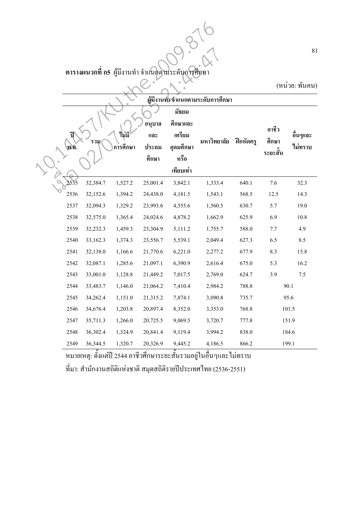ตารางผนวกที่ กร<sub>.</sub> ผู้มีงานทำ จำแนกตามระดับการศึกษา

|      |          |          |                                           | ีตารางผนวกที่ กร ผู้มีงานทำ จำแนกตามระดับการศึกษา | ผู้มีงานทั่วจำแนกตามระดับการศึกษา |                     |                   | 81<br>(หน่วย: พันคน) |
|------|----------|----------|-------------------------------------------|---------------------------------------------------|-----------------------------------|---------------------|-------------------|----------------------|
|      |          |          |                                           | มัธยม<br>ที่กษาและ                                |                                   |                     |                   |                      |
|      |          | ไม่มี    | อนูบาล<br>$\mathfrak{u}$ a $\mathfrak{v}$ | เตรียม                                            |                                   |                     | อาชีว             | อื่นๆและ             |
| พ.ศ. | รวม      | การศึกษา | ประถม                                     | อุดมศึกษา                                         | มหาวิทยาลัย                       | ์ ฝึกหัดค <u>รู</u> | ศึกษา<br>ระยะสั้น | ไม่ทราบ              |
|      |          |          | ์<br>ศึก <i>ษ</i> า                       | หรือ                                              |                                   |                     |                   |                      |
|      |          |          |                                           | เทียบเท่า                                         |                                   |                     |                   |                      |
| 2535 | 32,384.7 | 1,527.2  | 25,001.4                                  | 3,842.1                                           | 1,333.4                           | 640.1               | 7.6               | 32.3                 |
| 2536 | 32,152.6 | 1,394.2  | 24,438.0                                  | 4,181.5                                           | 1,543.1                           | 568.5               | 12.5              | 14.3                 |
| 2537 | 32,094.3 | 1,329.2  | 23,993.6                                  | 4,555.6                                           | 1,560.5                           | 630.7               | 5.7               | 19.0                 |
| 2538 | 32,575.0 | 1,365.4  | 24,024.6                                  | 4,878.2                                           | 1,662.9                           | 625.9               | 6.9               | 10.8                 |
| 2539 | 32,232.3 | 1,459.3  | 23,304.9                                  | 5,111.2                                           | 1,755.7                           | 588.0               | 7.7               | 4.9                  |
| 2540 | 33,162.3 | 1,374.3  | 23,556.7                                  | 5,539.1                                           | 2,049.4                           | 627.3               | 6.5               | 8.5                  |
| 2541 | 32,138.0 | 1,166.6  | 21,770.6                                  | 6,221.0                                           | 2,277.2                           | 677.9               | 8.3               | 15.8                 |
| 2542 | 32,087.1 | 1,285.6  | 21,097.1                                  | 6,390.9                                           | 2,616.4                           | 675.0               | 5.3               | 16.2                 |
| 2543 | 33,001.0 | 1,128.8  | 21,449.2                                  | 7,017.5                                           | 2,769.0                           | 624.7               | 3.9               | 7.5                  |
| 2544 | 33,483.7 | 1,146.0  | 21,064.2                                  | 7,410.4                                           | 2,984.2                           | 788.8               |                   | 90.1                 |
| 2545 | 34,262.4 | 1,151.0  | 21,315.2                                  | 7,874.1                                           | 3,090.8                           | 735.7               |                   | 95.6                 |
| 2546 | 34,676.4 | 1,203.8  | 20,897.4                                  | 8,352.0                                           | 3,353.0                           | 768.8               |                   | 101.5                |
| 2547 | 35,711.3 | 1,266.0  | 20,725.5                                  | 9,069.5                                           | 3,720.7                           | 777.8               |                   | 151.9                |
| 2548 | 36,302.4 | 1,324.9  | 20,841.4                                  | 9,119.4                                           | 3,994.2                           | 838.0               |                   | 184.6                |
| 2549 | 36,344.5 | 1,320.7  | 20,326.9                                  | 9,445.2                                           | 4,186.5                           | 866.2               |                   | 199.1                |

หมายเหตุ: ตั้งแต่ปี 2544 อาชีวศึกษาระยะสั้นรวมอยู่ในอื่นๆและไม่ทราบ ที่มา: สำนักงานสถิติแห่งชาติ สมุคสถิติรายปีประเทศไทย (2536-2551)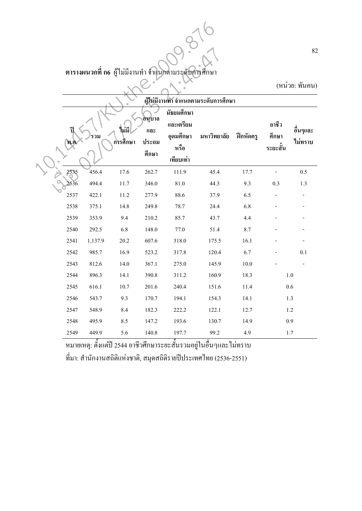# ตารางผนวกที่ ก6 ผู้ใม่มีงานทำ จำแนกตามระดับการศึกษา

|           |         |          |                                 | ีตารางผนวกที่ ก6 ผู้ใม่มีงานทำ จำแนกตามระดับการศึกษา      | ผู้ไม่มีงานทำ จำแนกตามระดับการศึกษา |                   |                           | 82<br>(หน่วย: พันคน) |
|-----------|---------|----------|---------------------------------|-----------------------------------------------------------|-------------------------------------|-------------------|---------------------------|----------------------|
| ริ<br>พ.ศ | รวม     | ก\รศึกษา | อนุบาล<br>ແລະ<br>ประถม<br>ศึกษา | มัธยมศึกษา<br>และเตรียม<br>อุดมศึกษา<br>หรือ<br>เทียบเท่า | มหาวิทยาลัย                         | <b>ฝึกหัด</b> ครู | อาชีว<br>ศึกษา<br>ระยะสัน | อื่นๆและ<br>ไม่ทราบ  |
| 2535      | 456.4   | 17.6     | 262.7                           | 111.9                                                     | 45.4                                | 17.7              |                           | 0.5                  |
| 2536      | 494.4   | 11.7     | 346.0                           | 81.0                                                      | 44.3                                | 9.3               | 0.3                       | 1.3                  |
| 2537      | 422.1   | 11.2     | 277.9                           | 88.6                                                      | 37.9                                | 6.5               |                           |                      |
| 2538      | 375.1   | 14.8     | 249.8                           | 78.7                                                      | 24.4                                | 6.8               |                           |                      |
| 2539      | 353.9   | 9.4      | 210.2                           | 85.7                                                      | 43.7                                | 4.4               |                           |                      |
| 2540      | 292.5   | 6.8      | 148.0                           | 77.0                                                      | 51.4                                | 8.7               |                           |                      |
| 2541      | 1,137.9 | 20.2     | 607.6                           | 318.0                                                     | 175.5                               | 16.1              |                           |                      |
| 2542      | 985.7   | 16.9     | 523.2                           | 317.8                                                     | 120.4                               | 6.7               |                           | 0.1                  |
| 2543      | 812.6   | 14.0     | 367.1                           | 275.0                                                     | 145.9                               | $10.0\,$          |                           |                      |
| 2544      | 896.3   | 14.1     | 390.8                           | 311.2                                                     | 160.9                               | 18.3              |                           | $1.0\,$              |
| 2545      | 616.1   | 10.7     | 201.6                           | 240.4                                                     | 151.6                               | 11.4              |                           | 0.6                  |
| 2546      | 543.7   | 9.3      | 170.7                           | 194.1                                                     | 154.3                               | 14.1              |                           | 1.3                  |
| 2547      | 548.9   | 8.4      | 182.3                           | 222.2                                                     | 122.1                               | 12.7              |                           | 1.2                  |
| 2548      | 495.9   | 8.5      | 147.2                           | 193.6                                                     | 130.7                               | 14.9              |                           | 0.9                  |
| 2549      | 449.9   | 5.6      | 140.8                           | 197.7                                                     | 99.2                                | 4.9               |                           | 1.7                  |

หมายเหตุ: ตั้งแต่ปี 2544 อาชีวศึกษาระยะสั้นรวมอยู่ในอื่นๆและไม่ทราบ ีที่มา: สำนักงานสถิติแห่งชาติ, สมุดสถิติรายปีประเทศไทย (2536-2551)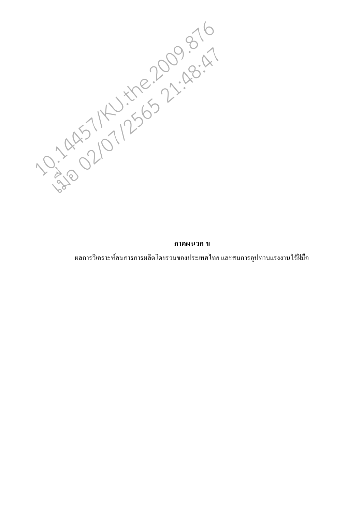10:149571250577:48:47

### ิภาคผนวก ข

ผลการวิเคราะห์สมการการผลิตโคยรวมของประเทศไทย และสมการอุปทานแรงงานไร้ฝีมือ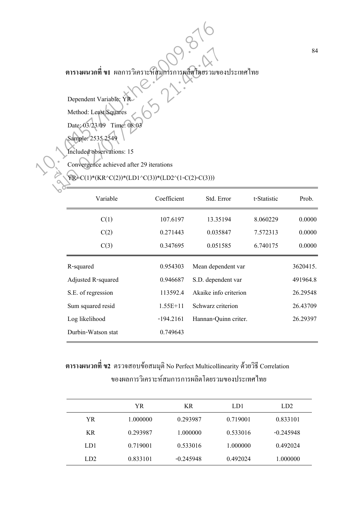**ตารางผนวกที่ ข1** ผลการวิเคราะห์สมการการผลิตโดยรวมของประเทศไทย

Dependent Variable: YR Method: Least Squares Date: 03/23/09 Time: 08:03 Sample: 2535 2549 013134142917 11 Manis Juan Linder Transport of Method: Least Squares<br>
Dependent Variable: YR<br>
Method: Least Squares<br>
Date: 03/23/09 Time: 08:03<br>
Sample: 2535 2549<br>
Method: Least Squares<br>
Convergence achieved after 29 itera เมื่อ 02/07/2565 21:48:47

Included observations: 15

Convergence achieved after 29 iterations

### YR=C(1)\*(KR^C(2))\*(LD1^C(3))\*(LD2^(1-C(2)-C(3)))

| Variable           | Coefficient | Std. Error            | t-Statistic | Prob.    |
|--------------------|-------------|-----------------------|-------------|----------|
| C(1)               | 107.6197    | 13.35194              | 8.060229    | 0.0000   |
| C(2)               | 0.271443    | 0.035847              | 7.572313    | 0.0000   |
| C(3)               | 0.347695    | 0.051585              | 6.740175    | 0.0000   |
| R-squared          | 0.954303    | Mean dependent var    |             | 3620415. |
| Adjusted R-squared | 0.946687    | S.D. dependent var    |             | 491964.8 |
| S.E. of regression | 113592.4    | Akaike info criterion |             | 26.29548 |
| Sum squared resid  | $1.55E+11$  | Schwarz criterion     |             | 26.43709 |
| Log likelihood     | $-194.2161$ | Hannan-Quinn criter.  |             | 26.29397 |
| Durbin-Watson stat | 0.749643    |                       |             |          |

# **ตารางผนวกที่ ข2** ตรวจสอบข้อสมมุติ No Perfect Multicollinearity ด้วยวิธี Correlation ึ ของผลการวิเคราะห์สมการการผลิตโดยรวมของประเทศไทย

|     | YR       | <b>KR</b>   | LD1      | LD2         |
|-----|----------|-------------|----------|-------------|
| YR. | 1.000000 | 0.293987    | 0.719001 | 0.833101    |
| KR. | 0.293987 | 1.000000    | 0.533016 | $-0.245948$ |
| LD1 | 0.719001 | 0.533016    | 1.000000 | 0.492024    |
| LD2 | 0.833101 | $-0.245948$ | 0.492024 | 1.000000    |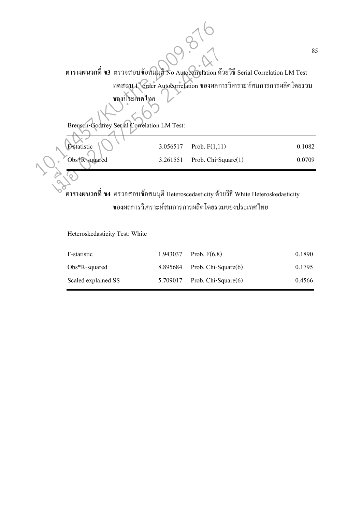85 **ตารางผนวกที่ ข3** ตรวจสอบข้อสมมุติ No Autocorrelation ค้วยวิธี Serial Correlation LM Test ทคสอบ 1 <sup>เ</sup> $\overline{\rm{G}$ rder Autocorrelation ของผลการวิเคราะห์สมการการผลิต โคยรวม ของประเทศไทย Breusch-Godfrey Serial Correlation LM Test: **F-statistic**  $\binom{1}{3.056517}$  Prob. F(1,11) 0.1082 Obs\*R-squared 3.261551 Prob. Chi-Square(1) 0.0709 ์**ตารางผนวกที่ ข4** ตรวจสอบข้อสมมุติ Heteroscedasticity ด้วยวิธี White Heteroskedasticity Extra Series Contra Contra Series Contra Series Contra Series Contra Series Contra Contra Contra Series Contra Contra Contra Contra Contra Contra Contra Contra Contra Contra Contra Contra Contra Contra Contra Contra S. 201 เมื่อ 02/07/2565 21:48:47

ของผลการวิเคราะห์สมการการผลิตโดยรวมของประเทศไทย

Heteroskedasticity Test: White

| F-statistic         | 1.943037 Prob. $F(6,8)$           | 0.1890 |
|---------------------|-----------------------------------|--------|
| $Obs*R$ -squared    | $8.895684$ Prob. Chi-Square $(6)$ | 0.1795 |
| Scaled explained SS | $5.709017$ Prob. Chi-Square $(6)$ | 0.4566 |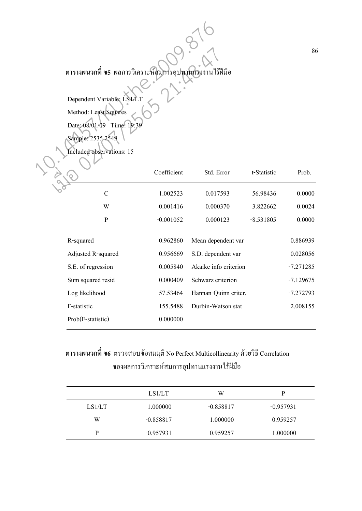| ตารางผนวกที่ ข5 ผลการวิเคราะห์สมการอุปทานแรงงานใร้ฝีมือ<br>Dependent Variable: LS1/L<br>Method: Least Squares<br>Date: 08/01/09 Time: 19:39<br>Sample: 2535 2549<br>Included observations: 15 |                    |             |                       |             |             |
|-----------------------------------------------------------------------------------------------------------------------------------------------------------------------------------------------|--------------------|-------------|-----------------------|-------------|-------------|
|                                                                                                                                                                                               |                    | Coefficient | Std. Error            | t-Statistic | Prob.       |
|                                                                                                                                                                                               | $\overline{C}$     | 1.002523    | 0.017593              | 56.98436    | 0.0000      |
|                                                                                                                                                                                               | W                  | 0.001416    | 0.000370              | 3.822662    | 0.0024      |
|                                                                                                                                                                                               | ${\bf P}$          | $-0.001052$ | 0.000123              | $-8.531805$ | 0.0000      |
|                                                                                                                                                                                               | R-squared          | 0.962860    | Mean dependent var    |             | 0.886939    |
|                                                                                                                                                                                               | Adjusted R-squared | 0.956669    | S.D. dependent var    |             | 0.028056    |
|                                                                                                                                                                                               | S.E. of regression | 0.005840    | Akaike info criterion |             | $-7.271285$ |
|                                                                                                                                                                                               | Sum squared resid  | 0.000409    | Schwarz criterion     |             | $-7.129675$ |
|                                                                                                                                                                                               | Log likelihood     | 57.53464    | Hannan-Quinn criter.  |             | $-7.272793$ |
|                                                                                                                                                                                               | F-statistic        | 155.5488    | Durbin-Watson stat    |             | 2.008155    |
|                                                                                                                                                                                               | Prob(F-statistic)  | 0.000000    |                       |             |             |
|                                                                                                                                                                                               |                    |             |                       |             |             |

**ตารางผนวกที่ ข6** ตรวจสอบข้อสมมุติ No Perfect Multicollinearity ด้วยวิธี Correlation ของผลการวิเคราะห์สมการอุปทานแรงงานไร้ฝีมือ

|        | LS1/LT      | W           | P           |
|--------|-------------|-------------|-------------|
| LS1/LT | 1.000000    | $-0.858817$ | $-0.957931$ |
| W      | $-0.858817$ | 1.000000    | 0.959257    |
| D      | $-0.957931$ | 0.959257    | 1.000000    |

86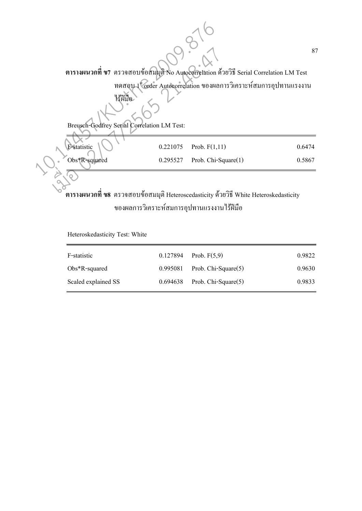87 **ตารางผนวกที่ ข7** ตรวจสอบข้อสมมุติ No Autocorrelation ด้วยวิธี Serial Correlation LM Test ทดสอบ 1 <sup>ง</sup> order Autocorrelation ของผลการวิเคราะห์สมการอุปทานแรงงาน 15 Nie Breusch-Godfrey Serial Correlation LM Test: **F-statistic**  $\sqrt{0.221075}$  Prob.  $F(1,11)$  0.6474 Obs\*R-squared 0.295527 Prob. Chi-Square(1) 0.5867 **ตารางผนวกที่ ข8** ตรวจสอบข้อสมมุติ Heteroscedasticity ด้วยวิธี White Heteroskedasticity Example 1978 a contrat de la Contrat de la Contrat de la Contrat de la Contrat de la Contrat de la Contrat de la Contrat de la Contrat de la Contrat de la Contrat de la Contrat de la Contrat de la Contrat de la Contrat de  $R = \frac{1}{\sqrt{2}} \cdot \frac{1}{\sqrt{2}}$ 

ของผลการวิเคราะห์สมการอุปทานแรงงานไร้ฝีมือ

Heteroskedasticity Test: White

| F-statistic         | $0.127894$ Prob. $F(5,9)$         | 0.9822 |
|---------------------|-----------------------------------|--------|
|                     |                                   |        |
| $Obs*R$ -squared    | $0.995081$ Prob. Chi-Square $(5)$ | 0.9630 |
| Scaled explained SS | $0.694638$ Prob. Chi-Square $(5)$ | 0.9833 |
|                     |                                   |        |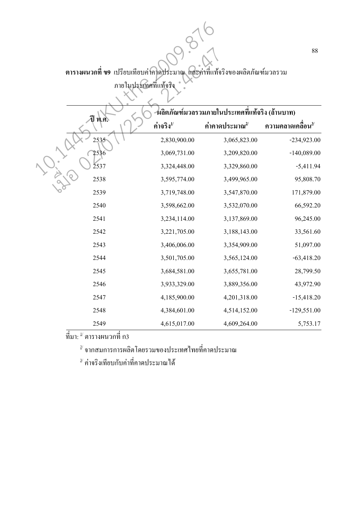ตารางผนวกที่ ข9 เปรียบเทียบค่ากาดประมาณ และค่าที่แท้จริงของผลิตภัณฑ์มวลรวม ภายในประเทศที่แท้จริง<br>\*

| ตารางผนวกที ข9 เปรียบเทียบค่าคาดประมาณ และค่าที่แท้จริงของผลิตภัณฑ์มวลรวม<br>ภายในประเทศที่แท้จริง |                      |                                                                               |                                 |  |
|----------------------------------------------------------------------------------------------------|----------------------|-------------------------------------------------------------------------------|---------------------------------|--|
| พ.ศ.                                                                                               | ค่าจริง $^{1\prime}$ | ึผลิตภัณฑ์มวลรวมภายในประเทศที่แท้จริง (ล้านบาท)<br>ค่าคาดประมาณ <sup>2/</sup> | ความคลาดเคลื่อน $^{\mathsf{3}}$ |  |
| 2535                                                                                               | 2,830,900.00         | 3,065,823.00                                                                  | $-234,923.00$                   |  |
| 2536                                                                                               | 3,069,731.00         | 3,209,820.00                                                                  | $-140,089.00$                   |  |
| 2537                                                                                               | 3,324,448.00         | 3,329,860.00                                                                  | $-5,411.94$                     |  |
| 2538                                                                                               | 3,595,774.00         | 3,499,965.00                                                                  | 95,808.70                       |  |
| 2539                                                                                               | 3,719,748.00         | 3,547,870.00                                                                  | 171,879.00                      |  |
| 2540                                                                                               | 3,598,662.00         | 3,532,070.00                                                                  | 66,592.20                       |  |
| 2541                                                                                               | 3,234,114.00         | 3,137,869.00                                                                  | 96,245.00                       |  |
| 2542                                                                                               | 3,221,705.00         | 3,188,143.00                                                                  | 33,561.60                       |  |
| 2543                                                                                               | 3,406,006.00         | 3,354,909.00                                                                  | 51,097.00                       |  |
| 2544                                                                                               | 3,501,705.00         | 3,565,124.00                                                                  | $-63,418.20$                    |  |
| 2545                                                                                               | 3,684,581.00         | 3,655,781.00                                                                  | 28,799.50                       |  |
| 2546                                                                                               | 3,933,329.00         | 3,889,356.00                                                                  | 43,972.90                       |  |
| 2547                                                                                               | 4,185,900.00         | 4,201,318.00                                                                  | $-15,418.20$                    |  |
| 2548                                                                                               | 4,384,601.00         | 4,514,152.00                                                                  | $-129,551.00$                   |  |
| 2549                                                                                               | 4,615,017.00         | 4,609,264.00                                                                  | 5,753.17                        |  |

 $\vec{\mathfrak{\eta}}$ มา:  $^{\mathfrak{\mathfrak{U}}}$  ตารางผนวกที่ ก3

 $^{\scriptscriptstyle 2\prime}$  จากสมการการผลิตโดยรวมของประเทศไทยที่คาดประมาณ

 $^{\text{\tiny 3}\prime}$  ค่าจริงเทียบกับค่าที่คาคประมาณ ได้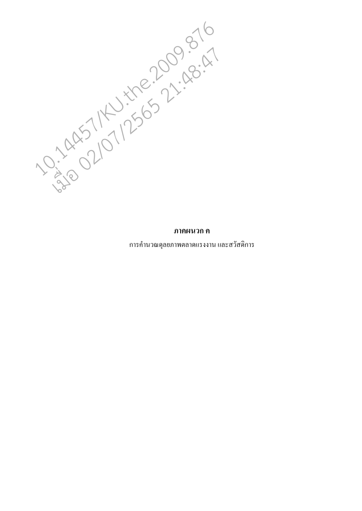10.14957121250009876

ึการคำนวณดุลยภาพตลาดแรงงาน และสวัสดิการ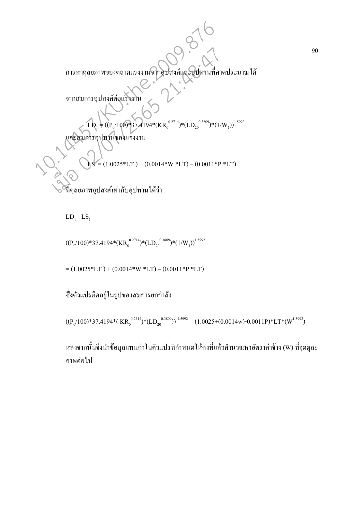กU"PQ"#กP(! #P(^"('S\$" ก!'กP(! # LD1 = ((P<sup>0</sup> /100)\*37.4194\*(KR<sup>0</sup> 0.2714)\*(LD<sup>20</sup> 0.3809)\*(1/W<sup>1</sup> ))1.5992 #!'กP(# LS1 = (1.0025\*LT ) + (0.0014\*W \*LT) L (0.0011\*P \*LT) ^"PQP(! กP(\$"- 10.14457/KU.the.2009.876 เมื่อ 02/07/2565 21:48:47

 $LD_1 = LS_1$ 

$$
((P_0/100)*37.4194*(KR_0^{0.2714})*(LD_{20}^{0.3809})*(1/W_1))^{1.5992}
$$

 $= (1.0025 * LT) + (0.0014 * W * LT) - (0.0011 * P * LT)$ 

ซึ่งตัวแปรติคอยู่ในรูปของสมการยกกำลัง

$$
((P_0/100)*37.4194*(\text{ KR}_0^{0.2714})*(\text{LD}_{20}^{0.3809}))^{1.5992} = (1.0025+(0.0014\text{w})\cdot0.0011\text{P})*\text{LT}*(W^{1.5992})
$$

หลังจากนั้นจึงนำข้อมูลแทนค่าในตัวแปรที่กำหนดให้คงที่แล้วคำนวณหาอัตราค่าจ้าง (W) ที่จุดคุลย ภาพต่อไป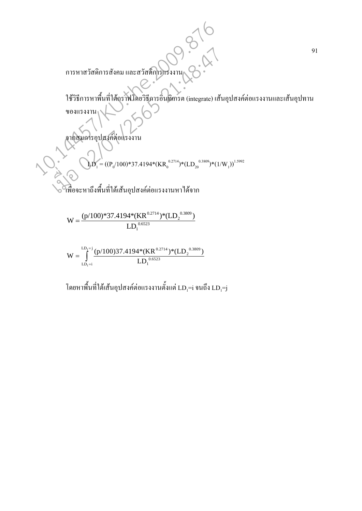$$
W = \frac{(p/100)*37.4194* (KR0.2714)* (LD20.3809)}{LD10.6523}
$$

$$
W=\int\limits_{LD_{1}=i}^{LD_{1}=j} \frac{(p/100)37.4194*(KR^{0.2714})*(LD_{2}^{0.3809})}{LD_{1}^{0.6523}}
$$

โดยหาพื้นที่ใต้เส้นอุปสงค์ต่อแรงงานตั้งแต่ LD<sub>1</sub>=i จนถึง LD<sub>1</sub>=j